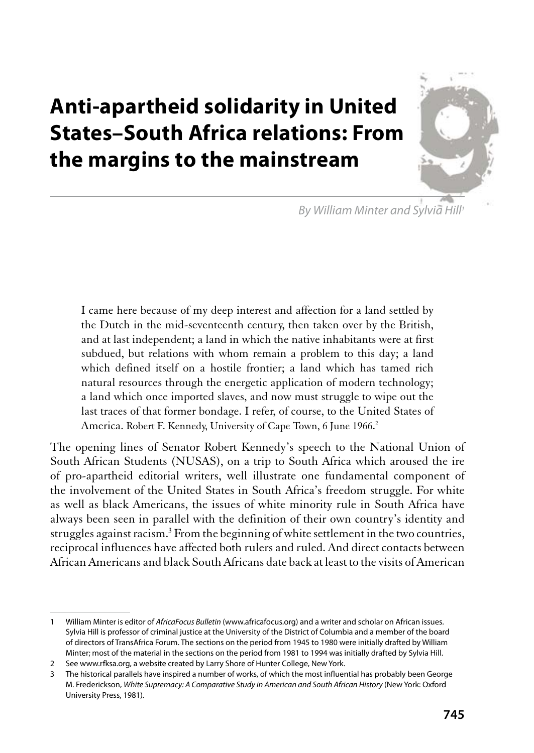# **Anti-apartheid solidarity in United States-South Africa relations: From** the margins to the mainstream



By William Minter and Sylvia Hill<sup>1</sup>

I came here because of my deep interest and affection for a land settled by the Dutch in the mid-seventeenth century, then taken over by the British, and at last independent; a land in which the native inhabitants were at first subdued, but relations with whom remain a problem to this day; a land which defined itself on a hostile frontier; a land which has tamed rich natural resources through the energetic application of modern technology; a land which once imported slaves, and now must struggle to wipe out the last traces of that former bondage. I refer, of course, to the United States of America. Robert F. Kennedy, University of Cape Town, 6 June 1966.<sup>2</sup>

The opening lines of Senator Robert Kennedy's speech to the National Union of South African Students (NUSAS), on a trip to South Africa which aroused the ire of pro-apartheid editorial writers, well illustrate one fundamental component of the involvement of the United States in South Africa's freedom struggle. For white as well as black Americans, the issues of white minority rule in South Africa have always been seen in parallel with the definition of their own country's identity and struggles against racism.<sup>3</sup> From the beginning of white settlement in the two countries, reciprocal influences have affected both rulers and ruled. And direct contacts between African Americans and black South Africans date back at least to the visits of American

 $\mathbf{1}$ William Minter is editor of AfricaFocus Bulletin (www.africafocus.org) and a writer and scholar on African issues. Sylvia Hill is professor of criminal justice at the University of the District of Columbia and a member of the board of directors of TransAfrica Forum. The sections on the period from 1945 to 1980 were initially drafted by William Minter; most of the material in the sections on the period from 1981 to 1994 was initially drafted by Sylvia Hill.

<sup>2</sup> See www.rfksa.org, a website created by Larry Shore of Hunter College, New York.

<sup>3</sup> The historical parallels have inspired a number of works, of which the most influential has probably been George M. Frederickson, White Supremacy: A Comparative Study in American and South African History (New York: Oxford University Press, 1981).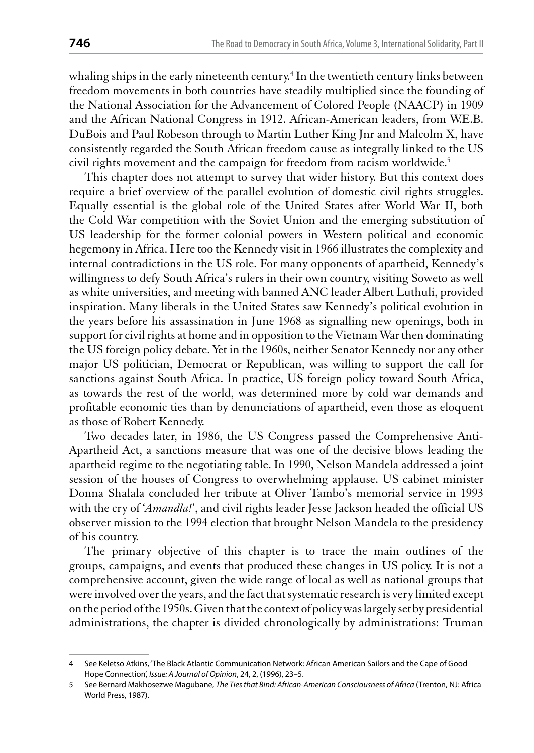whaling ships in the early nineteenth century.<sup>4</sup> In the twentieth century links between freedom movements in both countries have steadily multiplied since the founding of the National Association for the Advancement of Colored People (NAACP) in 1909 and the African National Congress in 1912. African-American leaders, from W.E.B. DuBois and Paul Robeson through to Martin Luther King Jnr and Malcolm X, have consistently regarded the South African freedom cause as integrally linked to the US civil rights movement and the campaign for freedom from racism worldwide.<sup>5</sup>

This chapter does not attempt to survey that wider history. But this context does require a brief overview of the parallel evolution of domestic civil rights struggles. Equally essential is the global role of the United States after World War II, both the Cold War competition with the Soviet Union and the emerging substitution of US leadership for the former colonial powers in Western political and economic hegemony in Africa. Here too the Kennedy visit in 1966 illustrates the complexity and internal contradictions in the US role. For many opponents of apartheid, Kennedy's willingness to defy South Africa's rulers in their own country, visiting Soweto as well as white universities, and meeting with banned ANC leader Albert Luthuli, provided inspiration. Many liberals in the United States saw Kennedy's political evolution in the years before his assassination in June 1968 as signalling new openings, both in support for civil rights at home and in opposition to the Vietnam War then dominating the US foreign policy debate. Yet in the 1960s, neither Senator Kennedy nor any other major US politician, Democrat or Republican, was willing to support the call for sanctions against South Africa. In practice, US foreign policy toward South Africa, as towards the rest of the world, was determined more by cold war demands and profitable economic ties than by denunciations of apartheid, even those as eloquent as those of Robert Kennedy.

Two decades later, in 1986, the US Congress passed the Comprehensive Anti-Apartheid Act, a sanctions measure that was one of the decisive blows leading the apartheid regime to the negotiating table. In 1990, Nelson Mandela addressed a joint session of the houses of Congress to overwhelming applause. US cabinet minister Donna Shalala concluded her tribute at Oliver Tambo's memorial service in 1993 with the cry of 'Amandla!', and civil rights leader Jesse Jackson headed the official US observer mission to the 1994 election that brought Nelson Mandela to the presidency of his country.

The primary objective of this chapter is to trace the main outlines of the groups, campaigns, and events that produced these changes in US policy. It is not a comprehensive account, given the wide range of local as well as national groups that were involved over the years, and the fact that systematic research is very limited except on the period of the 1950s. Given that the context of policy was largely set by presidential administrations, the chapter is divided chronologically by administrations: Truman

<sup>4</sup> See Keletso Atkins, 'The Black Atlantic Communication Network: African American Sailors and the Cape of Good Hope Connection', Issue: A Journal of Opinion, 24, 2, (1996), 23-5.

<sup>5</sup> See Bernard Makhosezwe Magubane, The Ties that Bind: African-American Consciousness of Africa (Trenton, NJ: Africa World Press, 1987).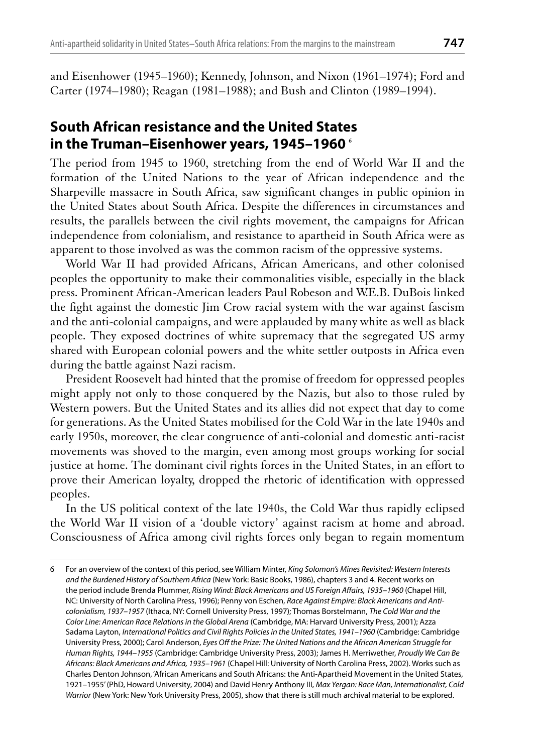and Eisenhower (1945–1960); Kennedy, Johnson, and Nixon (1961–1974); Ford and Carter (1974–1980); Reagan (1981–1988); and Bush and Clinton (1989–1994).

#### South African resistance and the United States in the Truman-Eisenhower years, 1945-1960 6

The period from 1945 to 1960, stretching from the end of World War II and the formation of the United Nations to the year of African independence and the Sharpeville massacre in South Africa, saw significant changes in public opinion in the United States about South Africa. Despite the differences in circumstances and results, the parallels between the civil rights movement, the campaigns for African independence from colonialism, and resistance to apartheid in South Africa were as apparent to those involved as was the common racism of the oppressive systems.

World War II had provided Africans, African Americans, and other colonised peoples the opportunity to make their commonalities visible, especially in the black press. Prominent African-American leaders Paul Robeson and W.E.B. DuBois linked the fight against the domestic Jim Crow racial system with the war against fascism and the anti-colonial campaigns, and were applauded by many white as well as black people. They exposed doctrines of white supremacy that the segregated US army shared with European colonial powers and the white settler outposts in Africa even during the battle against Nazi racism.

President Roosevelt had hinted that the promise of freedom for oppressed peoples might apply not only to those conquered by the Nazis, but also to those ruled by Western powers. But the United States and its allies did not expect that day to come for generations. As the United States mobilised for the Cold War in the late 1940s and early 1950s, moreover, the clear congruence of anti-colonial and domestic anti-racist movements was shoved to the margin, even among most groups working for social justice at home. The dominant civil rights forces in the United States, in an effort to prove their American loyalty, dropped the rhetoric of identification with oppressed peoples.

In the US political context of the late 1940s, the Cold War thus rapidly eclipsed the World War II vision of a 'double victory' against racism at home and abroad. Consciousness of Africa among civil rights forces only began to regain momentum

<sup>6</sup> For an overview of the context of this period, see William Minter, King Solomon's Mines Revisited: Western Interests and the Burdened History of Southern Africa (New York: Basic Books, 1986), chapters 3 and 4. Recent works on the period include Brenda Plummer, Rising Wind: Black Americans and US Foreign Affairs, 1935-1960 (Chapel Hill, NC: University of North Carolina Press, 1996); Penny von Eschen, Race Against Empire: Black Americans and Anticolonialism, 1937-1957 (Ithaca, NY: Cornell University Press, 1997); Thomas Borstelmann, The Cold War and the Color Line: American Race Relations in the Global Arena (Cambridge, MA: Harvard University Press, 2001); Azza Sadama Layton, International Politics and Civil Rights Policies in the United States, 1941-1960 (Cambridge: Cambridge University Press, 2000); Carol Anderson, Eyes Off the Prize: The United Nations and the African American Struggle for Human Rights, 1944-1955 (Cambridge: Cambridge University Press, 2003); James H. Merriwether, Proudly We Can Be Africans: Black Americans and Africa, 1935-1961 (Chapel Hill: University of North Carolina Press, 2002). Works such as Charles Denton Johnson, 'African Americans and South Africans: the Anti-Apartheid Movement in the United States, 1921-1955' (PhD, Howard University, 2004) and David Henry Anthony III, Max Yergan: Race Man, Internationalist, Cold Warrior (New York: New York University Press, 2005), show that there is still much archival material to be explored.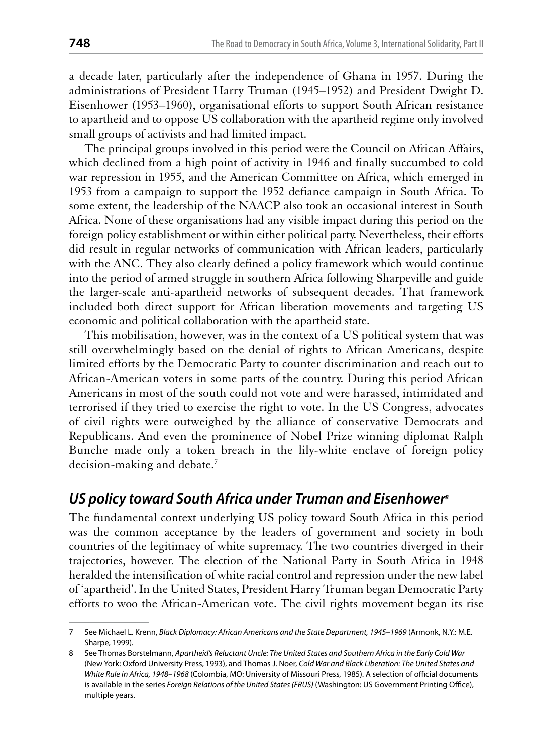a decade later, particularly after the independence of Ghana in 1957. During the administrations of President Harry Truman (1945–1952) and President Dwight D. Eisenhower (1953–1960), organisational efforts to support South African resistance to apartheid and to oppose US collaboration with the apartheid regime only involved small groups of activists and had limited impact.

The principal groups involved in this period were the Council on African Affairs, which declined from a high point of activity in 1946 and finally succumbed to cold war repression in 1955, and the American Committee on Africa, which emerged in 1953 from a campaign to support the 1952 defiance campaign in South Africa. To some extent, the leadership of the NAACP also took an occasional interest in South Africa. None of these organisations had any visible impact during this period on the foreign policy establishment or within either political party. Nevertheless, their efforts did result in regular networks of communication with African leaders, particularly with the ANC. They also clearly defined a policy framework which would continue into the period of armed struggle in southern Africa following Sharpeville and guide the larger-scale anti-apartheid networks of subsequent decades. That framework included both direct support for African liberation movements and targeting US economic and political collaboration with the apartheid state.

This mobilisation, however, was in the context of a US political system that was still overwhelmingly based on the denial of rights to African Americans, despite limited efforts by the Democratic Party to counter discrimination and reach out to African-American voters in some parts of the country. During this period African Americans in most of the south could not vote and were harassed, intimidated and terrorised if they tried to exercise the right to vote. In the US Congress, advocates of civil rights were outweighed by the alliance of conservative Democrats and Republicans. And even the prominence of Nobel Prize winning diplomat Ralph Bunche made only a token breach in the lily-white enclave of foreign policy decision-making and debate.<sup>7</sup>

#### US policy toward South Africa under Truman and Eisenhower<sup>®</sup>

The fundamental context underlying US policy toward South Africa in this period was the common acceptance by the leaders of government and society in both countries of the legitimacy of white supremacy. The two countries diverged in their trajectories, however. The election of the National Party in South Africa in 1948 heralded the intensification of white racial control and repression under the new label of 'apartheid'. In the United States, President Harry Truman began Democratic Party efforts to woo the African-American vote. The civil rights movement began its rise

 $7<sup>7</sup>$ See Michael L. Krenn, Black Diplomacy: African Americans and the State Department, 1945-1969 (Armonk, N.Y.: M.E. Sharpe, 1999).

<sup>8</sup> See Thomas Borstelmann, Apartheid's Reluctant Uncle: The United States and Southern Africa in the Early Cold War (New York: Oxford University Press, 1993), and Thomas J. Noer, Cold War and Black Liberation: The United States and White Rule in Africa, 1948-1968 (Colombia, MO: University of Missouri Press, 1985). A selection of official documents is available in the series Foreign Relations of the United States (FRUS) (Washington: US Government Printing Office), multiple years.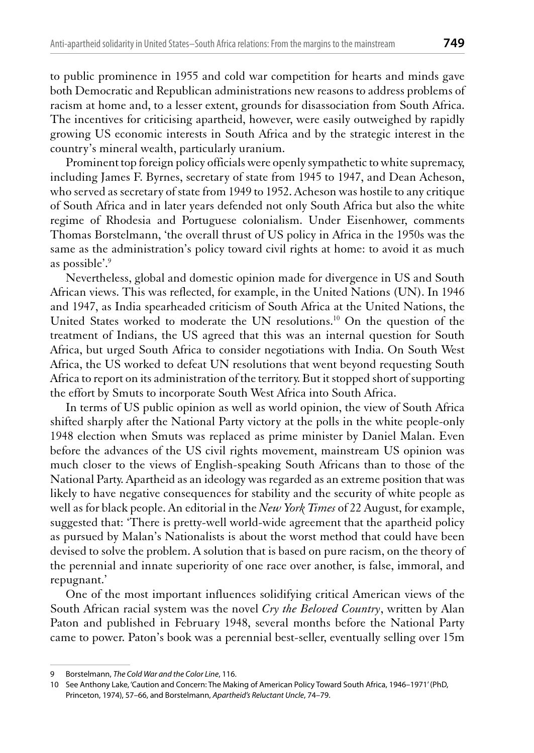to public prominence in 1955 and cold war competition for hearts and minds gave both Democratic and Republican administrations new reasons to address problems of racism at home and, to a lesser extent, grounds for disassociation from South Africa. The incentives for criticising apartheid, however, were easily outweighed by rapidly growing US economic interests in South Africa and by the strategic interest in the country's mineral wealth, particularly uranium.

Prominent top foreign policy officials were openly sympathetic to white supremacy, including James F. Byrnes, secretary of state from 1945 to 1947, and Dean Acheson, who served as secretary of state from 1949 to 1952. Acheson was hostile to any critique of South Africa and in later years defended not only South Africa but also the white regime of Rhodesia and Portuguese colonialism. Under Eisenhower, comments Thomas Borstelmann, 'the overall thrust of US policy in Africa in the 1950s was the same as the administration's policy toward civil rights at home: to avoid it as much as possible'.<sup>9</sup>

Nevertheless, global and domestic opinion made for divergence in US and South African views. This was reflected, for example, in the United Nations (UN). In 1946 and 1947, as India spearheaded criticism of South Africa at the United Nations, the United States worked to moderate the UN resolutions.<sup>10</sup> On the question of the treatment of Indians, the US agreed that this was an internal question for South Africa, but urged South Africa to consider negotiations with India. On South West Africa, the US worked to defeat UN resolutions that went beyond requesting South Africa to report on its administration of the territory. But it stopped short of supporting the effort by Smuts to incorporate South West Africa into South Africa.

In terms of US public opinion as well as world opinion, the view of South Africa shifted sharply after the National Party victory at the polls in the white people-only 1948 election when Smuts was replaced as prime minister by Daniel Malan. Even before the advances of the US civil rights movement, mainstream US opinion was much closer to the views of English-speaking South Africans than to those of the National Party. Apartheid as an ideology was regarded as an extreme position that was likely to have negative consequences for stability and the security of white people as well as for black people. An editorial in the New York Times of 22 August, for example, suggested that: 'There is pretty-well world-wide agreement that the apartheid policy as pursued by Malan's Nationalists is about the worst method that could have been devised to solve the problem. A solution that is based on pure racism, on the theory of the perennial and innate superiority of one race over another, is false, immoral, and repugnant.'

One of the most important influences solidifying critical American views of the South African racial system was the novel Cry the Beloved Country, written by Alan Paton and published in February 1948, several months before the National Party came to power. Paton's book was a perennial best-seller, eventually selling over 15m

<sup>9</sup> Borstelmann, The Cold War and the Color Line, 116.

<sup>10</sup> See Anthony Lake, 'Caution and Concern: The Making of American Policy Toward South Africa, 1946-1971' (PhD, Princeton, 1974), 57-66, and Borstelmann, Apartheid's Reluctant Uncle, 74-79.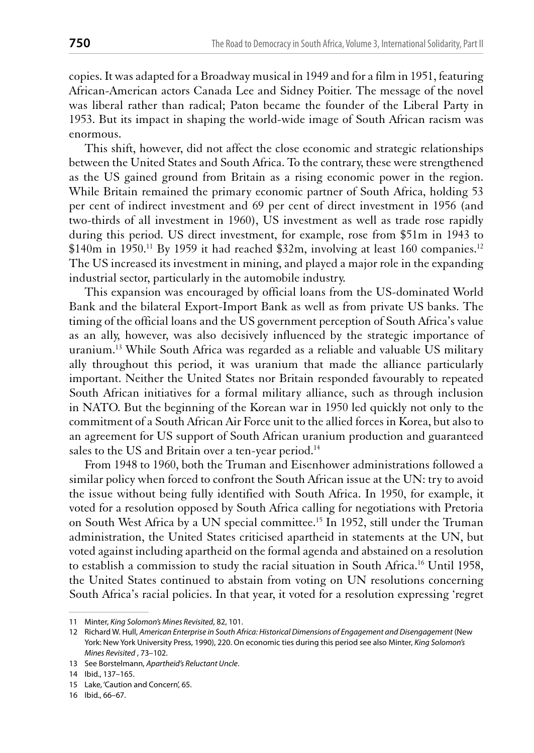copies. It was adapted for a Broadway musical in 1949 and for a film in 1951, featuring African-American actors Canada Lee and Sidney Poitier. The message of the novel was liberal rather than radical; Paton became the founder of the Liberal Party in 1953. But its impact in shaping the world-wide image of South African racism was enormous.

This shift, however, did not affect the close economic and strategic relationships between the United States and South Africa. To the contrary, these were strengthened as the US gained ground from Britain as a rising economic power in the region. While Britain remained the primary economic partner of South Africa, holding 53 per cent of indirect investment and 69 per cent of direct investment in 1956 (and two-thirds of all investment in 1960), US investment as well as trade rose rapidly during this period. US direct investment, for example, rose from \$51m in 1943 to \$140m in 1950.<sup>11</sup> By 1959 it had reached \$32m, involving at least 160 companies.<sup>12</sup> The US increased its investment in mining, and played a major role in the expanding industrial sector, particularly in the automobile industry.

This expansion was encouraged by official loans from the US-dominated World Bank and the bilateral Export-Import Bank as well as from private US banks. The timing of the official loans and the US government perception of South Africa's value as an ally, however, was also decisively influenced by the strategic importance of uranium.<sup>13</sup> While South Africa was regarded as a reliable and valuable US military ally throughout this period, it was uranium that made the alliance particularly important. Neither the United States nor Britain responded favourably to repeated South African initiatives for a formal military alliance, such as through inclusion in NATO. But the beginning of the Korean war in 1950 led quickly not only to the commitment of a South African Air Force unit to the allied forces in Korea, but also to an agreement for US support of South African uranium production and guaranteed sales to the US and Britain over a ten-year period.<sup>14</sup>

From 1948 to 1960, both the Truman and Eisenhower administrations followed a similar policy when forced to confront the South African issue at the UN: try to avoid the issue without being fully identified with South Africa. In 1950, for example, it voted for a resolution opposed by South Africa calling for negotiations with Pretoria on South West Africa by a UN special committee.<sup>15</sup> In 1952, still under the Truman administration, the United States criticised apartheid in statements at the UN, but voted against including apartheid on the formal agenda and abstained on a resolution to establish a commission to study the racial situation in South Africa.<sup>16</sup> Until 1958, the United States continued to abstain from voting on UN resolutions concerning South Africa's racial policies. In that year, it voted for a resolution expressing 'regret

<sup>11</sup> Minter, King Solomon's Mines Revisited, 82, 101.

<sup>12</sup> Richard W. Hull, American Enterprise in South Africa: Historical Dimensions of Engagement and Disengagement (New York: New York University Press, 1990), 220. On economic ties during this period see also Minter, King Solomon's Mines Revisited, 73-102.

<sup>13</sup> See Borstelmann, Apartheid's Reluctant Uncle.

<sup>14</sup> Ibid., 137-165.

<sup>15</sup> Lake, 'Caution and Concern', 65.

<sup>16</sup> Ibid., 66-67.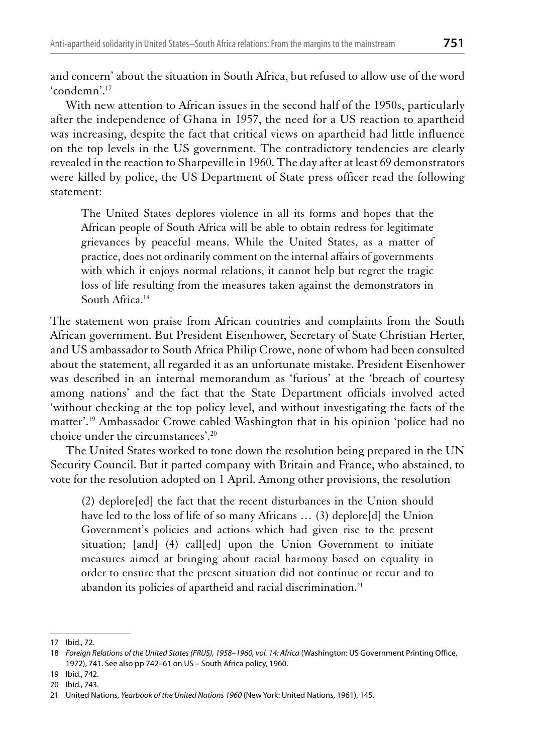and concern' about the situation in South Africa, but refused to allow use of the word 'condemn'.<sup>17</sup>

With new attention to African issues in the second half of the 1950s, particularly after the independence of Ghana in 1957, the need for a US reaction to apartheid was increasing, despite the fact that critical views on apartheid had little influence on the top levels in the US government. The contradictory tendencies are clearly revealed in the reaction to Sharpeville in 1960. The day after at least 69 demonstrators were killed by police, the US Department of State press officer read the following statement:

The United States deplores violence in all its forms and hopes that the African people of South Africa will be able to obtain redress for legitimate grievances by peaceful means. While the United States, as a matter of practice, does not ordinarily comment on the internal affairs of governments with which it enjoys normal relations, it cannot help but regret the tragic loss of life resulting from the measures taken against the demonstrators in South Africa.<sup>18</sup>

The statement won praise from African countries and complaints from the South African government. But President Eisenhower, Secretary of State Christian Herter, and US ambassador to South Africa Philip Crowe, none of whom had been consulted about the statement, all regarded it as an unfortunate mistake. President Eisenhower was described in an internal memorandum as 'furious' at the 'breach of courtesy among nations' and the fact that the State Department officials involved acted 'without checking at the top policy level, and without investigating the facts of the matter'.<sup>19</sup> Ambassador Crowe cabled Washington that in his opinion 'police had no choice under the circumstances'.<sup>20</sup>

The United States worked to tone down the resolution being prepared in the UN Security Council. But it parted company with Britain and France, who abstained, to vote for the resolution adopted on 1 April. Among other provisions, the resolution

(2) deplore[ed] the fact that the recent disturbances in the Union should have led to the loss of life of so many Africans ... (3) deplore [d] the Union Government's policies and actions which had given rise to the present situation; [and] (4) call[ed] upon the Union Government to initiate measures aimed at bringing about racial harmony based on equality in order to ensure that the present situation did not continue or recur and to abandon its policies of apartheid and racial discrimination.<sup>21</sup>

<sup>17</sup> Ibid., 72.

<sup>18</sup> Foreign Relations of the United States (FRUS), 1958-1960, vol. 14: Africa (Washington: US Government Printing Office, 1972), 741. See also pp 742-61 on US - South Africa policy, 1960.

<sup>19</sup> Ibid., 742.

<sup>20</sup> Ibid., 743.

<sup>21</sup> United Nations, Yearbook of the United Nations 1960 (New York: United Nations, 1961), 145.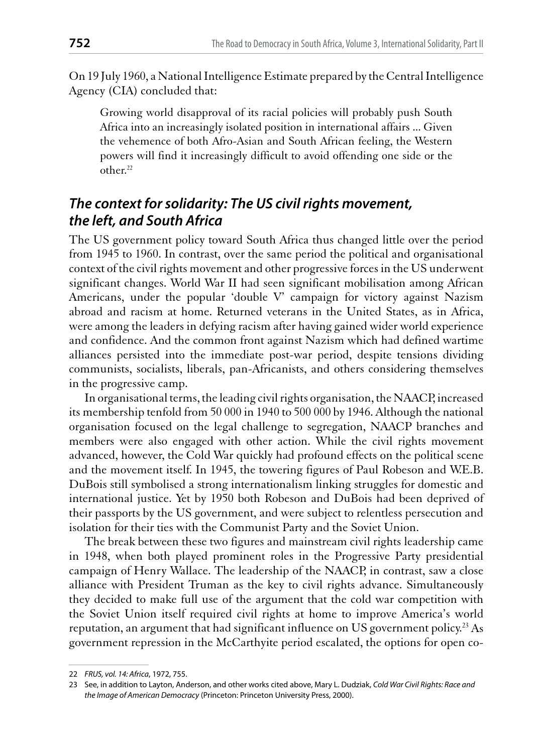On 19 July 1960, a National Intelligence Estimate prepared by the Central Intelligence Agency (CIA) concluded that:

Growing world disapproval of its racial policies will probably push South Africa into an increasingly isolated position in international affairs ... Given the vehemence of both Afro-Asian and South African feeling, the Western powers will find it increasingly difficult to avoid offending one side or the other.<sup>22</sup>

#### The context for solidarity: The US civil rights movement, the left, and South Africa

The US government policy toward South Africa thus changed little over the period from 1945 to 1960. In contrast, over the same period the political and organisational context of the civil rights movement and other progressive forces in the US underwent significant changes. World War II had seen significant mobilisation among African Americans, under the popular 'double V' campaign for victory against Nazism abroad and racism at home. Returned veterans in the United States, as in Africa, were among the leaders in defying racism after having gained wider world experience and confidence. And the common front against Nazism which had defined wartime alliances persisted into the immediate post-war period, despite tensions dividing communists, socialists, liberals, pan-Africanists, and others considering themselves in the progressive camp.

In organisational terms, the leading civil rights organisation, the NAACP, increased its membership tenfold from 50 000 in 1940 to 500 000 by 1946. Although the national organisation focused on the legal challenge to segregation, NAACP branches and members were also engaged with other action. While the civil rights movement advanced, however, the Cold War quickly had profound effects on the political scene and the movement itself. In 1945, the towering figures of Paul Robeson and W.E.B. DuBois still symbolised a strong internationalism linking struggles for domestic and international justice. Yet by 1950 both Robeson and DuBois had been deprived of their passports by the US government, and were subject to relentless persecution and isolation for their ties with the Communist Party and the Soviet Union.

The break between these two figures and mainstream civil rights leadership came in 1948, when both played prominent roles in the Progressive Party presidential campaign of Henry Wallace. The leadership of the NAACP, in contrast, saw a close alliance with President Truman as the key to civil rights advance. Simultaneously they decided to make full use of the argument that the cold war competition with the Soviet Union itself required civil rights at home to improve America's world reputation, an argument that had significant influence on US government policy.<sup>23</sup> As government repression in the McCarthyite period escalated, the options for open co-

<sup>22</sup> FRUS, vol. 14: Africa, 1972, 755.

<sup>23</sup> See, in addition to Layton, Anderson, and other works cited above, Mary L. Dudziak, Cold War Civil Rights: Race and the Image of American Democracy (Princeton: Princeton University Press, 2000).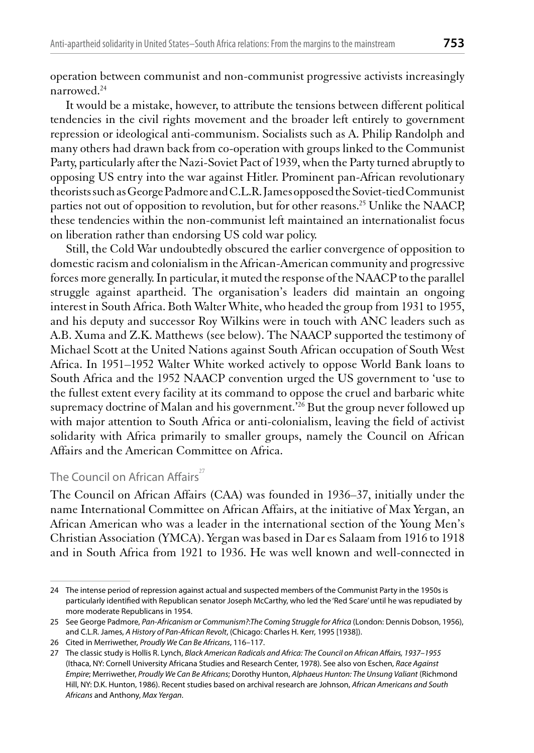operation between communist and non-communist progressive activists increasingly narrowed.<sup>24</sup>

It would be a mistake, however, to attribute the tensions between different political tendencies in the civil rights movement and the broader left entirely to government repression or ideological anti-communism. Socialists such as A. Philip Randolph and many others had drawn back from co-operation with groups linked to the Communist Party, particularly after the Nazi-Soviet Pact of 1939, when the Party turned abruptly to opposing US entry into the war against Hitler. Prominent pan-African revolutionary theorists such as George Padmore and C.L.R. James opposed the Soviet-tied Communist parties not out of opposition to revolution, but for other reasons.<sup>25</sup> Unlike the NAACP, these tendencies within the non-communist left maintained an internationalist focus on liberation rather than endorsing US cold war policy.

Still, the Cold War undoubtedly obscured the earlier convergence of opposition to domestic racism and colonialism in the African-American community and progressive forces more generally. In particular, it muted the response of the NAACP to the parallel struggle against apartheid. The organisation's leaders did maintain an ongoing interest in South Africa. Both Walter White, who headed the group from 1931 to 1955, and his deputy and successor Roy Wilkins were in touch with ANC leaders such as A.B. Xuma and Z.K. Matthews (see below). The NAACP supported the testimony of Michael Scott at the United Nations against South African occupation of South West Africa. In 1951-1952 Walter White worked actively to oppose World Bank loans to South Africa and the 1952 NAACP convention urged the US government to 'use to the fullest extent every facility at its command to oppose the cruel and barbaric white supremacy doctrine of Malan and his government.<sup>26</sup> But the group never followed up with major attention to South Africa or anti-colonialism, leaving the field of activist solidarity with Africa primarily to smaller groups, namely the Council on African Affairs and the American Committee on Africa.

#### The Council on African Affairs<sup>27</sup>

The Council on African Affairs (CAA) was founded in 1936–37, initially under the name International Committee on African Affairs, at the initiative of Max Yergan, an African American who was a leader in the international section of the Young Men's Christian Association (YMCA). Yergan was based in Dar es Salaam from 1916 to 1918 and in South Africa from 1921 to 1936. He was well known and well-connected in

<sup>24</sup> The intense period of repression against actual and suspected members of the Communist Party in the 1950s is particularly identified with Republican senator Joseph McCarthy, who led the 'Red Scare' until he was repudiated by more moderate Republicans in 1954.

<sup>25</sup> See George Padmore, Pan-Africanism or Communism?:The Coming Struggle for Africa (London: Dennis Dobson, 1956), and C.L.R. James, A History of Pan-African Revolt, (Chicago: Charles H. Kerr, 1995 [1938]).

<sup>26</sup> Cited in Merriwether, Proudly We Can Be Africans, 116-117.

<sup>27</sup> The classic study is Hollis R. Lynch, Black American Radicals and Africa: The Council on African Affairs, 1937-1955 (Ithaca, NY: Cornell University Africana Studies and Research Center, 1978). See also von Eschen, Race Against Empire; Merriwether, Proudly We Can Be Africans; Dorothy Hunton, Alphaeus Hunton: The Unsung Valiant (Richmond Hill, NY: D.K. Hunton, 1986). Recent studies based on archival research are Johnson, African Americans and South Africans and Anthony, Max Yergan.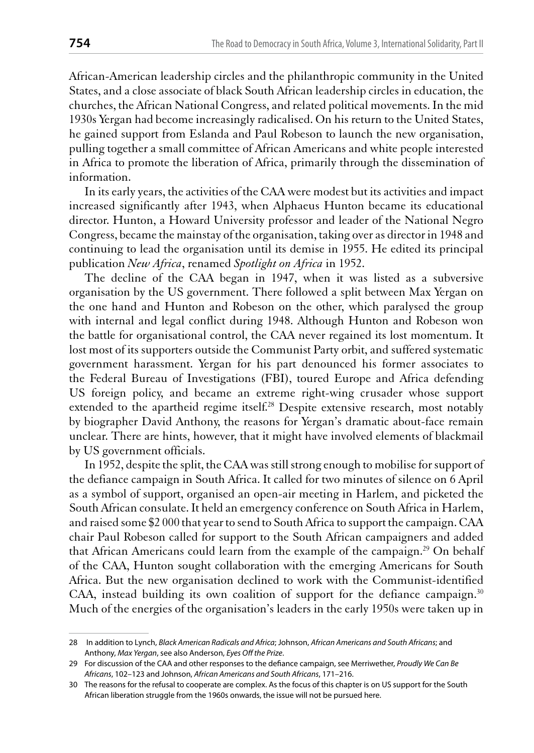African-American leadership circles and the philanthropic community in the United States, and a close associate of black South African leadership circles in education, the churches, the African National Congress, and related political movements. In the mid 1930s Yergan had become increasingly radicalised. On his return to the United States, he gained support from Eslanda and Paul Robeson to launch the new organisation, pulling together a small committee of African Americans and white people interested in Africa to promote the liberation of Africa, primarily through the dissemination of information.

In its early years, the activities of the CAA were modest but its activities and impact increased significantly after 1943, when Alphaeus Hunton became its educational director. Hunton, a Howard University professor and leader of the National Negro Congress, became the mainstay of the organisation, taking over as director in 1948 and continuing to lead the organisation until its demise in 1955. He edited its principal publication New Africa, renamed Spotlight on Africa in 1952.

The decline of the CAA began in 1947, when it was listed as a subversive organisation by the US government. There followed a split between Max Yergan on the one hand and Hunton and Robeson on the other, which paralysed the group with internal and legal conflict during 1948. Although Hunton and Robeson won the battle for organisational control, the CAA never regained its lost momentum. It lost most of its supporters outside the Communist Party orbit, and suffered systematic government harassment. Yergan for his part denounced his former associates to the Federal Bureau of Investigations (FBI), toured Europe and Africa defending US foreign policy, and became an extreme right-wing crusader whose support extended to the apartheid regime itself.<sup>28</sup> Despite extensive research, most notably by biographer David Anthony, the reasons for Yergan's dramatic about-face remain unclear. There are hints, however, that it might have involved elements of blackmail by US government officials.

In 1952, despite the split, the CAA was still strong enough to mobilise for support of the defiance campaign in South Africa. It called for two minutes of silence on 6 April as a symbol of support, organised an open-air meeting in Harlem, and picketed the South African consulate. It held an emergency conference on South Africa in Harlem, and raised some \$2 000 that year to send to South Africa to support the campaign. CAA chair Paul Robeson called for support to the South African campaigners and added that African Americans could learn from the example of the campaign.<sup>29</sup> On behalf of the CAA, Hunton sought collaboration with the emerging Americans for South Africa. But the new organisation declined to work with the Communist-identified CAA, instead building its own coalition of support for the defiance campaign.<sup>30</sup> Much of the energies of the organisation's leaders in the early 1950s were taken up in

<sup>28</sup> In addition to Lynch, Black American Radicals and Africa; Johnson, African Americans and South Africans; and Anthony, Max Yergan, see also Anderson, Eyes Off the Prize.

<sup>29</sup> For discussion of the CAA and other responses to the defiance campaign, see Merriwether, Proudly We Can Be Africans, 102-123 and Johnson, African Americans and South Africans, 171-216.

<sup>30</sup> The reasons for the refusal to cooperate are complex. As the focus of this chapter is on US support for the South African liberation struggle from the 1960s onwards, the issue will not be pursued here.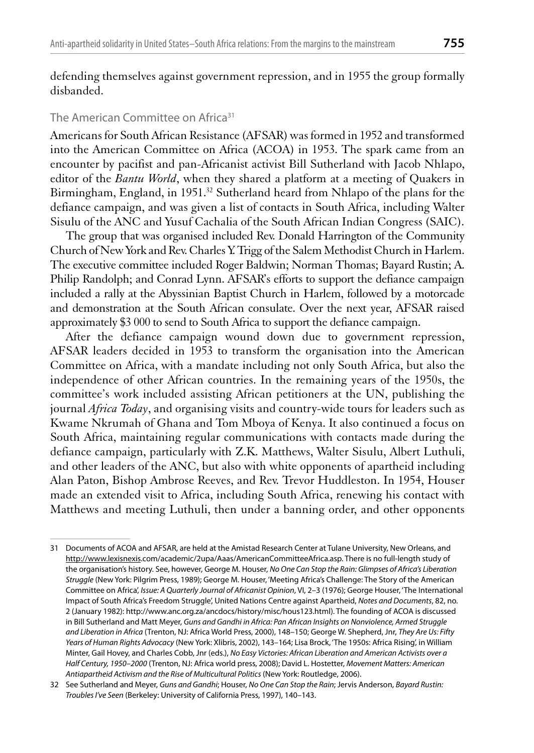defending themselves against government repression, and in 1955 the group formally dishanded.

#### The American Committee on Africa<sup>31</sup>

Americans for South African Resistance (AFSAR) was formed in 1952 and transformed into the American Committee on Africa (ACOA) in 1953. The spark came from an encounter by pacifist and pan-Africanist activist Bill Sutherland with Jacob Nhlapo, editor of the Bantu World, when they shared a platform at a meeting of Quakers in Birmingham, England, in 1951.<sup>32</sup> Sutherland heard from Nhlapo of the plans for the defiance campaign, and was given a list of contacts in South Africa, including Walter Sisulu of the ANC and Yusuf Cachalia of the South African Indian Congress (SAIC).

The group that was organised included Rev. Donald Harrington of the Community Church of New York and Rev. Charles Y. Trigg of the Salem Methodist Church in Harlem. The executive committee included Roger Baldwin; Norman Thomas; Bayard Rustin; A. Philip Randolph; and Conrad Lynn. AFSAR's efforts to support the defiance campaign included a rally at the Abyssinian Baptist Church in Harlem, followed by a motorcade and demonstration at the South African consulate. Over the next year, AFSAR raised approximately \$3 000 to send to South Africa to support the defiance campaign.

After the defiance campaign wound down due to government repression, AFSAR leaders decided in 1953 to transform the organisation into the American Committee on Africa, with a mandate including not only South Africa, but also the independence of other African countries. In the remaining years of the 1950s, the committee's work included assisting African petitioners at the UN, publishing the journal Africa Today, and organising visits and country-wide tours for leaders such as Kwame Nkrumah of Ghana and Tom Mboya of Kenya. It also continued a focus on South Africa, maintaining regular communications with contacts made during the defiance campaign, particularly with Z.K. Matthews, Walter Sisulu, Albert Luthuli, and other leaders of the ANC, but also with white opponents of apartheid including Alan Paton, Bishop Ambrose Reeves, and Rev. Trevor Huddleston. In 1954, Houser made an extended visit to Africa, including South Africa, renewing his contact with Matthews and meeting Luthuli, then under a banning order, and other opponents

<sup>31</sup> Documents of ACOA and AFSAR, are held at the Amistad Research Center at Tulane University, New Orleans, and http://www.lexisnexis.com/academic/2upa/Aaas/AmericanCommitteeAfrica.asp. There is no full-length study of the organisation's history. See, however, George M. Houser, No One Can Stop the Rain: Glimpses of Africa's Liberation Struggle (New York: Pilgrim Press, 1989); George M. Houser, 'Meeting Africa's Challenge: The Story of the American Committee on Africa', Issue: A Quarterly Journal of Africanist Opinion, VI, 2-3 (1976); George Houser, 'The International Impact of South Africa's Freedom Struggle', United Nations Centre against Apartheid, Notes and Documents, 82, no. 2 (January 1982): http://www.anc.org.za/ancdocs/history/misc/hous123.html). The founding of ACOA is discussed in Bill Sutherland and Matt Meyer, Guns and Gandhi in Africa: Pan African Insights on Nonviolence, Armed Struggle and Liberation in Africa (Trenton, NJ: Africa World Press, 2000), 148-150; George W. Shepherd, Jnr, They Are Us: Fifty Years of Human Rights Advocacy (New York: Xlibris, 2002), 143-164; Lisa Brock, 'The 1950s: Africa Rising', in William Minter, Gail Hovey, and Charles Cobb, Jnr (eds.), No Easy Victories: African Liberation and American Activists over a Half Century, 1950-2000 (Trenton, NJ: Africa world press, 2008); David L. Hostetter, Movement Matters: American Antiapartheid Activism and the Rise of Multicultural Politics (New York: Routledge, 2006).

<sup>32</sup> See Sutherland and Meyer, Guns and Gandhi; Houser, No One Can Stop the Rain; Jervis Anderson, Bayard Rustin: Troubles I've Seen (Berkeley: University of California Press, 1997), 140-143.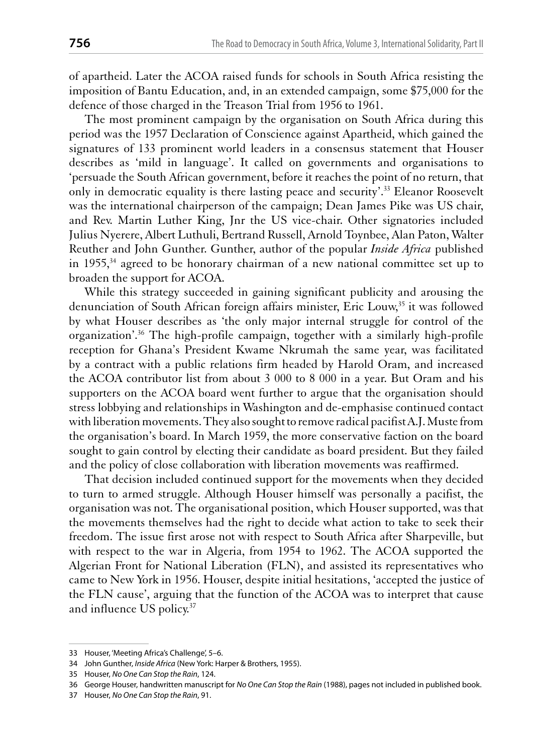of apartheid. Later the ACOA raised funds for schools in South Africa resisting the imposition of Bantu Education, and, in an extended campaign, some \$75,000 for the defence of those charged in the Treason Trial from 1956 to 1961.

The most prominent campaign by the organisation on South Africa during this period was the 1957 Declaration of Conscience against Apartheid, which gained the signatures of 133 prominent world leaders in a consensus statement that Houser describes as 'mild in language'. It called on governments and organisations to 'persuade the South African government, before it reaches the point of no return, that only in democratic equality is there lasting peace and security'.<sup>33</sup> Eleanor Roosevelt was the international chairperson of the campaign; Dean James Pike was US chair, and Rev. Martin Luther King, Jnr the US vice-chair. Other signatories included Julius Nyerere, Albert Luthuli, Bertrand Russell, Arnold Toynbee, Alan Paton, Walter Reuther and John Gunther. Gunther, author of the popular *Inside Africa* published in 1955,<sup>34</sup> agreed to be honorary chairman of a new national committee set up to broaden the support for ACOA.

While this strategy succeeded in gaining significant publicity and arousing the denunciation of South African foreign affairs minister, Eric Louw,<sup>35</sup> it was followed by what Houser describes as 'the only major internal struggle for control of the organization'.<sup>36</sup> The high-profile campaign, together with a similarly high-profile reception for Ghana's President Kwame Nkrumah the same year, was facilitated by a contract with a public relations firm headed by Harold Oram, and increased the ACOA contributor list from about 3 000 to 8 000 in a year. But Oram and his supporters on the ACOA board went further to argue that the organisation should stress lobbying and relationships in Washington and de-emphasise continued contact with liberation movements. They also sought to remove radical pacifist A.J. Muste from the organisation's board. In March 1959, the more conservative faction on the board sought to gain control by electing their candidate as board president. But they failed and the policy of close collaboration with liberation movements was reaffirmed.

That decision included continued support for the movements when they decided to turn to armed struggle. Although Houser himself was personally a pacifist, the organisation was not. The organisational position, which Houser supported, was that the movements themselves had the right to decide what action to take to seek their freedom. The issue first arose not with respect to South Africa after Sharpeville, but with respect to the war in Algeria, from 1954 to 1962. The ACOA supported the Algerian Front for National Liberation (FLN), and assisted its representatives who came to New York in 1956. Houser, despite initial hesitations, 'accepted the justice of the FLN cause', arguing that the function of the ACOA was to interpret that cause and influence US policy.<sup>37</sup>

<sup>33</sup> Houser, 'Meeting Africa's Challenge', 5-6.

<sup>34</sup> John Gunther, Inside Africa (New York: Harper & Brothers, 1955).

<sup>35</sup> Houser, No One Can Stop the Rain, 124.

<sup>36</sup> George Houser, handwritten manuscript for No One Can Stop the Rain (1988), pages not included in published book.

<sup>37</sup> Houser, No One Can Stop the Rain, 91.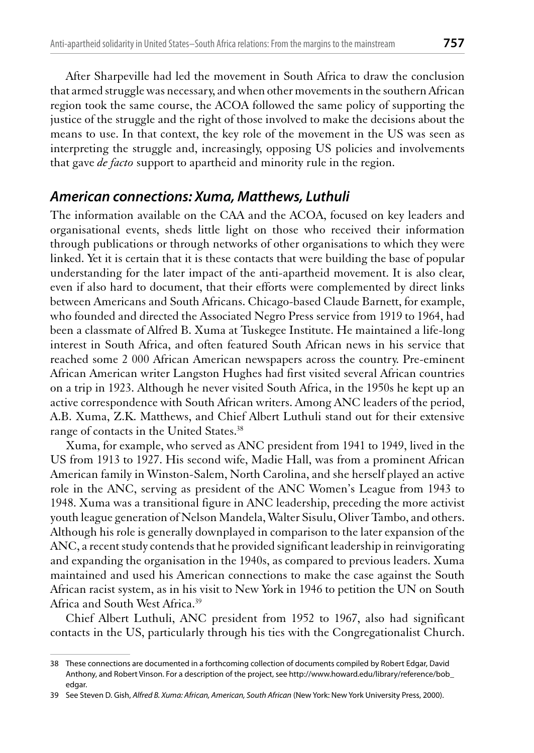After Sharpeville had led the movement in South Africa to draw the conclusion that armed struggle was necessary, and when other movements in the southern African region took the same course, the ACOA followed the same policy of supporting the justice of the struggle and the right of those involved to make the decisions about the means to use. In that context, the key role of the movement in the US was seen as interpreting the struggle and, increasingly, opposing US policies and involvements that gave *de facto* support to apartheid and minority rule in the region.

# American connections: Xuma, Matthews, Luthuli

The information available on the CAA and the ACOA, focused on key leaders and organisational events, sheds little light on those who received their information through publications or through networks of other organisations to which they were linked. Yet it is certain that it is these contacts that were building the base of popular understanding for the later impact of the anti-apartheid movement. It is also clear, even if also hard to document, that their efforts were complemented by direct links between Americans and South Africans. Chicago-based Claude Barnett, for example, who founded and directed the Associated Negro Press service from 1919 to 1964, had been a classmate of Alfred B. Xuma at Tuskegee Institute. He maintained a life-long interest in South Africa, and often featured South African news in his service that reached some 2 000 African American newspapers across the country. Pre-eminent African American writer Langston Hughes had first visited several African countries on a trip in 1923. Although he never visited South Africa, in the 1950s he kept up an active correspondence with South African writers. Among ANC leaders of the period, A.B. Xuma, Z.K. Matthews, and Chief Albert Luthuli stand out for their extensive range of contacts in the United States.<sup>38</sup>

Xuma, for example, who served as ANC president from 1941 to 1949, lived in the US from 1913 to 1927. His second wife, Madie Hall, was from a prominent African American family in Winston-Salem, North Carolina, and she herself played an active role in the ANC, serving as president of the ANC Women's League from 1943 to 1948. Xuma was a transitional figure in ANC leadership, preceding the more activist youth league generation of Nelson Mandela, Walter Sisulu, Oliver Tambo, and others. Although his role is generally downplayed in comparison to the later expansion of the ANC, a recent study contends that he provided significant leadership in reinvigorating and expanding the organisation in the 1940s, as compared to previous leaders. Xuma maintained and used his American connections to make the case against the South African racist system, as in his visit to New York in 1946 to petition the UN on South Africa and South West Africa.<sup>39</sup>

Chief Albert Luthuli, ANC president from 1952 to 1967, also had significant contacts in the US, particularly through his ties with the Congregationalist Church.

<sup>38</sup> These connections are documented in a forthcoming collection of documents compiled by Robert Edgar, David Anthony, and Robert Vinson. For a description of the project, see http://www.howard.edu/library/reference/bob edgar.

<sup>39</sup> See Steven D. Gish, Alfred B. Xuma: African, American, South African (New York: New York University Press, 2000).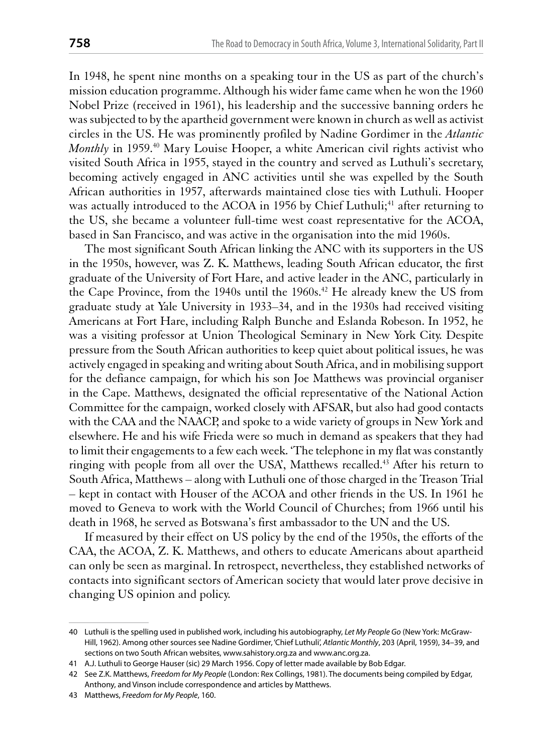In 1948, he spent nine months on a speaking tour in the US as part of the church's mission education programme. Although his wider fame came when he won the 1960 Nobel Prize (received in 1961), his leadership and the successive banning orders he was subjected to by the apartheid government were known in church as well as activist circles in the US. He was prominently profiled by Nadine Gordimer in the Atlantic Monthly in 1959.<sup>40</sup> Mary Louise Hooper, a white American civil rights activist who visited South Africa in 1955, stayed in the country and served as Luthuli's secretary, becoming actively engaged in ANC activities until she was expelled by the South African authorities in 1957, afterwards maintained close ties with Luthuli. Hooper was actually introduced to the ACOA in 1956 by Chief Luthuli;<sup>41</sup> after returning to the US, she became a volunteer full-time west coast representative for the ACOA, based in San Francisco, and was active in the organisation into the mid 1960s.

The most significant South African linking the ANC with its supporters in the US in the 1950s, however, was Z. K. Matthews, leading South African educator, the first graduate of the University of Fort Hare, and active leader in the ANC, particularly in the Cape Province, from the 1940s until the 1960s.<sup>42</sup> He already knew the US from graduate study at Yale University in 1933–34, and in the 1930s had received visiting Americans at Fort Hare, including Ralph Bunche and Eslanda Robeson. In 1952, he was a visiting professor at Union Theological Seminary in New York City. Despite pressure from the South African authorities to keep quiet about political issues, he was actively engaged in speaking and writing about South Africa, and in mobilising support for the defiance campaign, for which his son Joe Matthews was provincial organiser in the Cape. Matthews, designated the official representative of the National Action Committee for the campaign, worked closely with AFSAR, but also had good contacts with the CAA and the NAACP, and spoke to a wide variety of groups in New York and elsewhere. He and his wife Frieda were so much in demand as speakers that they had to limit their engagements to a few each week. 'The telephone in my flat was constantly ringing with people from all over the USA, Matthews recalled.<sup>43</sup> After his return to South Africa, Matthews – along with Luthuli one of those charged in the Treason Trial - kept in contact with Houser of the ACOA and other friends in the US. In 1961 he moved to Geneva to work with the World Council of Churches; from 1966 until his death in 1968, he served as Botswana's first ambassador to the UN and the US.

If measured by their effect on US policy by the end of the 1950s, the efforts of the CAA, the ACOA, Z. K. Matthews, and others to educate Americans about apartheid can only be seen as marginal. In retrospect, nevertheless, they established networks of contacts into significant sectors of American society that would later prove decisive in changing US opinion and policy.

<sup>40</sup> Luthuli is the spelling used in published work, including his autobiography, Let My People Go (New York: McGraw-Hill, 1962). Among other sources see Nadine Gordimer, 'Chief Luthuli', Atlantic Monthly, 203 (April, 1959), 34-39, and sections on two South African websites, www.sahistory.org.za and www.anc.org.za.

<sup>41</sup> A.J. Luthuli to George Hauser (sic) 29 March 1956. Copy of letter made available by Bob Edgar.

<sup>42</sup> See Z.K. Matthews, Freedom for My People (London: Rex Collings, 1981). The documents being compiled by Edgar, Anthony, and Vinson include correspondence and articles by Matthews.

<sup>43</sup> Matthews, Freedom for My People, 160.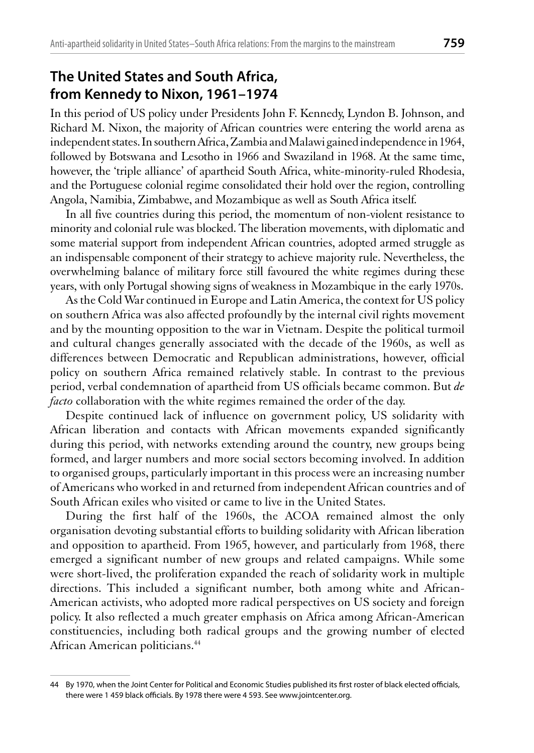#### The United States and South Africa, from Kennedy to Nixon, 1961-1974

In this period of US policy under Presidents John F. Kennedy, Lyndon B. Johnson, and Richard M. Nixon, the majority of African countries were entering the world arena as independent states. In southern Africa, Zambia and Malawi gained independence in 1964, followed by Botswana and Lesotho in 1966 and Swaziland in 1968. At the same time, however, the 'triple alliance' of apartheid South Africa, white-minority-ruled Rhodesia, and the Portuguese colonial regime consolidated their hold over the region, controlling Angola, Namibia, Zimbabwe, and Mozambique as well as South Africa itself.

In all five countries during this period, the momentum of non-violent resistance to minority and colonial rule was blocked. The liberation movements, with diplomatic and some material support from independent African countries, adopted armed struggle as an indispensable component of their strategy to achieve majority rule. Nevertheless, the overwhelming balance of military force still favoured the white regimes during these years, with only Portugal showing signs of weakness in Mozambique in the early 1970s.

As the Cold War continued in Europe and Latin America, the context for US policy on southern Africa was also affected profoundly by the internal civil rights movement and by the mounting opposition to the war in Vietnam. Despite the political turmoil and cultural changes generally associated with the decade of the 1960s, as well as differences between Democratic and Republican administrations, however, official policy on southern Africa remained relatively stable. In contrast to the previous period, verbal condemnation of apartheid from US officials became common. But de *facto* collaboration with the white regimes remained the order of the day.

Despite continued lack of influence on government policy, US solidarity with African liberation and contacts with African movements expanded significantly during this period, with networks extending around the country, new groups being formed, and larger numbers and more social sectors becoming involved. In addition to organised groups, particularly important in this process were an increasing number of Americans who worked in and returned from independent African countries and of South African exiles who visited or came to live in the United States.

During the first half of the 1960s, the ACOA remained almost the only organisation devoting substantial efforts to building solidarity with African liberation and opposition to apartheid. From 1965, however, and particularly from 1968, there emerged a significant number of new groups and related campaigns. While some were short-lived, the proliferation expanded the reach of solidarity work in multiple directions. This included a significant number, both among white and African-American activists, who adopted more radical perspectives on US society and foreign policy. It also reflected a much greater emphasis on Africa among African-American constituencies, including both radical groups and the growing number of elected African American politicians.<sup>44</sup>

<sup>44</sup> By 1970, when the Joint Center for Political and Economic Studies published its first roster of black elected officials, there were 1 459 black officials. By 1978 there were 4 593. See www.jointcenter.org.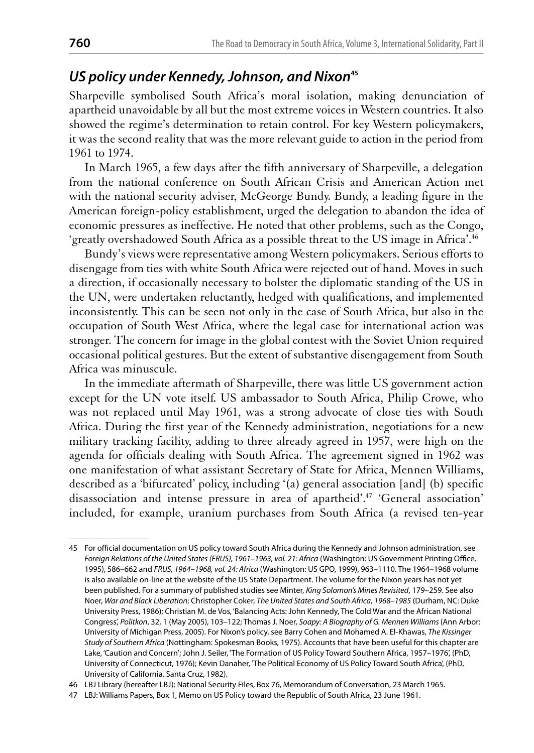## US policy under Kennedy, Johnson, and Nixon<sup>45</sup>

Sharpeville symbolised South Africa's moral isolation, making denunciation of apartheid unavoidable by all but the most extreme voices in Western countries. It also showed the regime's determination to retain control. For key Western policymakers, it was the second reality that was the more relevant guide to action in the period from 1961 to 1974.

In March 1965, a few days after the fifth anniversary of Sharpeville, a delegation from the national conference on South African Crisis and American Action met with the national security adviser, McGeorge Bundy. Bundy, a leading figure in the American foreign-policy establishment, urged the delegation to abandon the idea of economic pressures as ineffective. He noted that other problems, such as the Congo, 'greatly overshadowed South Africa as a possible threat to the US image in Africa'.<sup>46</sup>

Bundy's views were representative among Western policymakers. Serious efforts to disengage from ties with white South Africa were rejected out of hand. Moves in such a direction, if occasionally necessary to bolster the diplomatic standing of the US in the UN, were undertaken reluctantly, hedged with qualifications, and implemented inconsistently. This can be seen not only in the case of South Africa, but also in the occupation of South West Africa, where the legal case for international action was stronger. The concern for image in the global contest with the Soviet Union required occasional political gestures. But the extent of substantive disengagement from South Africa was minuscule.

In the immediate aftermath of Sharpeville, there was little US government action except for the UN vote itself. US ambassador to South Africa, Philip Crowe, who was not replaced until May 1961, was a strong advocate of close ties with South Africa. During the first year of the Kennedy administration, negotiations for a new military tracking facility, adding to three already agreed in 1957, were high on the agenda for officials dealing with South Africa. The agreement signed in 1962 was one manifestation of what assistant Secretary of State for Africa, Mennen Williams, described as a 'bifurcated' policy, including '(a) general association [and] (b) specific disassociation and intense pressure in area of apartheid'.<sup>47</sup> 'General association' included, for example, uranium purchases from South Africa (a revised ten-year

<sup>45</sup> For official documentation on US policy toward South Africa during the Kennedy and Johnson administration, see Foreign Relations of the United States (FRUS), 1961-1963, vol. 21: Africa (Washington: US Government Printing Office, 1995), 586-662 and FRUS, 1964-1968, vol. 24: Africa (Washington: US GPO, 1999), 963-1110. The 1964-1968 volume is also available on-line at the website of the US State Department. The volume for the Nixon years has not yet been published. For a summary of published studies see Minter, King Solomon's Mines Revisited, 179-259. See also Noer, War and Black Liberation; Christopher Coker, The United States and South Africa, 1968-1985 (Durham, NC: Duke University Press, 1986); Christian M. de Vos, 'Balancing Acts: John Kennedy, The Cold War and the African National Congress', Politkon, 32, 1 (May 2005), 103-122; Thomas J. Noer, Soapy: A Biography of G. Mennen Williams (Ann Arbor: University of Michigan Press, 2005). For Nixon's policy, see Barry Cohen and Mohamed A. El-Khawas, The Kissinger Study of Southern Africa (Nottingham: Spokesman Books, 1975). Accounts that have been useful for this chapter are Lake, 'Caution and Concern'; John J. Seiler, 'The Formation of US Policy Toward Southern Africa, 1957-1976', (PhD, University of Connecticut, 1976); Kevin Danaher, 'The Political Economy of US Policy Toward South Africa', (PhD, University of California, Santa Cruz, 1982).

<sup>46</sup> LBJ Library (hereafter LBJ): National Security Files, Box 76, Memorandum of Conversation, 23 March 1965.

<sup>47</sup> LBJ: Williams Papers, Box 1, Memo on US Policy toward the Republic of South Africa, 23 June 1961.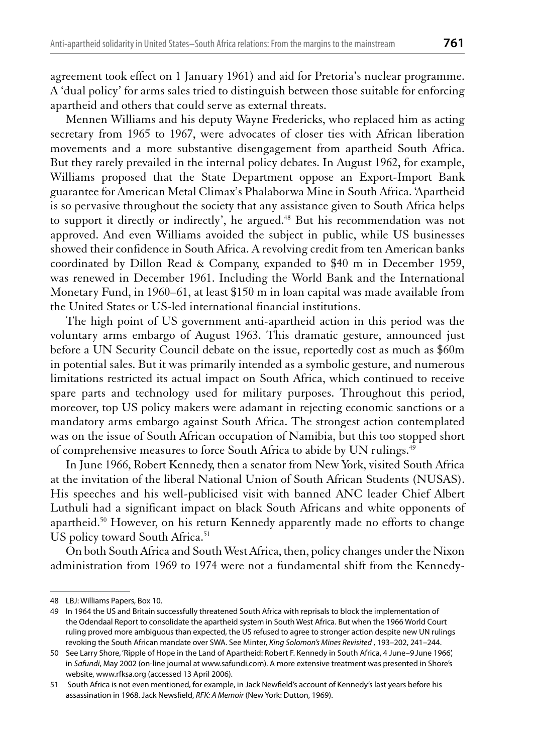agreement took effect on 1 January 1961) and aid for Pretoria's nuclear programme. A 'dual policy' for arms sales tried to distinguish between those suitable for enforcing apartheid and others that could serve as external threats.

Mennen Williams and his deputy Wayne Fredericks, who replaced him as acting secretary from 1965 to 1967, were advocates of closer ties with African liberation movements and a more substantive disengagement from apartheid South Africa. But they rarely prevailed in the internal policy debates. In August 1962, for example, Williams proposed that the State Department oppose an Export-Import Bank guarantee for American Metal Climax's Phalaborwa Mine in South Africa. 'Apartheid is so pervasive throughout the society that any assistance given to South Africa helps to support it directly or indirectly', he argued.<sup>48</sup> But his recommendation was not approved. And even Williams avoided the subject in public, while US businesses showed their confidence in South Africa. A revolving credit from ten American banks coordinated by Dillon Read & Company, expanded to \$40 m in December 1959, was renewed in December 1961. Including the World Bank and the International Monetary Fund, in 1960–61, at least \$150 m in loan capital was made available from the United States or US-led international financial institutions.

The high point of US government anti-apartheid action in this period was the voluntary arms embargo of August 1963. This dramatic gesture, announced just before a UN Security Council debate on the issue, reportedly cost as much as \$60m in potential sales. But it was primarily intended as a symbolic gesture, and numerous limitations restricted its actual impact on South Africa, which continued to receive spare parts and technology used for military purposes. Throughout this period, moreover, top US policy makers were adamant in rejecting economic sanctions or a mandatory arms embargo against South Africa. The strongest action contemplated was on the issue of South African occupation of Namibia, but this too stopped short of comprehensive measures to force South Africa to abide by UN rulings.<sup>49</sup>

In June 1966, Robert Kennedy, then a senator from New York, visited South Africa at the invitation of the liberal National Union of South African Students (NUSAS). His speeches and his well-publicised visit with banned ANC leader Chief Albert Luthuli had a significant impact on black South Africans and white opponents of apartheid.<sup>50</sup> However, on his return Kennedy apparently made no efforts to change US policy toward South Africa.<sup>51</sup>

On both South Africa and South West Africa, then, policy changes under the Nixon administration from 1969 to 1974 were not a fundamental shift from the Kennedy-

<sup>48</sup> LBJ: Williams Papers, Box 10.

<sup>49</sup> In 1964 the US and Britain successfully threatened South Africa with reprisals to block the implementation of the Odendaal Report to consolidate the apartheid system in South West Africa. But when the 1966 World Court ruling proved more ambiguous than expected, the US refused to agree to stronger action despite new UN rulings revoking the South African mandate over SWA. See Minter, King Solomon's Mines Revisited, 193-202, 241-244.

<sup>50</sup> See Larry Shore, 'Ripple of Hope in the Land of Apartheid: Robert F. Kennedy in South Africa, 4 June-9 June 1966', in Safundi, May 2002 (on-line journal at www.safundi.com). A more extensive treatment was presented in Shore's website, www.rfksa.org (accessed 13 April 2006).

<sup>51</sup> South Africa is not even mentioned, for example, in Jack Newfield's account of Kennedy's last years before his assassination in 1968. Jack Newsfield, RFK: A Memoir (New York: Dutton, 1969).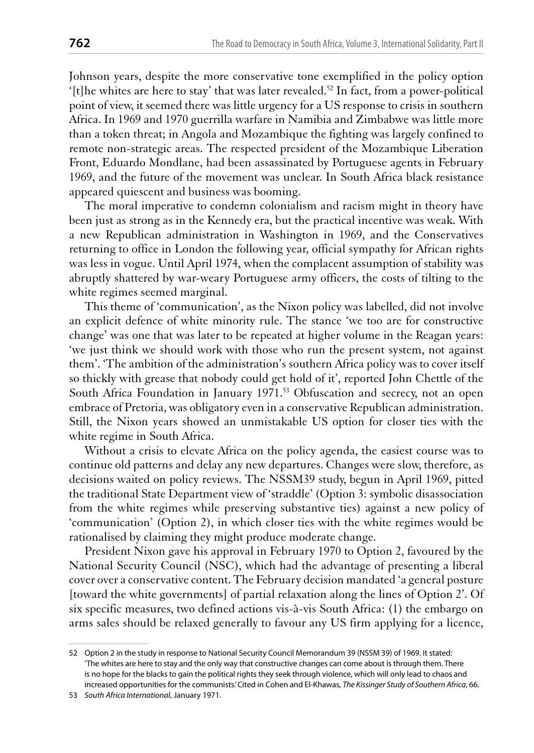Johnson years, despite the more conservative tone exemplified in the policy option '[t]he whites are here to stay' that was later revealed.<sup>52</sup> In fact, from a power-political point of view, it seemed there was little urgency for a US response to crisis in southern Africa. In 1969 and 1970 guerrilla warfare in Namibia and Zimbabwe was little more than a token threat; in Angola and Mozambique the fighting was largely confined to remote non-strategic areas. The respected president of the Mozambique Liberation Front, Eduardo Mondlane, had been assassinated by Portuguese agents in February 1969, and the future of the movement was unclear. In South Africa black resistance appeared quiescent and business was booming.

The moral imperative to condemn colonialism and racism might in theory have been just as strong as in the Kennedy era, but the practical incentive was weak. With a new Republican administration in Washington in 1969, and the Conservatives returning to office in London the following year, official sympathy for African rights was less in vogue. Until April 1974, when the complacent assumption of stability was abruptly shattered by war-weary Portuguese army officers, the costs of tilting to the white regimes seemed marginal.

This theme of 'communication', as the Nixon policy was labelled, did not involve an explicit defence of white minority rule. The stance 'we too are for constructive change' was one that was later to be repeated at higher volume in the Reagan years: 'we just think we should work with those who run the present system, not against them'. 'The ambition of the administration's southern Africa policy was to cover itself so thickly with grease that nobody could get hold of it', reported John Chettle of the South Africa Foundation in January 1971.<sup>53</sup> Obfuscation and secrecy, not an open embrace of Pretoria, was obligatory even in a conservative Republican administration. Still, the Nixon years showed an unmistakable US option for closer ties with the white regime in South Africa.

Without a crisis to elevate Africa on the policy agenda, the easiest course was to continue old patterns and delay any new departures. Changes were slow, therefore, as decisions waited on policy reviews. The NSSM39 study, begun in April 1969, pitted the traditional State Department view of 'straddle' (Option 3: symbolic disassociation from the white regimes while preserving substantive ties) against a new policy of 'communication' (Option 2), in which closer ties with the white regimes would be rationalised by claiming they might produce moderate change.

President Nixon gave his approval in February 1970 to Option 2, favoured by the National Security Council (NSC), which had the advantage of presenting a liberal cover over a conservative content. The February decision mandated 'a general posture [toward the white governments] of partial relaxation along the lines of Option 2'. Of six specific measures, two defined actions vis-à-vis South Africa: (1) the embargo on arms sales should be relaxed generally to favour any US firm applying for a licence,

<sup>52</sup> Option 2 in the study in response to National Security Council Memorandum 39 (NSSM 39) of 1969. It stated: 'The whites are here to stay and the only way that constructive changes can come about is through them. There is no hope for the blacks to gain the political rights they seek through violence, which will only lead to chaos and increased opportunities for the communists. Cited in Cohen and El-Khawas, The Kissinger Study of Southern Africa, 66.

<sup>53</sup> South Africa International, January 1971.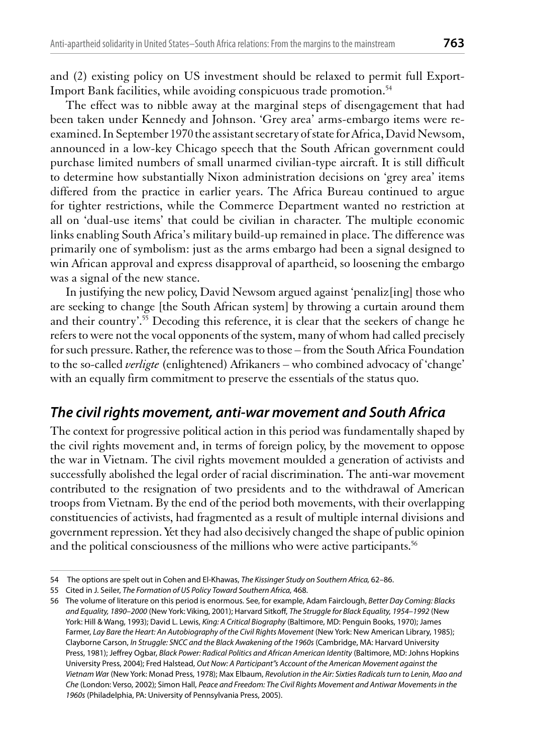and (2) existing policy on US investment should be relaxed to permit full Export-Import Bank facilities, while avoiding conspicuous trade promotion.<sup>54</sup>

The effect was to nibble away at the marginal steps of disengagement that had been taken under Kennedy and Johnson. 'Grey area' arms-embargo items were reexamined. In September 1970 the assistant secretary of state for Africa, David Newsom, announced in a low-key Chicago speech that the South African government could purchase limited numbers of small unarmed civilian-type aircraft. It is still difficult to determine how substantially Nixon administration decisions on 'grey area' items differed from the practice in earlier years. The Africa Bureau continued to argue for tighter restrictions, while the Commerce Department wanted no restriction at all on 'dual-use items' that could be civilian in character. The multiple economic links enabling South Africa's military build-up remained in place. The difference was primarily one of symbolism: just as the arms embargo had been a signal designed to win African approval and express disapproval of apartheid, so loosening the embargo was a signal of the new stance.

In justifying the new policy, David Newsom argued against 'penaliz[ing] those who are seeking to change [the South African system] by throwing a curtain around them and their country'.<sup>55</sup> Decoding this reference, it is clear that the seekers of change he refers to were not the vocal opponents of the system, many of whom had called precisely for such pressure. Rather, the reference was to those - from the South Africa Foundation to the so-called *verligte* (enlightened) Afrikaners – who combined advocacy of 'change' with an equally firm commitment to preserve the essentials of the status quo.

#### The civil rights movement, anti-war movement and South Africa

The context for progressive political action in this period was fundamentally shaped by the civil rights movement and, in terms of foreign policy, by the movement to oppose the war in Vietnam. The civil rights movement moulded a generation of activists and successfully abolished the legal order of racial discrimination. The anti-war movement contributed to the resignation of two presidents and to the withdrawal of American troops from Vietnam. By the end of the period both movements, with their overlapping constituencies of activists, had fragmented as a result of multiple internal divisions and government repression. Yet they had also decisively changed the shape of public opinion and the political consciousness of the millions who were active participants.<sup>56</sup>

<sup>54</sup> The options are spelt out in Cohen and El-Khawas, The Kissinger Study on Southern Africa, 62-86.

<sup>55</sup> Cited in J. Seiler, The Formation of US Policy Toward Southern Africa, 468.

<sup>56</sup> The volume of literature on this period is enormous. See, for example, Adam Fairclough, Better Day Coming: Blacks and Equality, 1890-2000 (New York: Viking, 2001); Harvard Sitkoff, The Struggle for Black Equality, 1954-1992 (New York: Hill & Wang, 1993); David L. Lewis, King: A Critical Biography (Baltimore, MD: Penguin Books, 1970); James Farmer, Lay Bare the Heart: An Autobiography of the Civil Rights Movement (New York: New American Library, 1985); Clayborne Carson, In Struggle: SNCC and the Black Awakening of the 1960s (Cambridge, MA: Harvard University Press, 1981); Jeffrey Ogbar, Black Power: Radical Politics and African American Identity (Baltimore, MD: Johns Hopkins University Press, 2004); Fred Halstead, Out Now: A Participant"s Account of the American Movement against the Vietnam War (New York: Monad Press, 1978); Max Elbaum, Revolution in the Air: Sixties Radicals turn to Lenin, Mao and Che (London: Verso, 2002); Simon Hall, Peace and Freedom: The Civil Rights Movement and Antiwar Movements in the 1960s (Philadelphia, PA: University of Pennsylvania Press, 2005).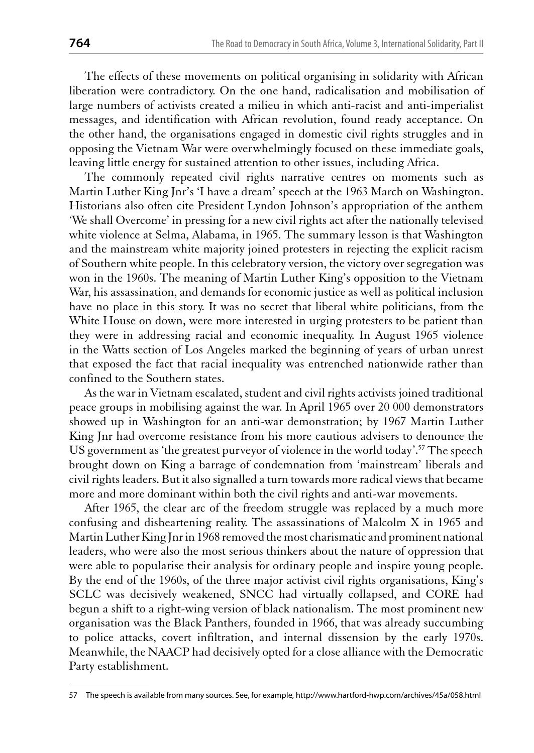The effects of these movements on political organising in solidarity with African liberation were contradictory. On the one hand, radicalisation and mobilisation of large numbers of activists created a milieu in which anti-racist and anti-imperialist messages, and identification with African revolution, found ready acceptance. On the other hand, the organisations engaged in domestic civil rights struggles and in opposing the Vietnam War were overwhelmingly focused on these immediate goals, leaving little energy for sustained attention to other issues, including Africa.

The commonly repeated civil rights narrative centres on moments such as Martin Luther King Jnr's 'I have a dream' speech at the 1963 March on Washington. Historians also often cite President Lyndon Johnson's appropriation of the anthem 'We shall Overcome' in pressing for a new civil rights act after the nationally televised white violence at Selma, Alabama, in 1965. The summary lesson is that Washington and the mainstream white majority joined protesters in rejecting the explicit racism of Southern white people. In this celebratory version, the victory over segregation was won in the 1960s. The meaning of Martin Luther King's opposition to the Vietnam War, his assassination, and demands for economic justice as well as political inclusion have no place in this story. It was no secret that liberal white politicians, from the White House on down, were more interested in urging protesters to be patient than they were in addressing racial and economic inequality. In August 1965 violence in the Watts section of Los Angeles marked the beginning of years of urban unrest that exposed the fact that racial inequality was entrenched nationwide rather than confined to the Southern states.

As the war in Vietnam escalated, student and civil rights activists joined traditional peace groups in mobilising against the war. In April 1965 over 20 000 demonstrators showed up in Washington for an anti-war demonstration; by 1967 Martin Luther King Jnr had overcome resistance from his more cautious advisers to denounce the US government as 'the greatest purveyor of violence in the world today'.<sup>57</sup> The speech brought down on King a barrage of condemnation from 'mainstream' liberals and civil rights leaders. But it also signalled a turn towards more radical views that became more and more dominant within both the civil rights and anti-war movements.

After 1965, the clear arc of the freedom struggle was replaced by a much more confusing and disheartening reality. The assassinations of Malcolm X in 1965 and Martin Luther King Jnr in 1968 removed the most charismatic and prominent national leaders, who were also the most serious thinkers about the nature of oppression that were able to popularise their analysis for ordinary people and inspire young people. By the end of the 1960s, of the three major activist civil rights organisations, King's SCLC was decisively weakened, SNCC had virtually collapsed, and CORE had begun a shift to a right-wing version of black nationalism. The most prominent new organisation was the Black Panthers, founded in 1966, that was already succumbing to police attacks, covert infiltration, and internal dissension by the early 1970s. Meanwhile, the NAACP had decisively opted for a close alliance with the Democratic Party establishment.

<sup>57</sup> The speech is available from many sources. See, for example, http://www.hartford-hwp.com/archives/45a/058.html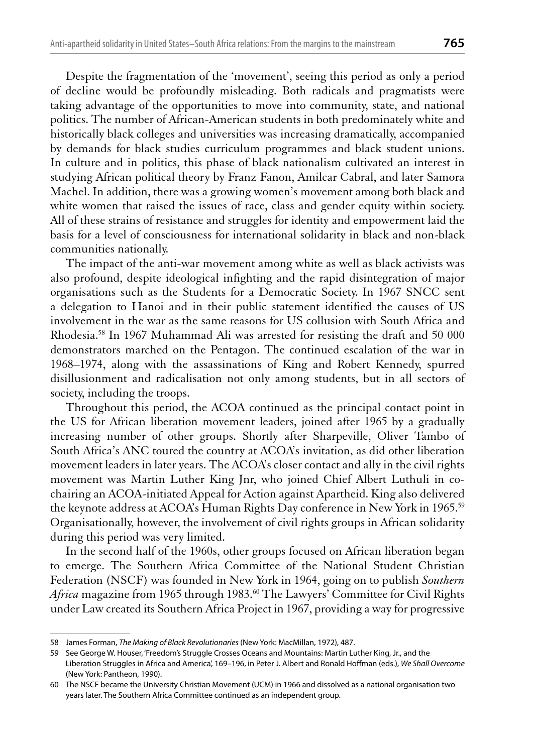Despite the fragmentation of the 'movement', seeing this period as only a period of decline would be profoundly misleading. Both radicals and pragmatists were taking advantage of the opportunities to move into community, state, and national politics. The number of African-American students in both predominately white and historically black colleges and universities was increasing dramatically, accompanied by demands for black studies curriculum programmes and black student unions. In culture and in politics, this phase of black nationalism cultivated an interest in studying African political theory by Franz Fanon, Amilcar Cabral, and later Samora Machel. In addition, there was a growing women's movement among both black and white women that raised the issues of race, class and gender equity within society. All of these strains of resistance and struggles for identity and empowerment laid the basis for a level of consciousness for international solidarity in black and non-black communities nationally.

The impact of the anti-war movement among white as well as black activists was also profound, despite ideological infighting and the rapid disintegration of major organisations such as the Students for a Democratic Society. In 1967 SNCC sent a delegation to Hanoi and in their public statement identified the causes of US involvement in the war as the same reasons for US collusion with South Africa and Rhodesia.<sup>58</sup> In 1967 Muhammad Ali was arrested for resisting the draft and 50 000 demonstrators marched on the Pentagon. The continued escalation of the war in 1968–1974, along with the assassinations of King and Robert Kennedy, spurred disillusionment and radicalisation not only among students, but in all sectors of society, including the troops.

Throughout this period, the ACOA continued as the principal contact point in the US for African liberation movement leaders, joined after 1965 by a gradually increasing number of other groups. Shortly after Sharpeville, Oliver Tambo of South Africa's ANC toured the country at ACOA's invitation, as did other liberation movement leaders in later years. The ACOA's closer contact and ally in the civil rights movement was Martin Luther King Jnr, who joined Chief Albert Luthuli in cochairing an ACOA-initiated Appeal for Action against Apartheid. King also delivered the keynote address at ACOA's Human Rights Day conference in New York in 1965.<sup>59</sup> Organisationally, however, the involvement of civil rights groups in African solidarity during this period was very limited.

In the second half of the 1960s, other groups focused on African liberation began to emerge. The Southern Africa Committee of the National Student Christian Federation (NSCF) was founded in New York in 1964, going on to publish Southern Africa magazine from 1965 through 1983.<sup>60</sup> The Lawyers' Committee for Civil Rights under Law created its Southern Africa Project in 1967, providing a way for progressive

<sup>58</sup> James Forman, The Making of Black Revolutionaries (New York: MacMillan, 1972), 487.

<sup>59</sup> See George W. Houser, 'Freedom's Struggle Crosses Oceans and Mountains: Martin Luther King, Jr., and the

Liberation Struggles in Africa and America', 169-196, in Peter J. Albert and Ronald Hoffman (eds.), We Shall Overcome (New York: Pantheon, 1990).

<sup>60</sup> The NSCF became the University Christian Movement (UCM) in 1966 and dissolved as a national organisation two years later. The Southern Africa Committee continued as an independent group.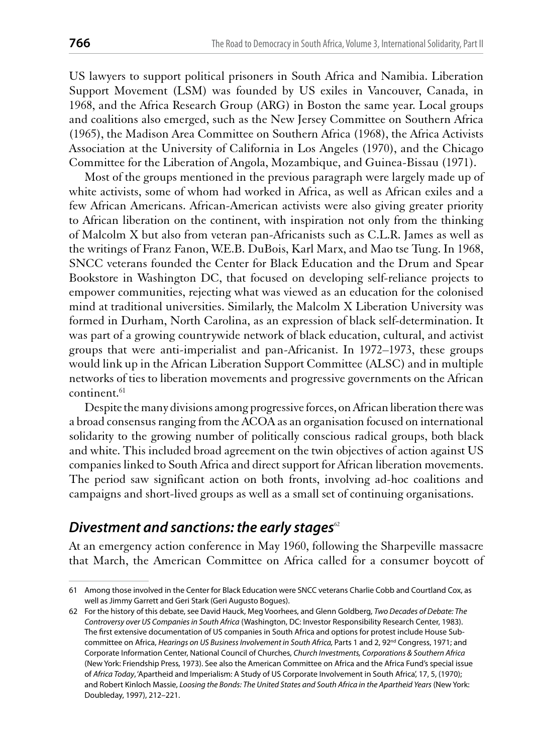US lawyers to support political prisoners in South Africa and Namibia. Liberation Support Movement (LSM) was founded by US exiles in Vancouver, Canada, in 1968, and the Africa Research Group (ARG) in Boston the same year. Local groups and coalitions also emerged, such as the New Jersey Committee on Southern Africa (1965), the Madison Area Committee on Southern Africa (1968), the Africa Activists Association at the University of California in Los Angeles (1970), and the Chicago Committee for the Liberation of Angola, Mozambique, and Guinea-Bissau (1971).

Most of the groups mentioned in the previous paragraph were largely made up of white activists, some of whom had worked in Africa, as well as African exiles and a few African Americans. African-American activists were also giving greater priority to African liberation on the continent, with inspiration not only from the thinking of Malcolm X but also from veteran pan-Africanists such as C.L.R. James as well as the writings of Franz Fanon, W.E.B. DuBois, Karl Marx, and Mao tse Tung. In 1968, SNCC veterans founded the Center for Black Education and the Drum and Spear Bookstore in Washington DC, that focused on developing self-reliance projects to empower communities, rejecting what was viewed as an education for the colonised mind at traditional universities. Similarly, the Malcolm X Liberation University was formed in Durham, North Carolina, as an expression of black self-determination. It was part of a growing countrywide network of black education, cultural, and activist groups that were anti-imperialist and pan-Africanist. In 1972–1973, these groups would link up in the African Liberation Support Committee (ALSC) and in multiple networks of ties to liberation movements and progressive governments on the African continent.<sup>61</sup>

Despite the many divisions among progressive forces, on African liberation there was a broad consensus ranging from the ACOA as an organisation focused on international solidarity to the growing number of politically conscious radical groups, both black and white. This included broad agreement on the twin objectives of action against US companies linked to South Africa and direct support for African liberation movements. The period saw significant action on both fronts, involving ad-hoc coalitions and campaigns and short-lived groups as well as a small set of continuing organisations.

#### Divestment and sanctions: the early stages $^{\circ}$

At an emergency action conference in May 1960, following the Sharpeville massacre that March, the American Committee on Africa called for a consumer boycott of

<sup>61</sup> Among those involved in the Center for Black Education were SNCC veterans Charlie Cobb and Courtland Cox, as well as Jimmy Garrett and Geri Stark (Geri Augusto Bogues).

<sup>62</sup> For the history of this debate, see David Hauck, Meg Voorhees, and Glenn Goldberg, Two Decades of Debate: The Controversy over US Companies in South Africa (Washington, DC: Investor Responsibility Research Center, 1983). The first extensive documentation of US companies in South Africa and options for protest include House Subcommittee on Africa, Hearings on US Business Involvement in South Africa, Parts 1 and 2, 92<sup>nd</sup> Congress, 1971; and Corporate Information Center, National Council of Churches, Church Investments, Corporations & Southern Africa (New York: Friendship Press, 1973). See also the American Committee on Africa and the Africa Fund's special issue of Africa Today, 'Apartheid and Imperialism: A Study of US Corporate Involvement in South Africa', 17, 5, (1970); and Robert Kinloch Massie, Loosing the Bonds: The United States and South Africa in the Apartheid Years (New York: Doubleday, 1997), 212-221.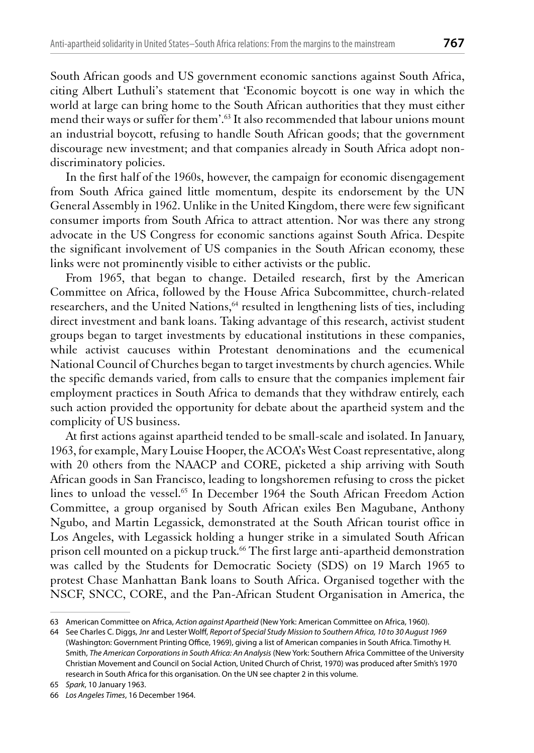South African goods and US government economic sanctions against South Africa, citing Albert Luthuli's statement that 'Economic boycott is one way in which the world at large can bring home to the South African authorities that they must either mend their ways or suffer for them'.<sup>63</sup> It also recommended that labour unions mount an industrial boycott, refusing to handle South African goods; that the government discourage new investment; and that companies already in South Africa adopt nondiscriminatory policies.

In the first half of the 1960s, however, the campaign for economic disengagement from South Africa gained little momentum, despite its endorsement by the UN General Assembly in 1962. Unlike in the United Kingdom, there were few significant consumer imports from South Africa to attract attention. Nor was there any strong advocate in the US Congress for economic sanctions against South Africa. Despite the significant involvement of US companies in the South African economy, these links were not prominently visible to either activists or the public.

From 1965, that began to change. Detailed research, first by the American Committee on Africa, followed by the House Africa Subcommittee, church-related researchers, and the United Nations,<sup>64</sup> resulted in lengthening lists of ties, including direct investment and bank loans. Taking advantage of this research, activist student groups began to target investments by educational institutions in these companies, while activist caucuses within Protestant denominations and the ecumenical National Council of Churches began to target investments by church agencies. While the specific demands varied, from calls to ensure that the companies implement fair employment practices in South Africa to demands that they withdraw entirely, each such action provided the opportunity for debate about the apartheid system and the complicity of US business.

At first actions against apartheid tended to be small-scale and isolated. In January, 1963, for example, Mary Louise Hooper, the ACOA's West Coast representative, along with 20 others from the NAACP and CORE, picketed a ship arriving with South African goods in San Francisco, leading to longshoremen refusing to cross the picket lines to unload the vessel.<sup>65</sup> In December 1964 the South African Freedom Action Committee, a group organised by South African exiles Ben Magubane, Anthony Ngubo, and Martin Legassick, demonstrated at the South African tourist office in Los Angeles, with Legassick holding a hunger strike in a simulated South African prison cell mounted on a pickup truck.<sup>66</sup> The first large anti-apartheid demonstration was called by the Students for Democratic Society (SDS) on 19 March 1965 to protest Chase Manhattan Bank loans to South Africa. Organised together with the NSCF, SNCC, CORE, and the Pan-African Student Organisation in America, the

<sup>63</sup> American Committee on Africa, Action against Apartheid (New York: American Committee on Africa, 1960).

<sup>64</sup> See Charles C. Diggs, Jnr and Lester Wolff, Report of Special Study Mission to Southern Africa, 10 to 30 August 1969 (Washington: Government Printing Office, 1969), giving a list of American companies in South Africa. Timothy H. Smith, The American Corporations in South Africa: An Analysis (New York: Southern Africa Committee of the University Christian Movement and Council on Social Action, United Church of Christ, 1970) was produced after Smith's 1970 research in South Africa for this organisation. On the UN see chapter 2 in this volume.

<sup>65</sup> Spark, 10 January 1963.

<sup>66</sup> Los Angeles Times, 16 December 1964.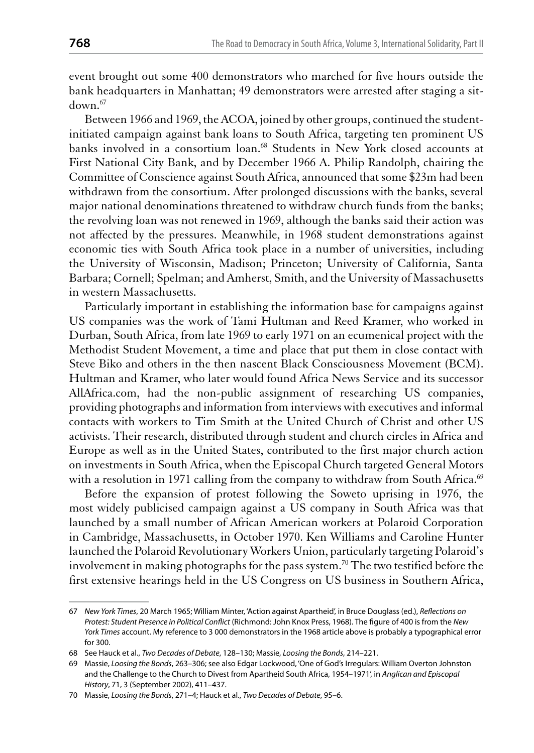event brought out some 400 demonstrators who marched for five hours outside the bank headquarters in Manhattan; 49 demonstrators were arrested after staging a sit $d$ own  $^{67}$ 

Between 1966 and 1969, the ACOA, joined by other groups, continued the studentinitiated campaign against bank loans to South Africa, targeting ten prominent US banks involved in a consortium loan.<sup>68</sup> Students in New York closed accounts at First National City Bank, and by December 1966 A. Philip Randolph, chairing the Committee of Conscience against South Africa, announced that some \$23m had been withdrawn from the consortium. After prolonged discussions with the banks, several major national denominations threatened to withdraw church funds from the banks; the revolving loan was not renewed in 1969, although the banks said their action was not affected by the pressures. Meanwhile, in 1968 student demonstrations against economic ties with South Africa took place in a number of universities, including the University of Wisconsin, Madison; Princeton; University of California, Santa Barbara; Cornell; Spelman; and Amherst, Smith, and the University of Massachusetts in western Massachusetts.

Particularly important in establishing the information base for campaigns against US companies was the work of Tami Hultman and Reed Kramer, who worked in Durban, South Africa, from late 1969 to early 1971 on an ecumenical project with the Methodist Student Movement, a time and place that put them in close contact with Steve Biko and others in the then nascent Black Consciousness Movement (BCM). Hultman and Kramer, who later would found Africa News Service and its successor AllAfrica.com, had the non-public assignment of researching US companies, providing photographs and information from interviews with executives and informal contacts with workers to Tim Smith at the United Church of Christ and other US activists. Their research, distributed through student and church circles in Africa and Europe as well as in the United States, contributed to the first major church action on investments in South Africa, when the Episcopal Church targeted General Motors with a resolution in 1971 calling from the company to withdraw from South Africa.<sup>69</sup>

Before the expansion of protest following the Soweto uprising in 1976, the most widely publicised campaign against a US company in South Africa was that launched by a small number of African American workers at Polaroid Corporation in Cambridge, Massachusetts, in October 1970. Ken Williams and Caroline Hunter launched the Polaroid Revolutionary Workers Union, particularly targeting Polaroid's involvement in making photographs for the pass system.<sup>70</sup> The two testified before the first extensive hearings held in the US Congress on US business in Southern Africa,

<sup>67</sup> New York Times, 20 March 1965; William Minter, 'Action against Apartheid', in Bruce Douglass (ed.), Reflections on Protest: Student Presence in Political Conflict (Richmond: John Knox Press, 1968). The figure of 400 is from the New York Times account. My reference to 3 000 demonstrators in the 1968 article above is probably a typographical error for 300.

<sup>68</sup> See Hauck et al., Two Decades of Debate, 128-130; Massie, Loosing the Bonds, 214-221.

<sup>69</sup> Massie, Loosing the Bonds, 263-306; see also Edgar Lockwood, 'One of God's Irregulars: William Overton Johnston and the Challenge to the Church to Divest from Apartheid South Africa, 1954-1971', in Anglican and Episcopal History, 71, 3 (September 2002), 411-437.

<sup>70</sup> Massie, Loosing the Bonds, 271-4; Hauck et al., Two Decades of Debate, 95-6.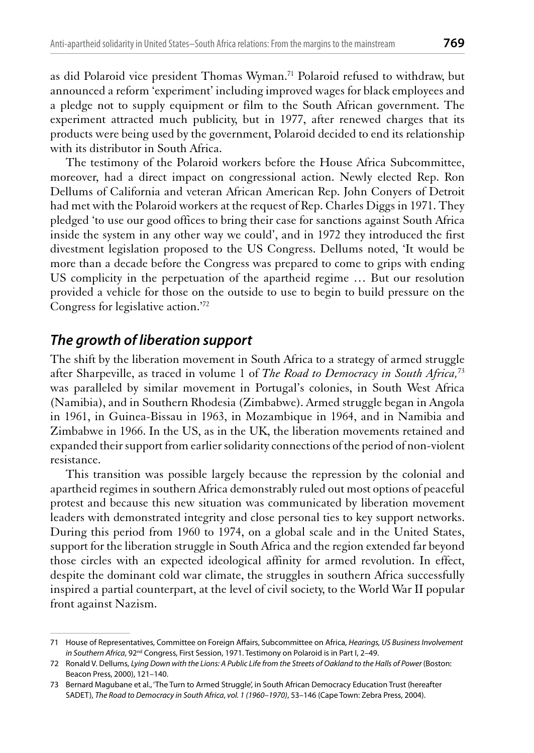as did Polaroid vice president Thomas Wyman.<sup>71</sup> Polaroid refused to withdraw, but announced a reform 'experiment' including improved wages for black employees and a pledge not to supply equipment or film to the South African government. The experiment attracted much publicity, but in 1977, after renewed charges that its products were being used by the government, Polaroid decided to end its relationship with its distributor in South Africa.

The testimony of the Polaroid workers before the House Africa Subcommittee, moreover, had a direct impact on congressional action. Newly elected Rep. Ron Dellums of California and veteran African American Rep. John Conyers of Detroit had met with the Polaroid workers at the request of Rep. Charles Diggs in 1971. They pledged 'to use our good offices to bring their case for sanctions against South Africa inside the system in any other way we could', and in 1972 they introduced the first divestment legislation proposed to the US Congress. Dellums noted, 'It would be more than a decade before the Congress was prepared to come to grips with ending US complicity in the perpetuation of the apartheid regime ... But our resolution provided a vehicle for those on the outside to use to begin to build pressure on the Congress for legislative action."72

#### The growth of liberation support

The shift by the liberation movement in South Africa to a strategy of armed struggle after Sharpeville, as traced in volume 1 of The Road to Democracy in South Africa,<sup>73</sup> was paralleled by similar movement in Portugal's colonies, in South West Africa (Namibia), and in Southern Rhodesia (Zimbabwe). Armed struggle began in Angola in 1961, in Guinea-Bissau in 1963, in Mozambique in 1964, and in Namibia and Zimbabwe in 1966. In the US, as in the UK, the liberation movements retained and expanded their support from earlier solidarity connections of the period of non-violent resistance.

This transition was possible largely because the repression by the colonial and apartheid regimes in southern Africa demonstrably ruled out most options of peaceful protest and because this new situation was communicated by liberation movement leaders with demonstrated integrity and close personal ties to key support networks. During this period from 1960 to 1974, on a global scale and in the United States, support for the liberation struggle in South Africa and the region extended far beyond those circles with an expected ideological affinity for armed revolution. In effect, despite the dominant cold war climate, the struggles in southern Africa successfully inspired a partial counterpart, at the level of civil society, to the World War II popular front against Nazism.

<sup>71</sup> House of Representatives, Committee on Foreign Affairs, Subcommittee on Africa, Hearings, US Business Involvement in Southern Africa, 92<sup>nd</sup> Congress, First Session, 1971. Testimony on Polaroid is in Part I, 2-49.

<sup>72</sup> Ronald V. Dellums, Lying Down with the Lions: A Public Life from the Streets of Oakland to the Halls of Power (Boston: Beacon Press, 2000), 121-140.

<sup>73</sup> Bernard Magubane et al., 'The Turn to Armed Struggle', in South African Democracy Education Trust (hereafter SADET), The Road to Democracy in South Africa, vol. 1 (1960-1970), 53-146 (Cape Town: Zebra Press, 2004).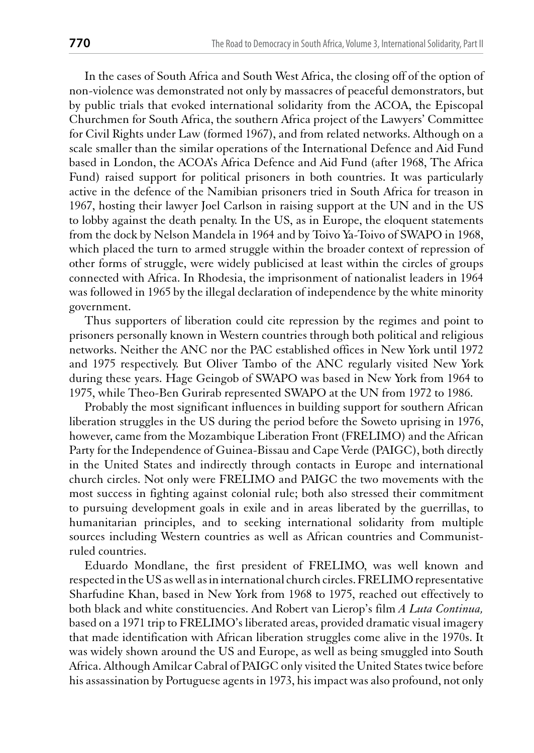In the cases of South Africa and South West Africa, the closing off of the option of non-violence was demonstrated not only by massacres of peaceful demonstrators, but by public trials that evoked international solidarity from the ACOA, the Episcopal Churchmen for South Africa, the southern Africa project of the Lawyers' Committee for Civil Rights under Law (formed 1967), and from related networks. Although on a scale smaller than the similar operations of the International Defence and Aid Fund based in London, the ACOA's Africa Defence and Aid Fund (after 1968, The Africa Fund) raised support for political prisoners in both countries. It was particularly active in the defence of the Namibian prisoners tried in South Africa for treason in 1967, hosting their lawyer Joel Carlson in raising support at the UN and in the US to lobby against the death penalty. In the US, as in Europe, the eloquent statements from the dock by Nelson Mandela in 1964 and by Toivo Ya-Toivo of SWAPO in 1968, which placed the turn to armed struggle within the broader context of repression of other forms of struggle, were widely publicised at least within the circles of groups connected with Africa. In Rhodesia, the imprisonment of nationalist leaders in 1964 was followed in 1965 by the illegal declaration of independence by the white minority government.

Thus supporters of liberation could cite repression by the regimes and point to prisoners personally known in Western countries through both political and religious networks. Neither the ANC nor the PAC established offices in New York until 1972 and 1975 respectively. But Oliver Tambo of the ANC regularly visited New York during these years. Hage Geingob of SWAPO was based in New York from 1964 to 1975, while Theo-Ben Gurirab represented SWAPO at the UN from 1972 to 1986.

Probably the most significant influences in building support for southern African liberation struggles in the US during the period before the Soweto uprising in 1976, however, came from the Mozambique Liberation Front (FRELIMO) and the African Party for the Independence of Guinea-Bissau and Cape Verde (PAIGC), both directly in the United States and indirectly through contacts in Europe and international church circles. Not only were FRELIMO and PAIGC the two movements with the most success in fighting against colonial rule; both also stressed their commitment to pursuing development goals in exile and in areas liberated by the guerrillas, to humanitarian principles, and to seeking international solidarity from multiple sources including Western countries as well as African countries and Communistruled countries.

Eduardo Mondlane, the first president of FRELIMO, was well known and respected in the US as well as in international church circles. FRELIMO representative Sharfudine Khan, based in New York from 1968 to 1975, reached out effectively to both black and white constituencies. And Robert van Lierop's film A Luta Continua, based on a 1971 trip to FRELIMO's liberated areas, provided dramatic visual imagery that made identification with African liberation struggles come alive in the 1970s. It was widely shown around the US and Europe, as well as being smuggled into South Africa. Although Amilcar Cabral of PAIGC only visited the United States twice before his assassination by Portuguese agents in 1973, his impact was also profound, not only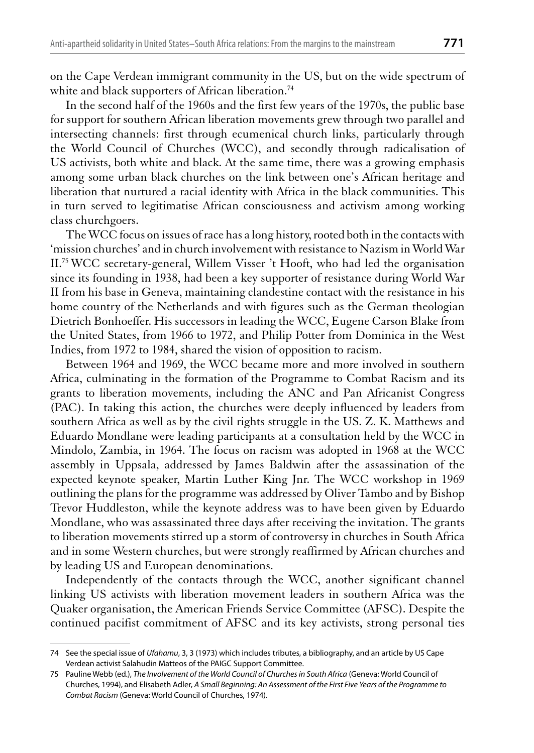on the Cape Verdean immigrant community in the US, but on the wide spectrum of white and black supporters of African liberation.<sup>74</sup>

In the second half of the 1960s and the first few years of the 1970s, the public base for support for southern African liberation movements grew through two parallel and intersecting channels: first through ecumenical church links, particularly through the World Council of Churches (WCC), and secondly through radicalisation of US activists, both white and black. At the same time, there was a growing emphasis among some urban black churches on the link between one's African heritage and liberation that nurtured a racial identity with Africa in the black communities. This in turn served to legitimatise African consciousness and activism among working class churchgoers.

The WCC focus on issues of race has a long history, rooted both in the contacts with 'mission churches' and in church involvement with resistance to Nazism in World War II.<sup>75</sup> WCC secretary-general, Willem Visser 't Hooft, who had led the organisation since its founding in 1938, had been a key supporter of resistance during World War II from his base in Geneva, maintaining clandestine contact with the resistance in his home country of the Netherlands and with figures such as the German theologian Dietrich Bonhoeffer. His successors in leading the WCC, Eugene Carson Blake from the United States, from 1966 to 1972, and Philip Potter from Dominica in the West Indies, from 1972 to 1984, shared the vision of opposition to racism.

Between 1964 and 1969, the WCC became more and more involved in southern Africa, culminating in the formation of the Programme to Combat Racism and its grants to liberation movements, including the ANC and Pan Africanist Congress (PAC). In taking this action, the churches were deeply influenced by leaders from southern Africa as well as by the civil rights struggle in the US. Z. K. Matthews and Eduardo Mondlane were leading participants at a consultation held by the WCC in Mindolo, Zambia, in 1964. The focus on racism was adopted in 1968 at the WCC assembly in Uppsala, addressed by James Baldwin after the assassination of the expected keynote speaker, Martin Luther King Jnr. The WCC workshop in 1969 outlining the plans for the programme was addressed by Oliver Tambo and by Bishop Trevor Huddleston, while the keynote address was to have been given by Eduardo Mondlane, who was assassinated three days after receiving the invitation. The grants to liberation movements stirred up a storm of controversy in churches in South Africa and in some Western churches, but were strongly reaffirmed by African churches and by leading US and European denominations.

Independently of the contacts through the WCC, another significant channel linking US activists with liberation movement leaders in southern Africa was the Quaker organisation, the American Friends Service Committee (AFSC). Despite the continued pacifist commitment of AFSC and its key activists, strong personal ties

<sup>74</sup> See the special issue of Ufahamu, 3, 3 (1973) which includes tributes, a bibliography, and an article by US Cape Verdean activist Salahudin Matteos of the PAIGC Support Committee.

<sup>75</sup> Pauline Webb (ed.), The Involvement of the World Council of Churches in South Africa (Geneva: World Council of Churches, 1994), and Elisabeth Adler, A Small Beginning: An Assessment of the First Five Years of the Programme to Combat Racism (Geneva: World Council of Churches, 1974).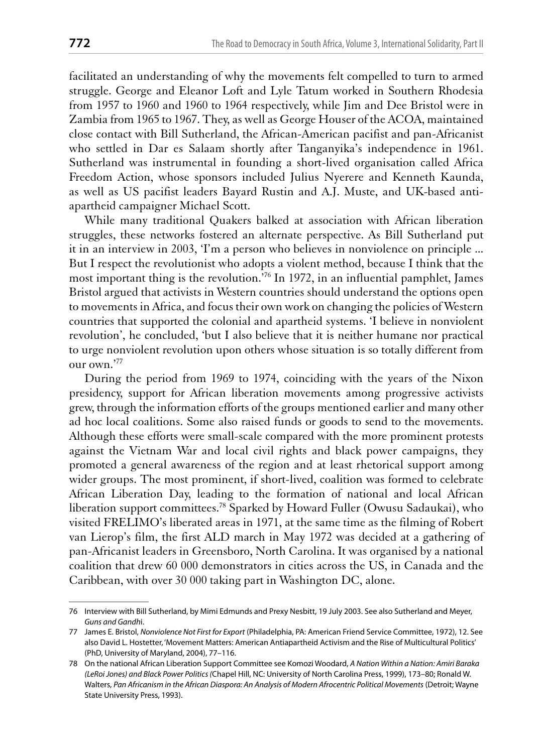facilitated an understanding of why the movements felt compelled to turn to armed struggle. George and Eleanor Loft and Lyle Tatum worked in Southern Rhodesia from 1957 to 1960 and 1960 to 1964 respectively, while Jim and Dee Bristol were in Zambia from 1965 to 1967. They, as well as George Houser of the ACOA, maintained close contact with Bill Sutherland, the African-American pacifist and pan-Africanist who settled in Dar es Salaam shortly after Tanganyika's independence in 1961. Sutherland was instrumental in founding a short-lived organisation called Africa Freedom Action, whose sponsors included Julius Nyerere and Kenneth Kaunda, as well as US pacifist leaders Bayard Rustin and A.J. Muste, and UK-based antiapartheid campaigner Michael Scott.

While many traditional Quakers balked at association with African liberation struggles, these networks fostered an alternate perspective. As Bill Sutherland put it in an interview in 2003, T'm a person who believes in nonviolence on principle... But I respect the revolutionist who adopts a violent method, because I think that the most important thing is the revolution.<sup>76</sup> In 1972, in an influential pamphlet, James Bristol argued that activists in Western countries should understand the options open to movements in Africa, and focus their own work on changing the policies of Western countries that supported the colonial and apartheid systems. 'I believe in nonviolent revolution', he concluded, 'but I also believe that it is neither humane nor practical to urge nonviolent revolution upon others whose situation is so totally different from our own."77

During the period from 1969 to 1974, coinciding with the years of the Nixon presidency, support for African liberation movements among progressive activists grew, through the information efforts of the groups mentioned earlier and many other ad hoc local coalitions. Some also raised funds or goods to send to the movements. Although these efforts were small-scale compared with the more prominent protests against the Vietnam War and local civil rights and black power campaigns, they promoted a general awareness of the region and at least rhetorical support among wider groups. The most prominent, if short-lived, coalition was formed to celebrate African Liberation Day, leading to the formation of national and local African liberation support committees.<sup>78</sup> Sparked by Howard Fuller (Owusu Sadaukai), who visited FRELIMO's liberated areas in 1971, at the same time as the filming of Robert van Lierop's film, the first ALD march in May 1972 was decided at a gathering of pan-Africanist leaders in Greensboro, North Carolina. It was organised by a national coalition that drew 60 000 demonstrators in cities across the US, in Canada and the Caribbean, with over 30 000 taking part in Washington DC, alone.

<sup>76</sup> Interview with Bill Sutherland, by Mimi Edmunds and Prexy Nesbitt, 19 July 2003. See also Sutherland and Meyer, Guns and Gandhi.

<sup>77</sup> James E. Bristol, Nonviolence Not First for Export (Philadelphia, PA: American Friend Service Committee, 1972), 12. See also David L. Hostetter, 'Movement Matters: American Antiapartheid Activism and the Rise of Multicultural Politics' (PhD, University of Maryland, 2004), 77-116.

<sup>78</sup> On the national African Liberation Support Committee see Komozi Woodard, A Nation Within a Nation: Amiri Baraka (LeRoi Jones) and Black Power Politics (Chapel Hill, NC: University of North Carolina Press, 1999), 173-80; Ronald W. Walters, Pan Africanism in the African Diaspora: An Analysis of Modern Afrocentric Political Movements (Detroit; Wayne State University Press, 1993).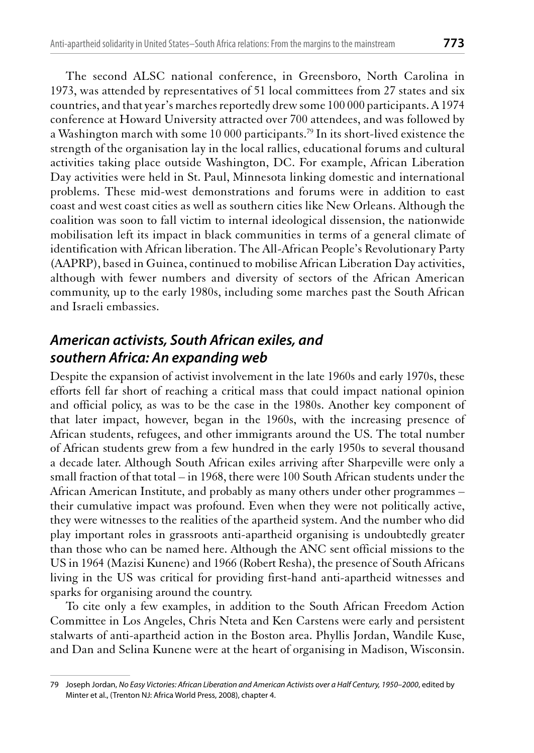countries, and that year's marches reportedly drew some 100 000 participants. A 1974 conference at Howard University attracted over 700 attendees, and was followed by a Washington march with some 10 000 participants.<sup>79</sup> In its short-lived existence the strength of the organisation lay in the local rallies, educational forums and cultural activities taking place outside Washington, DC. For example, African Liberation Day activities were held in St. Paul, Minnesota linking domestic and international problems. These mid-west demonstrations and forums were in addition to east coast and west coast cities as well as southern cities like New Orleans. Although the coalition was soon to fall victim to internal ideological dissension, the nationwide mobilisation left its impact in black communities in terms of a general climate of identification with African liberation. The All-African People's Revolutionary Party (AAPRP), based in Guinea, continued to mobilise African Liberation Day activities, although with fewer numbers and diversity of sectors of the African American community, up to the early 1980s, including some marches past the South African and Israeli embassies.

# American activists, South African exiles, and southern Africa: An expanding web

Despite the expansion of activist involvement in the late 1960s and early 1970s, these efforts fell far short of reaching a critical mass that could impact national opinion and official policy, as was to be the case in the 1980s. Another key component of that later impact, however, began in the 1960s, with the increasing presence of African students, refugees, and other immigrants around the US. The total number of African students grew from a few hundred in the early 1950s to several thousand a decade later. Although South African exiles arriving after Sharpeville were only a small fraction of that total  $-$  in 1968, there were 100 South African students under the African American Institute, and probably as many others under other programmes their cumulative impact was profound. Even when they were not politically active, they were witnesses to the realities of the apartheid system. And the number who did play important roles in grassroots anti-apartheid organising is undoubtedly greater than those who can be named here. Although the ANC sent official missions to the US in 1964 (Mazisi Kunene) and 1966 (Robert Resha), the presence of South Africans living in the US was critical for providing first-hand anti-apartheid witnesses and sparks for organising around the country.

To cite only a few examples, in addition to the South African Freedom Action Committee in Los Angeles, Chris Nteta and Ken Carstens were early and persistent stalwarts of anti-apartheid action in the Boston area. Phyllis Jordan, Wandile Kuse, and Dan and Selina Kunene were at the heart of organising in Madison, Wisconsin.

<sup>79</sup> Joseph Jordan, No Easy Victories: African Liberation and American Activists over a Half Century, 1950-2000, edited by Minter et al., (Trenton NJ: Africa World Press, 2008), chapter 4.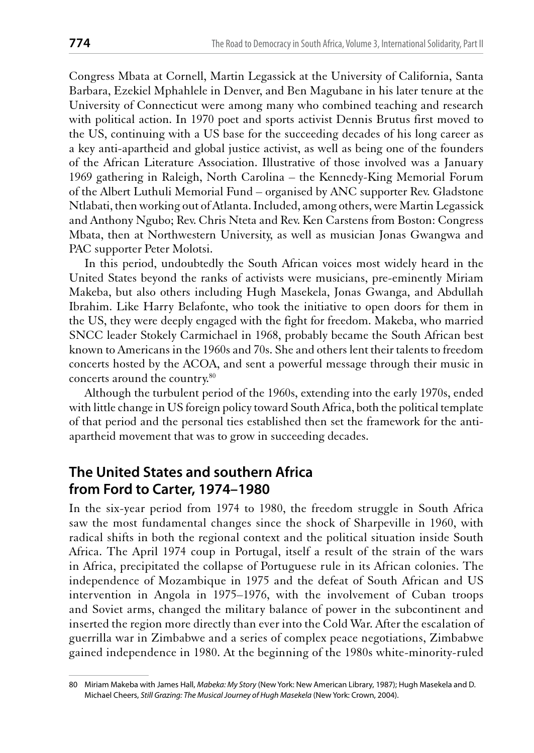Congress Mbata at Cornell, Martin Legassick at the University of California, Santa Barbara, Ezekiel Mphahlele in Denver, and Ben Magubane in his later tenure at the University of Connecticut were among many who combined teaching and research with political action. In 1970 poet and sports activist Dennis Brutus first moved to the US, continuing with a US base for the succeeding decades of his long career as a key anti-apartheid and global justice activist, as well as being one of the founders of the African Literature Association. Illustrative of those involved was a January 1969 gathering in Raleigh, North Carolina – the Kennedy-King Memorial Forum of the Albert Luthuli Memorial Fund – organised by ANC supporter Rev. Gladstone Ntlabati, then working out of Atlanta. Included, among others, were Martin Legassick and Anthony Ngubo; Rev. Chris Nteta and Rev. Ken Carstens from Boston: Congress Mbata, then at Northwestern University, as well as musician Jonas Gwangwa and PAC supporter Peter Molotsi.

In this period, undoubtedly the South African voices most widely heard in the United States beyond the ranks of activists were musicians, pre-eminently Miriam Makeba, but also others including Hugh Masekela, Jonas Gwanga, and Abdullah Ibrahim. Like Harry Belafonte, who took the initiative to open doors for them in the US, they were deeply engaged with the fight for freedom. Makeba, who married SNCC leader Stokely Carmichael in 1968, probably became the South African best known to Americans in the 1960s and 70s. She and others lent their talents to freedom concerts hosted by the ACOA, and sent a powerful message through their music in concerts around the country.80

Although the turbulent period of the 1960s, extending into the early 1970s, ended with little change in US foreign policy toward South Africa, both the political template of that period and the personal ties established then set the framework for the antiapartheid movement that was to grow in succeeding decades.

### The United States and southern Africa from Ford to Carter, 1974–1980

In the six-year period from 1974 to 1980, the freedom struggle in South Africa saw the most fundamental changes since the shock of Sharpeville in 1960, with radical shifts in both the regional context and the political situation inside South Africa. The April 1974 coup in Portugal, itself a result of the strain of the wars in Africa, precipitated the collapse of Portuguese rule in its African colonies. The independence of Mozambique in 1975 and the defeat of South African and US intervention in Angola in 1975–1976, with the involvement of Cuban troops and Soviet arms, changed the military balance of power in the subcontinent and inserted the region more directly than ever into the Cold War. After the escalation of guerrilla war in Zimbabwe and a series of complex peace negotiations, Zimbabwe gained independence in 1980. At the beginning of the 1980s white-minority-ruled

<sup>80</sup> Miriam Makeba with James Hall, Mabeka: My Story (New York: New American Library, 1987); Hugh Masekela and D. Michael Cheers, Still Grazing: The Musical Journey of Hugh Masekela (New York: Crown, 2004).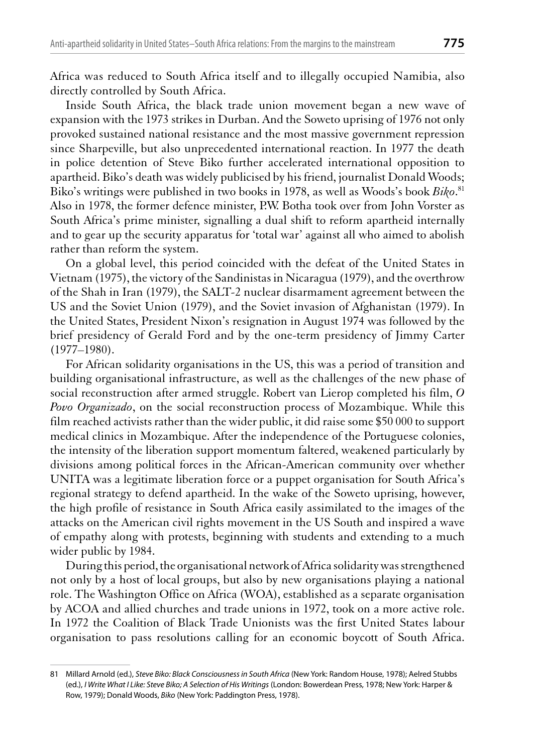Africa was reduced to South Africa itself and to illegally occupied Namibia, also directly controlled by South Africa.

Inside South Africa, the black trade union movement began a new wave of expansion with the 1973 strikes in Durban. And the Soweto uprising of 1976 not only provoked sustained national resistance and the most massive government repression since Sharpeville, but also unprecedented international reaction. In 1977 the death in police detention of Steve Biko further accelerated international opposition to apartheid. Biko's death was widely publicised by his friend, journalist Donald Woods; Biko's writings were published in two books in 1978, as well as Woods's book Biko.<sup>81</sup> Also in 1978, the former defence minister, P.W. Botha took over from John Vorster as South Africa's prime minister, signalling a dual shift to reform apartheid internally and to gear up the security apparatus for 'total war' against all who aimed to abolish rather than reform the system.

On a global level, this period coincided with the defeat of the United States in Vietnam (1975), the victory of the Sandinistas in Nicaragua (1979), and the overthrow of the Shah in Iran (1979), the SALT-2 nuclear disarmament agreement between the US and the Soviet Union (1979), and the Soviet invasion of Afghanistan (1979). In the United States, President Nixon's resignation in August 1974 was followed by the brief presidency of Gerald Ford and by the one-term presidency of Jimmy Carter  $(1977 - 1980)$ .

For African solidarity organisations in the US, this was a period of transition and building organisational infrastructure, as well as the challenges of the new phase of social reconstruction after armed struggle. Robert van Lierop completed his film, O Povo Organizado, on the social reconstruction process of Mozambique. While this film reached activists rather than the wider public, it did raise some \$50 000 to support medical clinics in Mozambique. After the independence of the Portuguese colonies, the intensity of the liberation support momentum faltered, weakened particularly by divisions among political forces in the African-American community over whether UNITA was a legitimate liberation force or a puppet organisation for South Africa's regional strategy to defend apartheid. In the wake of the Soweto uprising, however, the high profile of resistance in South Africa easily assimilated to the images of the attacks on the American civil rights movement in the US South and inspired a wave of empathy along with protests, beginning with students and extending to a much wider public by 1984.

During this period, the organisational network of Africa solidarity was strengthened not only by a host of local groups, but also by new organisations playing a national role. The Washington Office on Africa (WOA), established as a separate organisation by ACOA and allied churches and trade unions in 1972, took on a more active role. In 1972 the Coalition of Black Trade Unionists was the first United States labour organisation to pass resolutions calling for an economic boycott of South Africa.

<sup>81</sup> Millard Arnold (ed.), Steve Biko: Black Consciousness in South Africa (New York: Random House, 1978); Aelred Stubbs (ed.), I Write What I Like: Steve Biko; A Selection of His Writings (London: Bowerdean Press, 1978; New York: Harper & Row, 1979); Donald Woods, Biko (New York: Paddington Press, 1978).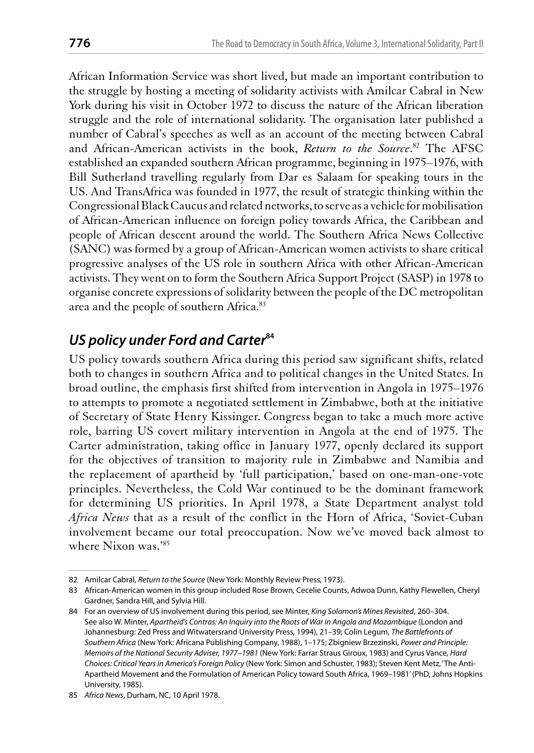African Information Service was short lived, but made an important contribution to the struggle by hosting a meeting of solidarity activists with Amilcar Cabral in New York during his visit in October 1972 to discuss the nature of the African liberation struggle and the role of international solidarity. The organisation later published a number of Cabral's speeches as well as an account of the meeting between Cabral and African-American activists in the book, Return to the Source.<sup>82</sup> The AFSC established an expanded southern African programme, beginning in 1975–1976, with Bill Sutherland travelling regularly from Dar es Salaam for speaking tours in the US. And TransAfrica was founded in 1977, the result of strategic thinking within the Congressional Black Caucus and related networks, to serve as a vehicle for mobilisation of African-American influence on foreign policy towards Africa, the Caribbean and people of African descent around the world. The Southern Africa News Collective (SANC) was formed by a group of African-American women activists to share critical progressive analyses of the US role in southern Africa with other African-American activists. They went on to form the Southern Africa Support Project (SASP) in 1978 to organise concrete expressions of solidarity between the people of the DC metropolitan area and the people of southern Africa.<sup>83</sup>

# US policy under Ford and Carter<sup>84</sup>

US policy towards southern Africa during this period saw significant shifts, related both to changes in southern Africa and to political changes in the United States. In broad outline, the emphasis first shifted from intervention in Angola in 1975–1976 to attempts to promote a negotiated settlement in Zimbabwe, both at the initiative of Secretary of State Henry Kissinger. Congress began to take a much more active role, barring US covert military intervention in Angola at the end of 1975. The Carter administration, taking office in January 1977, openly declared its support for the objectives of transition to majority rule in Zimbabwe and Namibia and the replacement of apartheid by 'full participation,' based on one-man-one-vote principles. Nevertheless, the Cold War continued to be the dominant framework for determining US priorities. In April 1978, a State Department analyst told Africa News that as a result of the conflict in the Horn of Africa, 'Soviet-Cuban involvement became our total preoccupation. Now we've moved back almost to where Nixon was.'85

<sup>82</sup> Amilcar Cabral, Return to the Source (New York: Monthly Review Press, 1973).

<sup>83</sup> African-American women in this group included Rose Brown, Cecelie Counts, Adwoa Dunn, Kathy Flewellen, Cheryl Gardner, Sandra Hill, and Sylvia Hill.

<sup>84</sup> For an overview of US involvement during this period, see Minter, King Solomon's Mines Revisited, 260-304. See also W. Minter, Apartheid's Contras: An Inquiry into the Roots of War in Angola and Mozambique (London and Johannesburg: Zed Press and Witwatersrand University Press, 1994), 21-39; Colin Legum, The Battlefronts of Southern Africa (New York: Africana Publishing Company, 1988), 1-175; Zbigniew Brzezinski, Power and Principle: Memoirs of the National Security Adviser, 1977-1981 (New York: Farrar Straus Giroux, 1983) and Cyrus Vance, Hard Choices: Critical Years in America's Foreign Policy (New York: Simon and Schuster, 1983); Steven Kent Metz, 'The Anti-Apartheid Movement and the Formulation of American Policy toward South Africa, 1969-1981' (PhD, Johns Hopkins University, 1985).

<sup>85</sup> Africa News, Durham, NC, 10 April 1978.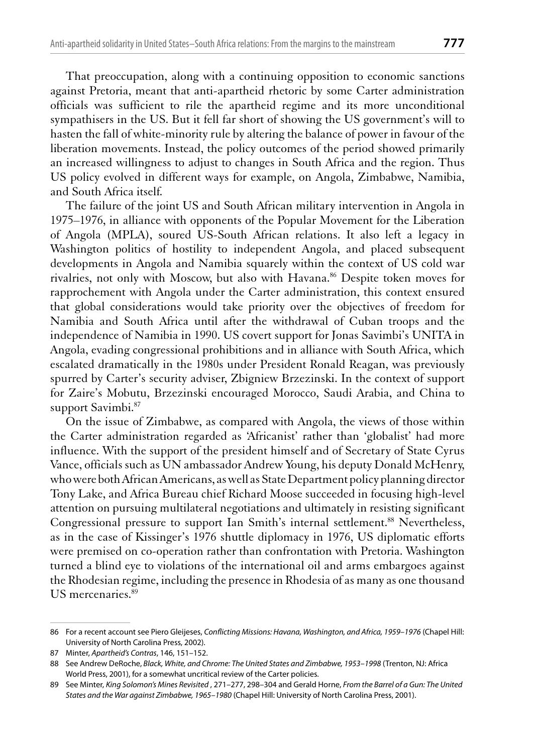That preoccupation, along with a continuing opposition to economic sanctions against Pretoria, meant that anti-apartheid rhetoric by some Carter administration officials was sufficient to rile the apartheid regime and its more unconditional sympathisers in the US. But it fell far short of showing the US government's will to hasten the fall of white-minority rule by altering the balance of power in favour of the liberation movements. Instead, the policy outcomes of the period showed primarily an increased willingness to adjust to changes in South Africa and the region. Thus US policy evolved in different ways for example, on Angola, Zimbabwe, Namibia, and South Africa itself.

The failure of the joint US and South African military intervention in Angola in 1975–1976, in alliance with opponents of the Popular Movement for the Liberation of Angola (MPLA), soured US-South African relations. It also left a legacy in Washington politics of hostility to independent Angola, and placed subsequent developments in Angola and Namibia squarely within the context of US cold war rivalries, not only with Moscow, but also with Havana.<sup>86</sup> Despite token moves for rapprochement with Angola under the Carter administration, this context ensured that global considerations would take priority over the objectives of freedom for Namibia and South Africa until after the withdrawal of Cuban troops and the independence of Namibia in 1990. US covert support for Jonas Savimbi's UNITA in Angola, evading congressional prohibitions and in alliance with South Africa, which escalated dramatically in the 1980s under President Ronald Reagan, was previously spurred by Carter's security adviser, Zbigniew Brzezinski. In the context of support for Zaire's Mobutu, Brzezinski encouraged Morocco, Saudi Arabia, and China to support Savimbi.<sup>87</sup>

On the issue of Zimbabwe, as compared with Angola, the views of those within the Carter administration regarded as 'Africanist' rather than 'globalist' had more influence. With the support of the president himself and of Secretary of State Cyrus Vance, officials such as UN ambassador Andrew Young, his deputy Donald McHenry, who were both African Americans, as well as State Department policy planning director Tony Lake, and Africa Bureau chief Richard Moose succeeded in focusing high-level attention on pursuing multilateral negotiations and ultimately in resisting significant Congressional pressure to support Ian Smith's internal settlement.<sup>88</sup> Nevertheless, as in the case of Kissinger's 1976 shuttle diplomacy in 1976, US diplomatic efforts were premised on co-operation rather than confrontation with Pretoria. Washington turned a blind eye to violations of the international oil and arms embargoes against the Rhodesian regime, including the presence in Rhodesia of as many as one thousand US mercenaries.<sup>89</sup>

<sup>86</sup> For a recent account see Piero Gleijeses, Conflicting Missions: Havana, Washington, and Africa, 1959-1976 (Chapel Hill: University of North Carolina Press, 2002).

<sup>87</sup> Minter, Apartheid's Contras, 146, 151-152.

<sup>88</sup> See Andrew DeRoche, Black, White, and Chrome: The United States and Zimbabwe, 1953-1998 (Trenton, NJ: Africa World Press, 2001), for a somewhat uncritical review of the Carter policies.

<sup>89</sup> See Minter, King Solomon's Mines Revisited , 271-277, 298-304 and Gerald Horne, From the Barrel of a Gun: The United States and the War against Zimbabwe, 1965-1980 (Chapel Hill: University of North Carolina Press, 2001).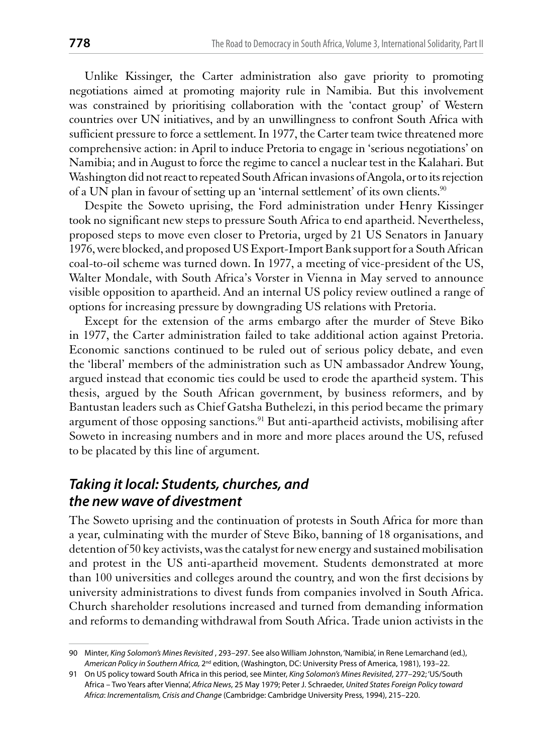Unlike Kissinger, the Carter administration also gave priority to promoting negotiations aimed at promoting majority rule in Namibia. But this involvement was constrained by prioritising collaboration with the 'contact group' of Western countries over UN initiatives, and by an unwillingness to confront South Africa with sufficient pressure to force a settlement. In 1977, the Carter team twice threatened more comprehensive action: in April to induce Pretoria to engage in 'serious negotiations' on Namibia; and in August to force the regime to cancel a nuclear test in the Kalahari. But Washington did not react to repeated South African invasions of Angola, or to its rejection of a UN plan in favour of setting up an 'internal settlement' of its own clients.<sup>90</sup>

Despite the Soweto uprising, the Ford administration under Henry Kissinger took no significant new steps to pressure South Africa to end apartheid. Nevertheless, proposed steps to move even closer to Pretoria, urged by 21 US Senators in January 1976, were blocked, and proposed US Export-Import Bank support for a South African coal-to-oil scheme was turned down. In 1977, a meeting of vice-president of the US, Walter Mondale, with South Africa's Vorster in Vienna in May served to announce visible opposition to apartheid. And an internal US policy review outlined a range of options for increasing pressure by downgrading US relations with Pretoria.

Except for the extension of the arms embargo after the murder of Steve Biko in 1977, the Carter administration failed to take additional action against Pretoria. Economic sanctions continued to be ruled out of serious policy debate, and even the 'liberal' members of the administration such as UN ambassador Andrew Young, argued instead that economic ties could be used to erode the apartheid system. This thesis, argued by the South African government, by business reformers, and by Bantustan leaders such as Chief Gatsha Buthelezi, in this period became the primary argument of those opposing sanctions.<sup>91</sup> But anti-apartheid activists, mobilising after Soweto in increasing numbers and in more and more places around the US, refused to be placated by this line of argument.

# Taking it local: Students, churches, and the new wave of divestment

The Soweto uprising and the continuation of protests in South Africa for more than a year, culminating with the murder of Steve Biko, banning of 18 organisations, and detention of 50 key activists, was the catalyst for new energy and sustained mobilisation and protest in the US anti-apartheid movement. Students demonstrated at more than 100 universities and colleges around the country, and won the first decisions by university administrations to divest funds from companies involved in South Africa. Church shareholder resolutions increased and turned from demanding information and reforms to demanding withdrawal from South Africa. Trade union activists in the

<sup>90</sup> Minter, King Solomon's Mines Revisited , 293-297. See also William Johnston, 'Namibia', in Rene Lemarchand (ed.), American Policy in Southern Africa, 2<sup>nd</sup> edition, (Washington, DC: University Press of America, 1981), 193-22.

<sup>91</sup> On US policy toward South Africa in this period, see Minter, King Solomon's Mines Revisited, 277-292; 'US/South Africa - Two Years after Vienna', Africa News, 25 May 1979; Peter J. Schraeder, United States Foreign Policy toward Africa: Incrementalism, Crisis and Change (Cambridge: Cambridge University Press, 1994), 215-220.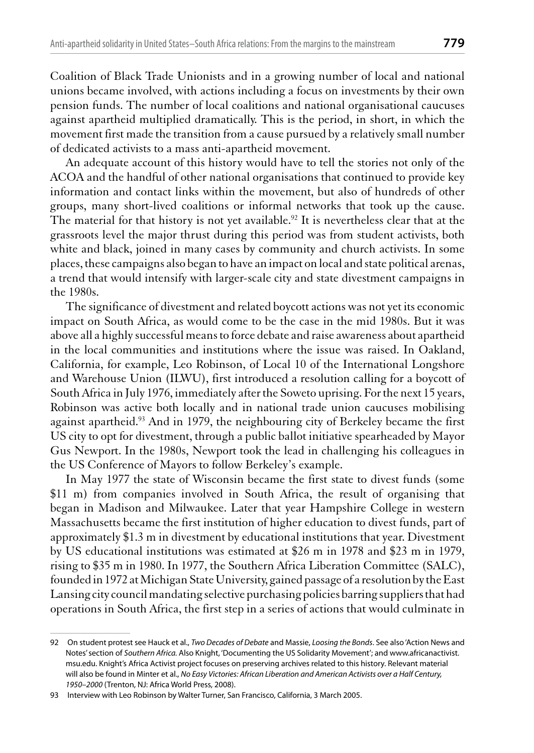Coalition of Black Trade Unionists and in a growing number of local and national unions became involved, with actions including a focus on investments by their own pension funds. The number of local coalitions and national organisational caucuses against apartheid multiplied dramatically. This is the period, in short, in which the movement first made the transition from a cause pursued by a relatively small number of dedicated activists to a mass anti-apartheid movement.

An adequate account of this history would have to tell the stories not only of the ACOA and the handful of other national organisations that continued to provide key information and contact links within the movement, but also of hundreds of other groups, many short-lived coalitions or informal networks that took up the cause. The material for that history is not yet available.<sup>92</sup> It is nevertheless clear that at the grassroots level the major thrust during this period was from student activists, both white and black, joined in many cases by community and church activists. In some places, these campaigns also began to have an impact on local and state political arenas, a trend that would intensify with larger-scale city and state divestment campaigns in the 1980s.

The significance of divestment and related boycott actions was not yet its economic impact on South Africa, as would come to be the case in the mid 1980s. But it was above all a highly successful means to force debate and raise awareness about apartheid in the local communities and institutions where the issue was raised. In Oakland, California, for example, Leo Robinson, of Local 10 of the International Longshore and Warehouse Union (ILWU), first introduced a resolution calling for a boycott of South Africa in July 1976, immediately after the Soweto uprising. For the next 15 years, Robinson was active both locally and in national trade union caucuses mobilising against apartheid.<sup>93</sup> And in 1979, the neighbouring city of Berkeley became the first US city to opt for divestment, through a public ballot initiative spearheaded by Mayor Gus Newport. In the 1980s, Newport took the lead in challenging his colleagues in the US Conference of Mayors to follow Berkeley's example.

In May 1977 the state of Wisconsin became the first state to divest funds (some \$11 m) from companies involved in South Africa, the result of organising that began in Madison and Milwaukee. Later that year Hampshire College in western Massachusetts became the first institution of higher education to divest funds, part of approximately \$1.3 m in divestment by educational institutions that year. Divestment by US educational institutions was estimated at  $$26 \text{ m}$  in 1978 and  $$23 \text{ m}$  in 1979, rising to \$35 m in 1980. In 1977, the Southern Africa Liberation Committee (SALC), founded in 1972 at Michigan State University, gained passage of a resolution by the East Lansing city council mandating selective purchasing policies barring suppliers that had operations in South Africa, the first step in a series of actions that would culminate in

<sup>92</sup> On student protest see Hauck et al., Two Decades of Debate and Massie, Loosing the Bonds. See also 'Action News and Notes' section of Southern Africa. Also Knight, 'Documenting the US Solidarity Movement'; and www.africanactivist. msu.edu. Knight's Africa Activist project focuses on preserving archives related to this history. Relevant material will also be found in Minter et al., No Easy Victories: African Liberation and American Activists over a Half Century, 1950-2000 (Trenton, NJ: Africa World Press, 2008).

<sup>93</sup> Interview with Leo Robinson by Walter Turner, San Francisco, California, 3 March 2005.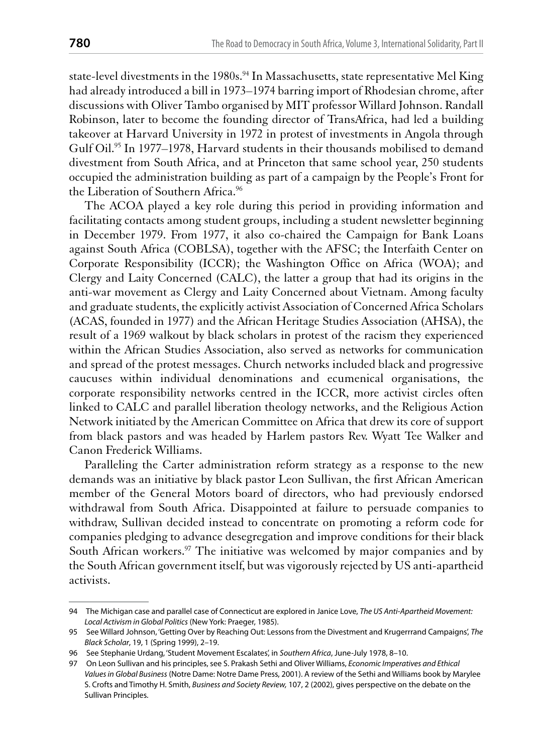state-level divestments in the 1980s.<sup>94</sup> In Massachusetts, state representative Mel King had already introduced a bill in 1973-1974 barring import of Rhodesian chrome, after discussions with Oliver Tambo organised by MIT professor Willard Johnson. Randall Robinson, later to become the founding director of TransAfrica, had led a building takeover at Harvard University in 1972 in protest of investments in Angola through Gulf Oil.<sup>95</sup> In 1977–1978, Harvard students in their thousands mobilised to demand divestment from South Africa, and at Princeton that same school year, 250 students occupied the administration building as part of a campaign by the People's Front for the Liberation of Southern Africa.<sup>96</sup>

The ACOA played a key role during this period in providing information and facilitating contacts among student groups, including a student newsletter beginning in December 1979. From 1977, it also co-chaired the Campaign for Bank Loans against South Africa (COBLSA), together with the AFSC; the Interfaith Center on Corporate Responsibility (ICCR); the Washington Office on Africa (WOA); and Clergy and Laity Concerned (CALC), the latter a group that had its origins in the anti-war movement as Clergy and Laity Concerned about Vietnam. Among faculty and graduate students, the explicitly activist Association of Concerned Africa Scholars (ACAS, founded in 1977) and the African Heritage Studies Association (AHSA), the result of a 1969 walkout by black scholars in protest of the racism they experienced within the African Studies Association, also served as networks for communication and spread of the protest messages. Church networks included black and progressive caucuses within individual denominations and ecumenical organisations, the corporate responsibility networks centred in the ICCR, more activist circles often linked to CALC and parallel liberation theology networks, and the Religious Action Network initiated by the American Committee on Africa that drew its core of support from black pastors and was headed by Harlem pastors Rev. Wyatt Tee Walker and Canon Frederick Williams.

Paralleling the Carter administration reform strategy as a response to the new demands was an initiative by black pastor Leon Sullivan, the first African American member of the General Motors board of directors, who had previously endorsed withdrawal from South Africa. Disappointed at failure to persuade companies to withdraw, Sullivan decided instead to concentrate on promoting a reform code for companies pledging to advance desegregation and improve conditions for their black South African workers.<sup>97</sup> The initiative was welcomed by major companies and by the South African government itself, but was vigorously rejected by US anti-apartheid activists.

<sup>94</sup> The Michigan case and parallel case of Connecticut are explored in Janice Love, The US Anti-Apartheid Movement: Local Activism in Global Politics (New York: Praeger, 1985).

<sup>95</sup> See Willard Johnson, 'Getting Over by Reaching Out: Lessons from the Divestment and Krugerrrand Campaigns', The Black Scholar, 19, 1 (Spring 1999), 2-19.

<sup>96</sup> See Stephanie Urdang, 'Student Movement Escalates', in Southern Africa, June-July 1978, 8-10.

<sup>97</sup> On Leon Sullivan and his principles, see S. Prakash Sethi and Oliver Williams, Economic Imperatives and Ethical Values in Global Business (Notre Dame: Notre Dame Press, 2001). A review of the Sethi and Williams book by Marylee S. Crofts and Timothy H. Smith, Business and Society Review, 107, 2 (2002), gives perspective on the debate on the Sullivan Principles.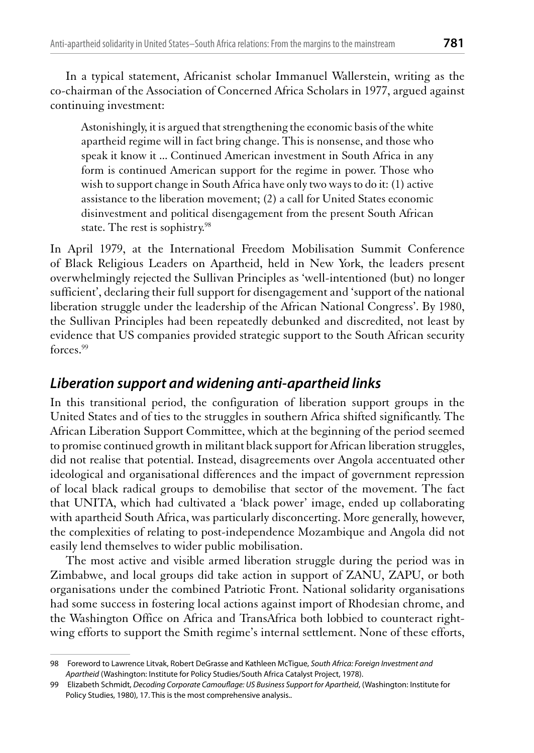In a typical statement, Africanist scholar Immanuel Wallerstein, writing as the co-chairman of the Association of Concerned Africa Scholars in 1977, argued against continuing investment:

Astonishingly, it is argued that strengthening the economic basis of the white apartheid regime will in fact bring change. This is nonsense, and those who speak it know it ... Continued American investment in South Africa in any form is continued American support for the regime in power. Those who wish to support change in South Africa have only two ways to do it: (1) active assistance to the liberation movement; (2) a call for United States economic disinvestment and political disengagement from the present South African state. The rest is sophistry.<sup>98</sup>

In April 1979, at the International Freedom Mobilisation Summit Conference of Black Religious Leaders on Apartheid, held in New York, the leaders present overwhelmingly rejected the Sullivan Principles as 'well-intentioned (but) no longer sufficient', declaring their full support for disengagement and 'support of the national liberation struggle under the leadership of the African National Congress'. By 1980, the Sullivan Principles had been repeatedly debunked and discredited, not least by evidence that US companies provided strategic support to the South African security forces.<sup>99</sup>

## Liberation support and widening anti-apartheid links

In this transitional period, the configuration of liberation support groups in the United States and of ties to the struggles in southern Africa shifted significantly. The African Liberation Support Committee, which at the beginning of the period seemed to promise continued growth in militant black support for African liberation struggles, did not realise that potential. Instead, disagreements over Angola accentuated other ideological and organisational differences and the impact of government repression of local black radical groups to demobilise that sector of the movement. The fact that UNITA, which had cultivated a 'black power' image, ended up collaborating with apartheid South Africa, was particularly disconcerting. More generally, however, the complexities of relating to post-independence Mozambique and Angola did not easily lend themselves to wider public mobilisation.

The most active and visible armed liberation struggle during the period was in Zimbabwe, and local groups did take action in support of ZANU, ZAPU, or both organisations under the combined Patriotic Front. National solidarity organisations had some success in fostering local actions against import of Rhodesian chrome, and the Washington Office on Africa and TransAfrica both lobbied to counteract rightwing efforts to support the Smith regime's internal settlement. None of these efforts,

<sup>98</sup> Foreword to Lawrence Litvak, Robert DeGrasse and Kathleen McTique, South Africa: Foreign Investment and Apartheid (Washington: Institute for Policy Studies/South Africa Catalyst Project, 1978).

<sup>99</sup> Elizabeth Schmidt, Decoding Corporate Camouflage: US Business Support for Apartheid, (Washington: Institute for Policy Studies, 1980), 17. This is the most comprehensive analysis..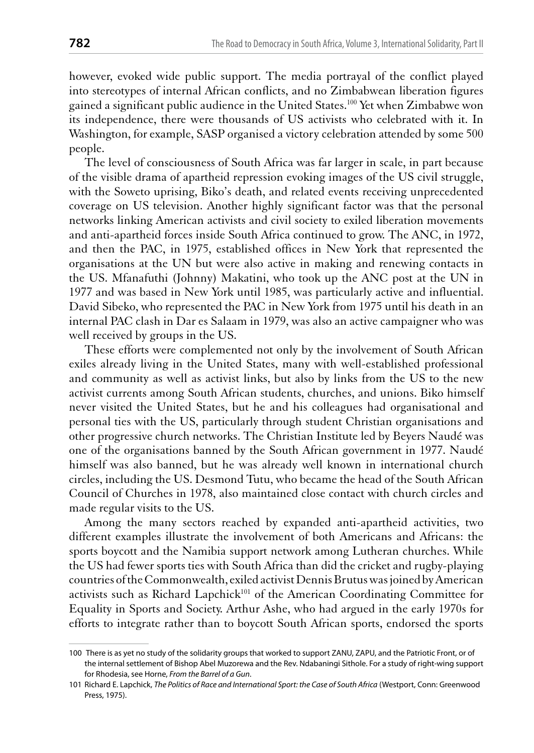however, evoked wide public support. The media portrayal of the conflict played into stereotypes of internal African conflicts, and no Zimbabwean liberation figures gained a significant public audience in the United States.<sup>100</sup> Yet when Zimbabwe won its independence, there were thousands of US activists who celebrated with it. In Washington, for example, SASP organised a victory celebration attended by some 500 people.

The level of consciousness of South Africa was far larger in scale, in part because of the visible drama of apartheid repression evoking images of the US civil struggle, with the Soweto uprising, Biko's death, and related events receiving unprecedented coverage on US television. Another highly significant factor was that the personal networks linking American activists and civil society to exiled liberation movements and anti-apartheid forces inside South Africa continued to grow. The ANC, in 1972, and then the PAC, in 1975, established offices in New York that represented the organisations at the UN but were also active in making and renewing contacts in the US. Mfanafuthi (Johnny) Makatini, who took up the ANC post at the UN in 1977 and was based in New York until 1985, was particularly active and influential. David Sibeko, who represented the PAC in New York from 1975 until his death in an internal PAC clash in Dar es Salaam in 1979, was also an active campaigner who was well received by groups in the US.

These efforts were complemented not only by the involvement of South African exiles already living in the United States, many with well-established professional and community as well as activist links, but also by links from the US to the new activist currents among South African students, churches, and unions. Biko himself never visited the United States, but he and his colleagues had organisational and personal ties with the US, particularly through student Christian organisations and other progressive church networks. The Christian Institute led by Beyers Naudé was one of the organisations banned by the South African government in 1977. Naudé himself was also banned, but he was already well known in international church circles, including the US. Desmond Tutu, who became the head of the South African Council of Churches in 1978, also maintained close contact with church circles and made regular visits to the US.

Among the many sectors reached by expanded anti-apartheid activities, two different examples illustrate the involvement of both Americans and Africans: the sports boycott and the Namibia support network among Lutheran churches. While the US had fewer sports ties with South Africa than did the cricket and rugby-playing countries of the Commonwealth, exiled activist Dennis Brutus was joined by American activists such as Richard Lapchick<sup>101</sup> of the American Coordinating Committee for Equality in Sports and Society. Arthur Ashe, who had argued in the early 1970s for efforts to integrate rather than to boycott South African sports, endorsed the sports

<sup>100</sup> There is as yet no study of the solidarity groups that worked to support ZANU, ZAPU, and the Patriotic Front, or of the internal settlement of Bishop Abel Muzorewa and the Rev. Ndabaningi Sithole. For a study of right-wing support for Rhodesia, see Horne, From the Barrel of a Gun.

<sup>101</sup> Richard E. Lapchick, The Politics of Race and International Sport: the Case of South Africa (Westport, Conn: Greenwood Press, 1975).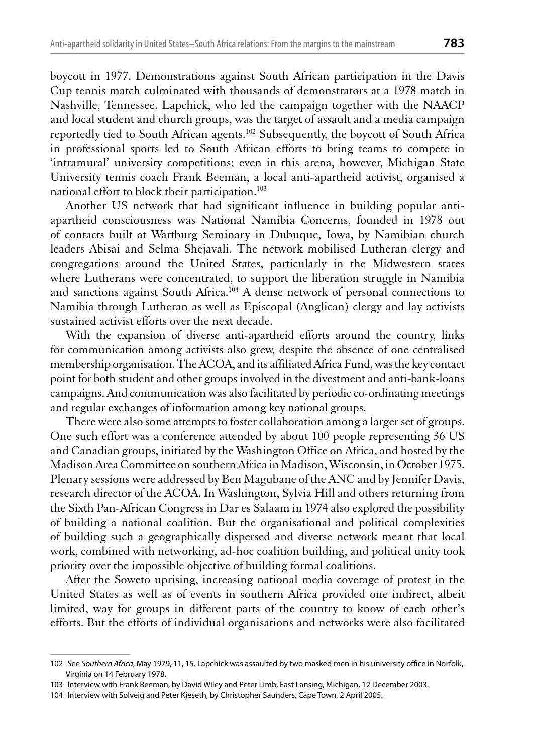boycott in 1977. Demonstrations against South African participation in the Davis Cup tennis match culminated with thousands of demonstrators at a 1978 match in Nashville, Tennessee. Lapchick, who led the campaign together with the NAACP and local student and church groups, was the target of assault and a media campaign reportedly tied to South African agents.<sup>102</sup> Subsequently, the boycott of South Africa in professional sports led to South African efforts to bring teams to compete in 'intramural' university competitions; even in this arena, however, Michigan State University tennis coach Frank Beeman, a local anti-apartheid activist, organised a national effort to block their participation.<sup>103</sup>

Another US network that had significant influence in building popular antiapartheid consciousness was National Namibia Concerns, founded in 1978 out of contacts built at Wartburg Seminary in Dubuque, Iowa, by Namibian church leaders Abisai and Selma Shejavali. The network mobilised Lutheran clergy and congregations around the United States, particularly in the Midwestern states where Lutherans were concentrated, to support the liberation struggle in Namibia and sanctions against South Africa.<sup>104</sup> A dense network of personal connections to Namibia through Lutheran as well as Episcopal (Anglican) clergy and lay activists sustained activist efforts over the next decade.

With the expansion of diverse anti-apartheid efforts around the country, links for communication among activists also grew, despite the absence of one centralised membership organisation. The ACOA, and its affiliated Africa Fund, was the key contact point for both student and other groups involved in the divestment and anti-bank-loans campaigns. And communication was also facilitated by periodic co-ordinating meetings and regular exchanges of information among key national groups.

There were also some attempts to foster collaboration among a larger set of groups. One such effort was a conference attended by about 100 people representing 36 US and Canadian groups, initiated by the Washington Office on Africa, and hosted by the Madison Area Committee on southern Africa in Madison, Wisconsin, in October 1975. Plenary sessions were addressed by Ben Magubane of the ANC and by Jennifer Davis, research director of the ACOA. In Washington, Sylvia Hill and others returning from the Sixth Pan-African Congress in Dar es Salaam in 1974 also explored the possibility of building a national coalition. But the organisational and political complexities of building such a geographically dispersed and diverse network meant that local work, combined with networking, ad-hoc coalition building, and political unity took priority over the impossible objective of building formal coalitions.

After the Soweto uprising, increasing national media coverage of protest in the United States as well as of events in southern Africa provided one indirect, albeit limited, way for groups in different parts of the country to know of each other's efforts. But the efforts of individual organisations and networks were also facilitated

<sup>102</sup> See Southern Africa, May 1979, 11, 15. Lapchick was assaulted by two masked men in his university office in Norfolk, Virginia on 14 February 1978.

<sup>103</sup> Interview with Frank Beeman, by David Wiley and Peter Limb, East Lansing, Michigan, 12 December 2003.

<sup>104</sup> Interview with Solveig and Peter Kjeseth, by Christopher Saunders, Cape Town, 2 April 2005.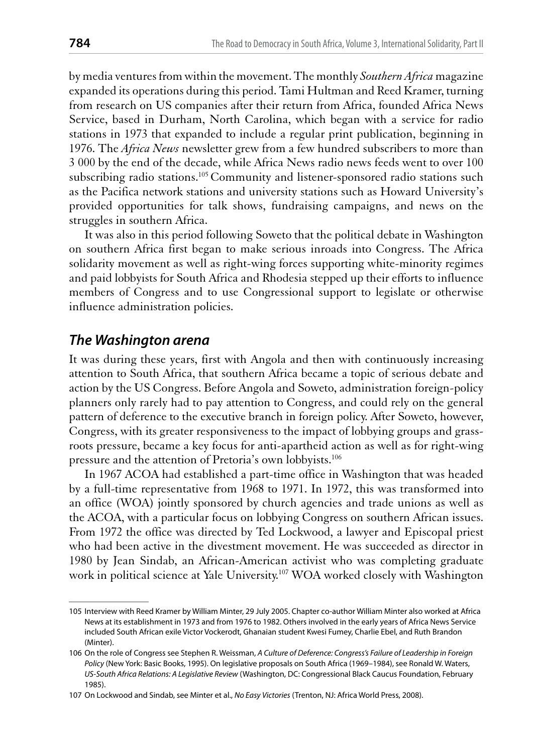by media ventures from within the movement. The monthly Southern Africa magazine expanded its operations during this period. Tami Hultman and Reed Kramer, turning from research on US companies after their return from Africa, founded Africa News Service, based in Durham, North Carolina, which began with a service for radio stations in 1973 that expanded to include a regular print publication, beginning in 1976. The *Africa News* newsletter grew from a few hundred subscribers to more than 3 000 by the end of the decade, while Africa News radio news feeds went to over 100 subscribing radio stations.<sup>105</sup> Community and listener-sponsored radio stations such as the Pacifica network stations and university stations such as Howard University's provided opportunities for talk shows, fundraising campaigns, and news on the struggles in southern Africa.

It was also in this period following Soweto that the political debate in Washington on southern Africa first began to make serious inroads into Congress. The Africa solidarity movement as well as right-wing forces supporting white-minority regimes and paid lobbyists for South Africa and Rhodesia stepped up their efforts to influence members of Congress and to use Congressional support to legislate or otherwise influence administration policies.

#### The Washington arena

It was during these years, first with Angola and then with continuously increasing attention to South Africa, that southern Africa became a topic of serious debate and action by the US Congress. Before Angola and Soweto, administration foreign-policy planners only rarely had to pay attention to Congress, and could rely on the general pattern of deference to the executive branch in foreign policy. After Soweto, however, Congress, with its greater responsiveness to the impact of lobbying groups and grassroots pressure, became a key focus for anti-apartheid action as well as for right-wing pressure and the attention of Pretoria's own lobbyists.<sup>106</sup>

In 1967 ACOA had established a part-time office in Washington that was headed by a full-time representative from 1968 to 1971. In 1972, this was transformed into an office (WOA) jointly sponsored by church agencies and trade unions as well as the ACOA, with a particular focus on lobbying Congress on southern African issues. From 1972 the office was directed by Ted Lockwood, a lawyer and Episcopal priest who had been active in the divestment movement. He was succeeded as director in 1980 by Jean Sindab, an African-American activist who was completing graduate work in political science at Yale University.<sup>107</sup> WOA worked closely with Washington

<sup>105</sup> Interview with Reed Kramer by William Minter, 29 July 2005. Chapter co-author William Minter also worked at Africa News at its establishment in 1973 and from 1976 to 1982. Others involved in the early years of Africa News Service included South African exile Victor Vockerodt, Ghanaian student Kwesi Fumey, Charlie Ebel, and Ruth Brandon (Minter).

<sup>106</sup> On the role of Congress see Stephen R. Weissman, A Culture of Deference: Congress's Failure of Leadership in Foreign Policy (New York: Basic Books, 1995). On legislative proposals on South Africa (1969-1984), see Ronald W. Waters, US-South Africa Relations: A Legislative Review (Washington, DC: Congressional Black Caucus Foundation, February 1985).

<sup>107</sup> On Lockwood and Sindab, see Minter et al., No Easy Victories (Trenton, NJ: Africa World Press, 2008).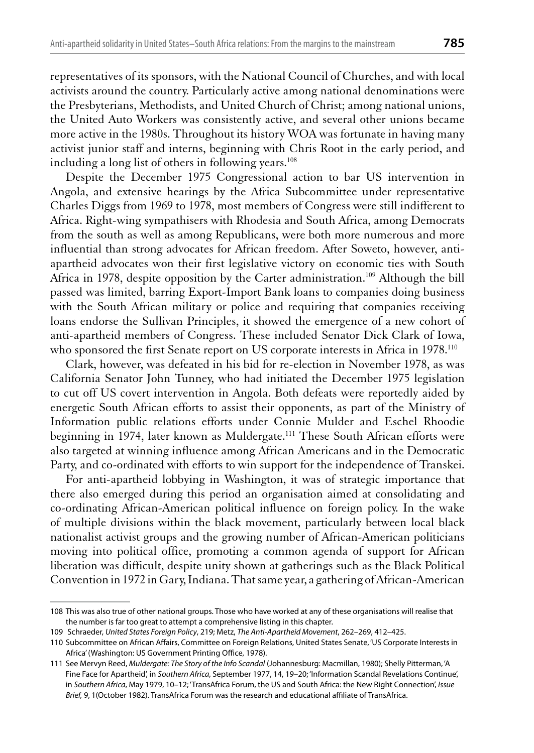representatives of its sponsors, with the National Council of Churches, and with local activists around the country. Particularly active among national denominations were the Presbyterians, Methodists, and United Church of Christ; among national unions, the United Auto Workers was consistently active, and several other unions became more active in the 1980s. Throughout its history WOA was fortunate in having many activist junior staff and interns, beginning with Chris Root in the early period, and including a long list of others in following years.<sup>108</sup>

Despite the December 1975 Congressional action to bar US intervention in Angola, and extensive hearings by the Africa Subcommittee under representative Charles Diggs from 1969 to 1978, most members of Congress were still indifferent to Africa. Right-wing sympathisers with Rhodesia and South Africa, among Democrats from the south as well as among Republicans, were both more numerous and more influential than strong advocates for African freedom. After Soweto, however, antiapartheid advocates won their first legislative victory on economic ties with South Africa in 1978, despite opposition by the Carter administration.<sup>109</sup> Although the bill passed was limited, barring Export-Import Bank loans to companies doing business with the South African military or police and requiring that companies receiving loans endorse the Sullivan Principles, it showed the emergence of a new cohort of anti-apartheid members of Congress. These included Senator Dick Clark of Iowa, who sponsored the first Senate report on US corporate interests in Africa in 1978.<sup>110</sup>

Clark, however, was defeated in his bid for re-election in November 1978, as was California Senator John Tunney, who had initiated the December 1975 legislation to cut off US covert intervention in Angola. Both defeats were reportedly aided by energetic South African efforts to assist their opponents, as part of the Ministry of Information public relations efforts under Connie Mulder and Eschel Rhoodie beginning in 1974, later known as Muldergate.<sup>111</sup> These South African efforts were also targeted at winning influence among African Americans and in the Democratic Party, and co-ordinated with efforts to win support for the independence of Transkei.

For anti-apartheid lobbying in Washington, it was of strategic importance that there also emerged during this period an organisation aimed at consolidating and co-ordinating African-American political influence on foreign policy. In the wake of multiple divisions within the black movement, particularly between local black nationalist activist groups and the growing number of African-American politicians moving into political office, promoting a common agenda of support for African liberation was difficult, despite unity shown at gatherings such as the Black Political Convention in 1972 in Gary, Indiana. That same year, a gathering of African-American

<sup>108</sup> This was also true of other national groups. Those who have worked at any of these organisations will realise that the number is far too great to attempt a comprehensive listing in this chapter.

<sup>109</sup> Schraeder, United States Foreign Policy, 219; Metz, The Anti-Apartheid Movement, 262-269, 412-425.

<sup>110</sup> Subcommittee on African Affairs, Committee on Foreign Relations, United States Senate, 'US Corporate Interests in Africa' (Washington: US Government Printing Office, 1978).

<sup>111</sup> See Mervyn Reed, Muldergate: The Story of the Info Scandal (Johannesburg: Macmillan, 1980); Shelly Pitterman, 'A Fine Face for Apartheid', in Southern Africa, September 1977, 14, 19-20; 'Information Scandal Revelations Continue', in Southern Africa, May 1979, 10-12; 'TransAfrica Forum, the US and South Africa: the New Right Connection', Issue Brief. 9. 1 (October 1982). TransAfrica Forum was the research and educational affiliate of TransAfrica.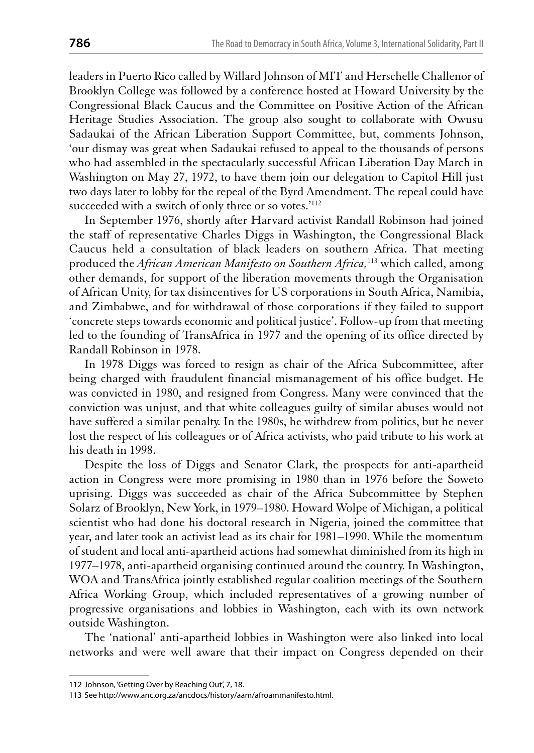leaders in Puerto Rico called by Willard Johnson of MIT and Herschelle Challenor of Brooklyn College was followed by a conference hosted at Howard University by the Congressional Black Caucus and the Committee on Positive Action of the African Heritage Studies Association. The group also sought to collaborate with Owusu Sadaukai of the African Liberation Support Committee, but, comments Johnson, 'our dismay was great when Sadaukai refused to appeal to the thousands of persons who had assembled in the spectacularly successful African Liberation Day March in Washington on May 27, 1972, to have them join our delegation to Capitol Hill just two days later to lobby for the repeal of the Byrd Amendment. The repeal could have succeeded with a switch of only three or so votes.'<sup>112</sup>

In September 1976, shortly after Harvard activist Randall Robinson had joined the staff of representative Charles Diggs in Washington, the Congressional Black Caucus held a consultation of black leaders on southern Africa. That meeting produced the African American Manifesto on Southern Africa,<sup>113</sup> which called, among other demands, for support of the liberation movements through the Organisation of African Unity, for tax disincentives for US corporations in South Africa, Namibia, and Zimbabwe, and for withdrawal of those corporations if they failed to support 'concrete steps towards economic and political justice'. Follow-up from that meeting led to the founding of TransAfrica in 1977 and the opening of its office directed by Randall Robinson in 1978.

In 1978 Diggs was forced to resign as chair of the Africa Subcommittee, after being charged with fraudulent financial mismanagement of his office budget. He was convicted in 1980, and resigned from Congress. Many were convinced that the conviction was unjust, and that white colleagues guilty of similar abuses would not have suffered a similar penalty. In the 1980s, he withdrew from politics, but he never lost the respect of his colleagues or of Africa activists, who paid tribute to his work at his death in 1998.

Despite the loss of Diggs and Senator Clark, the prospects for anti-apartheid action in Congress were more promising in 1980 than in 1976 before the Soweto uprising. Diggs was succeeded as chair of the Africa Subcommittee by Stephen Solarz of Brooklyn, New York, in 1979–1980. Howard Wolpe of Michigan, a political scientist who had done his doctoral research in Nigeria, joined the committee that year, and later took an activist lead as its chair for 1981–1990. While the momentum of student and local anti-apartheid actions had somewhat diminished from its high in 1977–1978, anti-apartheid organising continued around the country. In Washington, WOA and TransAfrica jointly established regular coalition meetings of the Southern Africa Working Group, which included representatives of a growing number of progressive organisations and lobbies in Washington, each with its own network outside Washington.

The 'national' anti-apartheid lobbies in Washington were also linked into local networks and were well aware that their impact on Congress depended on their

<sup>112</sup> Johnson, 'Getting Over by Reaching Out', 7, 18.

<sup>113</sup> See http://www.anc.org.za/ancdocs/history/aam/afroammanifesto.html.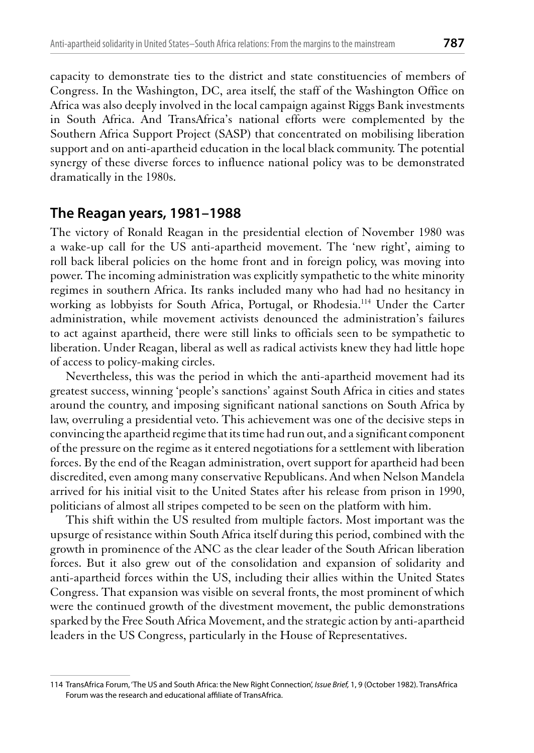capacity to demonstrate ties to the district and state constituencies of members of Congress. In the Washington, DC, area itself, the staff of the Washington Office on Africa was also deeply involved in the local campaign against Riggs Bank investments in South Africa. And TransAfrica's national efforts were complemented by the Southern Africa Support Project (SASP) that concentrated on mobilising liberation support and on anti-apartheid education in the local black community. The potential synergy of these diverse forces to influence national policy was to be demonstrated dramatically in the 1980s.

#### The Reagan years, 1981-1988

The victory of Ronald Reagan in the presidential election of November 1980 was a wake-up call for the US anti-apartheid movement. The 'new right', aiming to roll back liberal policies on the home front and in foreign policy, was moving into power. The incoming administration was explicitly sympathetic to the white minority regimes in southern Africa. Its ranks included many who had had no hesitancy in working as lobbyists for South Africa, Portugal, or Rhodesia.<sup>114</sup> Under the Carter administration, while movement activists denounced the administration's failures to act against apartheid, there were still links to officials seen to be sympathetic to liberation. Under Reagan, liberal as well as radical activists knew they had little hope of access to policy-making circles.

Nevertheless, this was the period in which the anti-apartheid movement had its greatest success, winning 'people's sanctions' against South Africa in cities and states around the country, and imposing significant national sanctions on South Africa by law, overruling a presidential veto. This achievement was one of the decisive steps in convincing the apartheid regime that its time had run out, and a significant component of the pressure on the regime as it entered negotiations for a settlement with liberation forces. By the end of the Reagan administration, overt support for apartheid had been discredited, even among many conservative Republicans. And when Nelson Mandela arrived for his initial visit to the United States after his release from prison in 1990, politicians of almost all stripes competed to be seen on the platform with him.

This shift within the US resulted from multiple factors. Most important was the upsurge of resistance within South Africa itself during this period, combined with the growth in prominence of the ANC as the clear leader of the South African liberation forces. But it also grew out of the consolidation and expansion of solidarity and anti-apartheid forces within the US, including their allies within the United States Congress. That expansion was visible on several fronts, the most prominent of which were the continued growth of the divestment movement, the public demonstrations sparked by the Free South Africa Movement, and the strategic action by anti-apartheid leaders in the US Congress, particularly in the House of Representatives.

<sup>114</sup> TransAfrica Forum, 'The US and South Africa: the New Right Connection', Issue Brief, 1, 9 (October 1982). TransAfrica Forum was the research and educational affiliate of TransAfrica.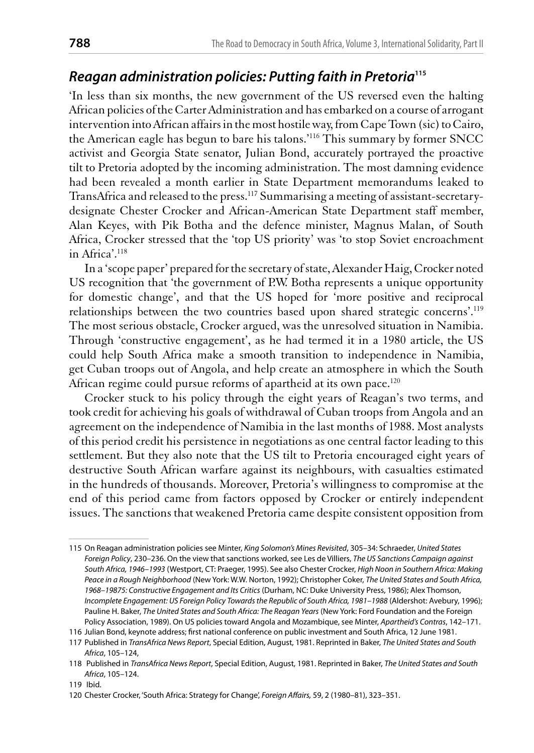## Reagan administration policies: Putting faith in Pretoria<sup>115</sup>

'In less than six months, the new government of the US reversed even the halting African policies of the Carter Administration and has embarked on a course of arrogant intervention into African affairs in the most hostile way, from Cape Town (sic) to Cairo, the American eagle has begun to bare his talons.'<sup>116</sup> This summary by former SNCC activist and Georgia State senator, Julian Bond, accurately portrayed the proactive tilt to Pretoria adopted by the incoming administration. The most damning evidence had been revealed a month earlier in State Department memorandums leaked to TransAfrica and released to the press.<sup>117</sup> Summarising a meeting of assistant-secretarydesignate Chester Crocker and African-American State Department staff member, Alan Keyes, with Pik Botha and the defence minister, Magnus Malan, of South Africa, Crocker stressed that the 'top US priority' was 'to stop Soviet encroachment in Africa'.<sup>118</sup>

In a 'scope paper' prepared for the secretary of state, Alexander Haig, Crocker noted US recognition that 'the government of P.W. Botha represents a unique opportunity for domestic change', and that the US hoped for 'more positive and reciprocal relationships between the two countries based upon shared strategic concerns'.<sup>119</sup> The most serious obstacle, Crocker argued, was the unresolved situation in Namibia. Through 'constructive engagement', as he had termed it in a 1980 article, the US could help South Africa make a smooth transition to independence in Namibia, get Cuban troops out of Angola, and help create an atmosphere in which the South African regime could pursue reforms of apartheid at its own pace.<sup>120</sup>

Crocker stuck to his policy through the eight years of Reagan's two terms, and took credit for achieving his goals of withdrawal of Cuban troops from Angola and an agreement on the independence of Namibia in the last months of 1988. Most analysts of this period credit his persistence in negotiations as one central factor leading to this settlement. But they also note that the US tilt to Pretoria encouraged eight years of destructive South African warfare against its neighbours, with casualties estimated in the hundreds of thousands. Moreover, Pretoria's willingness to compromise at the end of this period came from factors opposed by Crocker or entirely independent issues. The sanctions that weakened Pretoria came despite consistent opposition from

<sup>115</sup> On Reagan administration policies see Minter, King Solomon's Mines Revisited, 305-34: Schraeder, United States Foreign Policy, 230-236. On the view that sanctions worked, see Les de Villiers, The US Sanctions Campaign against South Africa, 1946-1993 (Westport, CT: Praeger, 1995). See also Chester Crocker, High Noon in Southern Africa: Making Peace in a Rough Neighborhood (New York: W.W. Norton, 1992); Christopher Coker, The United States and South Africa, 1968-19875: Constructive Engagement and Its Critics (Durham, NC: Duke University Press, 1986); Alex Thomson, Incomplete Engagement: US Foreign Policy Towards the Republic of South Africa, 1981-1988 (Aldershot: Avebury, 1996); Pauline H. Baker, The United States and South Africa: The Reagan Years (New York: Ford Foundation and the Foreign Policy Association, 1989). On US policies toward Angola and Mozambique, see Minter, Apartheid's Contras, 142-171.

<sup>116</sup> Julian Bond, keynote address; first national conference on public investment and South Africa, 12 June 1981.

<sup>117</sup> Published in TransAfrica News Report, Special Edition, August, 1981. Reprinted in Baker, The United States and South Africa, 105-124,

<sup>118</sup> Published in TransAfrica News Report, Special Edition, August, 1981. Reprinted in Baker, The United States and South Africa, 105-124.

<sup>119</sup> Ibid.

<sup>120</sup> Chester Crocker, 'South Africa: Strategy for Change', Foreign Affairs, 59, 2 (1980-81), 323-351.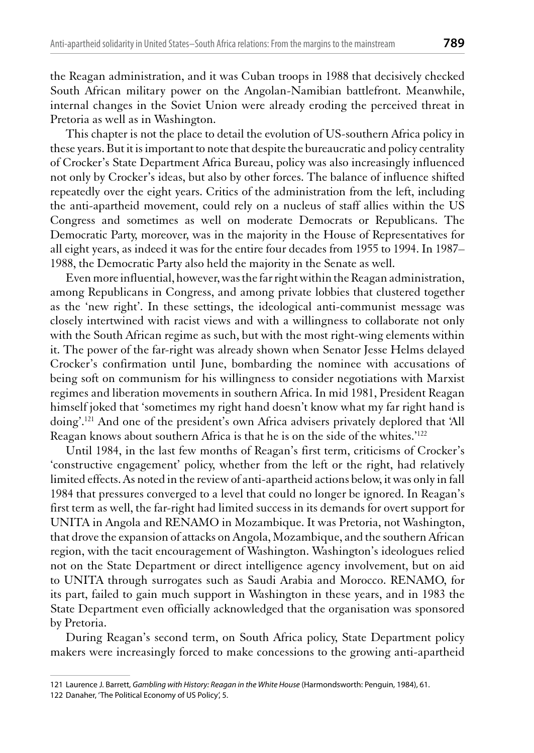the Reagan administration, and it was Cuban troops in 1988 that decisively checked South African military power on the Angolan-Namibian battlefront. Meanwhile, internal changes in the Soviet Union were already eroding the perceived threat in Pretoria as well as in Washington.

This chapter is not the place to detail the evolution of US-southern Africa policy in these years. But it is important to note that despite the bureaucratic and policy centrality of Crocker's State Department Africa Bureau, policy was also increasingly influenced not only by Crocker's ideas, but also by other forces. The balance of influence shifted repeatedly over the eight years. Critics of the administration from the left, including the anti-apartheid movement, could rely on a nucleus of staff allies within the US Congress and sometimes as well on moderate Democrats or Republicans. The Democratic Party, moreover, was in the majority in the House of Representatives for all eight years, as indeed it was for the entire four decades from 1955 to 1994. In 1987– 1988, the Democratic Party also held the majority in the Senate as well.

Even more influential, however, was the far right within the Reagan administration, among Republicans in Congress, and among private lobbies that clustered together as the 'new right'. In these settings, the ideological anti-communist message was closely intertwined with racist views and with a willingness to collaborate not only with the South African regime as such, but with the most right-wing elements within it. The power of the far-right was already shown when Senator Jesse Helms delayed Crocker's confirmation until June, bombarding the nominee with accusations of being soft on communism for his willingness to consider negotiations with Marxist regimes and liberation movements in southern Africa. In mid 1981, President Reagan himself joked that 'sometimes my right hand doesn't know what my far right hand is doing'.<sup>121</sup> And one of the president's own Africa advisers privately deplored that 'All Reagan knows about southern Africa is that he is on the side of the whites.'122

Until 1984, in the last few months of Reagan's first term, criticisms of Crocker's 'constructive engagement' policy, whether from the left or the right, had relatively limited effects. As noted in the review of anti-apartheid actions below, it was only in fall 1984 that pressures converged to a level that could no longer be ignored. In Reagan's first term as well, the far-right had limited success in its demands for overt support for UNITA in Angola and RENAMO in Mozambique. It was Pretoria, not Washington, that drove the expansion of attacks on Angola, Mozambique, and the southern African region, with the tacit encouragement of Washington. Washington's ideologues relied not on the State Department or direct intelligence agency involvement, but on aid to UNITA through surrogates such as Saudi Arabia and Morocco. RENAMO, for its part, failed to gain much support in Washington in these years, and in 1983 the State Department even officially acknowledged that the organisation was sponsored by Pretoria.

During Reagan's second term, on South Africa policy, State Department policy makers were increasingly forced to make concessions to the growing anti-apartheid

<sup>121</sup> Laurence J. Barrett, Gambling with History: Reagan in the White House (Harmondsworth: Penguin, 1984), 61.

<sup>122</sup> Danaher, 'The Political Economy of US Policy', 5.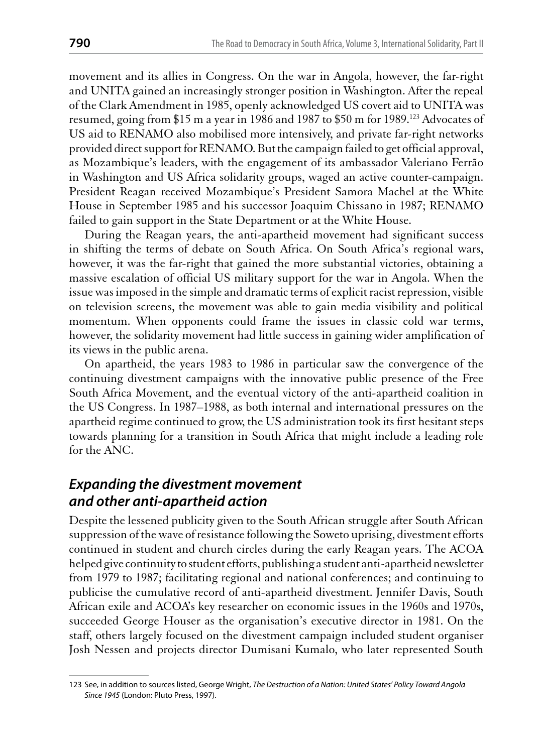movement and its allies in Congress. On the war in Angola, however, the far-right and UNITA gained an increasingly stronger position in Washington. After the repeal of the Clark Amendment in 1985, openly acknowledged US covert aid to UNITA was resumed, going from \$15 m a year in 1986 and 1987 to \$50 m for 1989.<sup>123</sup> Advocates of US aid to RENAMO also mobilised more intensively, and private far-right networks provided direct support for RENAMO. But the campaign failed to get official approval, as Mozambique's leaders, with the engagement of its ambassador Valeriano Ferrão in Washington and US Africa solidarity groups, waged an active counter-campaign. President Reagan received Mozambique's President Samora Machel at the White House in September 1985 and his successor Joaquim Chissano in 1987; RENAMO failed to gain support in the State Department or at the White House.

During the Reagan years, the anti-apartheid movement had significant success in shifting the terms of debate on South Africa. On South Africa's regional wars, however, it was the far-right that gained the more substantial victories, obtaining a massive escalation of official US military support for the war in Angola. When the issue was imposed in the simple and dramatic terms of explicit racist repression, visible on television screens, the movement was able to gain media visibility and political momentum. When opponents could frame the issues in classic cold war terms, however, the solidarity movement had little success in gaining wider amplification of its views in the public arena.

On apartheid, the years 1983 to 1986 in particular saw the convergence of the continuing divestment campaigns with the innovative public presence of the Free South Africa Movement, and the eventual victory of the anti-apartheid coalition in the US Congress. In 1987–1988, as both internal and international pressures on the apartheid regime continued to grow, the US administration took its first hesitant steps towards planning for a transition in South Africa that might include a leading role for the ANC.

# **Expanding the divestment movement** and other anti-apartheid action

Despite the lessened publicity given to the South African struggle after South African suppression of the wave of resistance following the Soweto uprising, divestment efforts continued in student and church circles during the early Reagan years. The ACOA helped give continuity to student efforts, publishing a student anti-apartheid newsletter from 1979 to 1987; facilitating regional and national conferences; and continuing to publicise the cumulative record of anti-apartheid divestment. Jennifer Davis, South African exile and ACOA's key researcher on economic issues in the 1960s and 1970s, succeeded George Houser as the organisation's executive director in 1981. On the staff, others largely focused on the divestment campaign included student organiser Josh Nessen and projects director Dumisani Kumalo, who later represented South

<sup>123</sup> See, in addition to sources listed, George Wright, The Destruction of a Nation: United States' Policy Toward Angola Since 1945 (London: Pluto Press, 1997).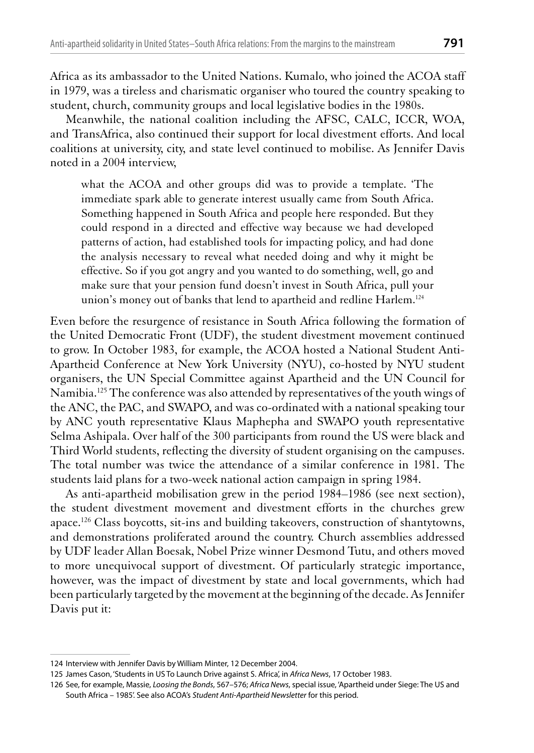Africa as its ambassador to the United Nations. Kumalo, who joined the ACOA staff in 1979, was a tireless and charismatic organiser who toured the country speaking to student, church, community groups and local legislative bodies in the 1980s.

Meanwhile, the national coalition including the AFSC, CALC, ICCR, WOA, and TransAfrica, also continued their support for local divestment efforts. And local coalitions at university, city, and state level continued to mobilise. As Jennifer Davis noted in a 2004 interview,

what the ACOA and other groups did was to provide a template. 'The immediate spark able to generate interest usually came from South Africa. Something happened in South Africa and people here responded. But they could respond in a directed and effective way because we had developed patterns of action, had established tools for impacting policy, and had done the analysis necessary to reveal what needed doing and why it might be effective. So if you got angry and you wanted to do something, well, go and make sure that your pension fund doesn't invest in South Africa, pull your union's money out of banks that lend to apartheid and redline Harlem.<sup>124</sup>

Even before the resurgence of resistance in South Africa following the formation of the United Democratic Front (UDF), the student divestment movement continued to grow. In October 1983, for example, the ACOA hosted a National Student Anti-Apartheid Conference at New York University (NYU), co-hosted by NYU student organisers, the UN Special Committee against Apartheid and the UN Council for Namibia.<sup>125</sup> The conference was also attended by representatives of the youth wings of the ANC, the PAC, and SWAPO, and was co-ordinated with a national speaking tour by ANC youth representative Klaus Maphepha and SWAPO youth representative Selma Ashipala. Over half of the 300 participants from round the US were black and Third World students, reflecting the diversity of student organising on the campuses. The total number was twice the attendance of a similar conference in 1981. The students laid plans for a two-week national action campaign in spring 1984.

As anti-apartheid mobilisation grew in the period 1984–1986 (see next section), the student divestment movement and divestment efforts in the churches grew apace.<sup>126</sup> Class boycotts, sit-ins and building takeovers, construction of shantytowns, and demonstrations proliferated around the country. Church assemblies addressed by UDF leader Allan Boesak, Nobel Prize winner Desmond Tutu, and others moved to more unequivocal support of divestment. Of particularly strategic importance, however, was the impact of divestment by state and local governments, which had been particularly targeted by the movement at the beginning of the decade. As Jennifer Davis put it:

<sup>124</sup> Interview with Jennifer Davis by William Minter, 12 December 2004.

<sup>125</sup> James Cason, 'Students in US To Launch Drive against S. Africa', in Africa News, 17 October 1983.

<sup>126</sup> See, for example, Massie, Loosing the Bonds, 567-576; Africa News, special issue, 'Apartheid under Siege: The US and South Africa - 1985'. See also ACOA's Student Anti-Apartheid Newsletter for this period.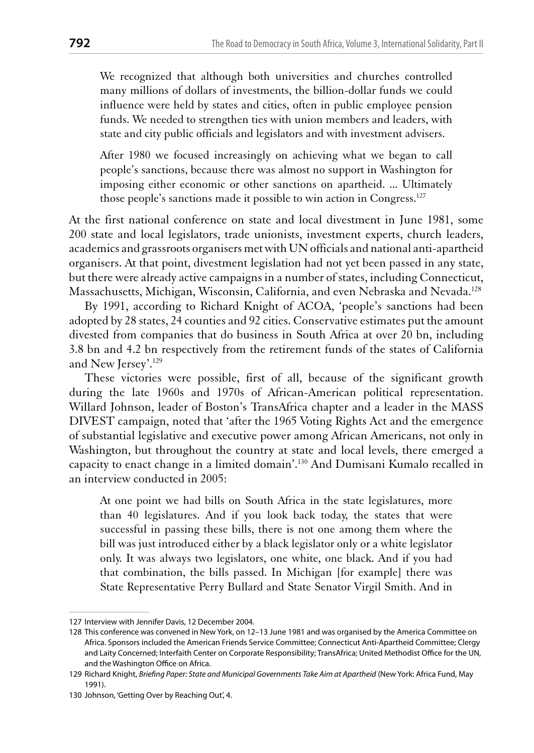We recognized that although both universities and churches controlled many millions of dollars of investments, the billion-dollar funds we could influence were held by states and cities, often in public employee pension funds. We needed to strengthen ties with union members and leaders, with state and city public officials and legislators and with investment advisers.

After 1980 we focused increasingly on achieving what we began to call people's sanctions, because there was almost no support in Washington for imposing either economic or other sanctions on apartheid. ... Ultimately those people's sanctions made it possible to win action in Congress.<sup>127</sup>

At the first national conference on state and local divestment in June 1981, some 200 state and local legislators, trade unionists, investment experts, church leaders, academics and grassroots organisers met with UN officials and national anti-apartheid organisers. At that point, divestment legislation had not yet been passed in any state, but there were already active campaigns in a number of states, including Connecticut, Massachusetts, Michigan, Wisconsin, California, and even Nebraska and Nevada.<sup>128</sup>

By 1991, according to Richard Knight of ACOA, 'people's sanctions had been adopted by 28 states, 24 counties and 92 cities. Conservative estimates put the amount divested from companies that do business in South Africa at over 20 bn, including 3.8 bn and 4.2 bn respectively from the retirement funds of the states of California and New Jersey'.<sup>129</sup>

These victories were possible, first of all, because of the significant growth during the late 1960s and 1970s of African-American political representation. Willard Johnson, leader of Boston's TransAfrica chapter and a leader in the MASS DIVEST campaign, noted that 'after the 1965 Voting Rights Act and the emergence of substantial legislative and executive power among African Americans, not only in Washington, but throughout the country at state and local levels, there emerged a capacity to enact change in a limited domain'.<sup>130</sup> And Dumisani Kumalo recalled in an interview conducted in 2005:

At one point we had bills on South Africa in the state legislatures, more than 40 legislatures. And if you look back today, the states that were successful in passing these bills, there is not one among them where the bill was just introduced either by a black legislator only or a white legislator only. It was always two legislators, one white, one black. And if you had that combination, the bills passed. In Michigan [for example] there was State Representative Perry Bullard and State Senator Virgil Smith. And in

<sup>127</sup> Interview with Jennifer Davis, 12 December 2004.

<sup>128</sup> This conference was convened in New York, on 12-13 June 1981 and was organised by the America Committee on Africa. Sponsors included the American Friends Service Committee; Connecticut Anti-Apartheid Committee; Clergy and Laity Concerned; Interfaith Center on Corporate Responsibility; TransAfrica; United Methodist Office for the UN, and the Washington Office on Africa.

<sup>129</sup> Richard Knight, Briefing Paper: State and Municipal Governments Take Aim at Apartheid (New York: Africa Fund, May 1991).

<sup>130</sup> Johnson, 'Getting Over by Reaching Out', 4.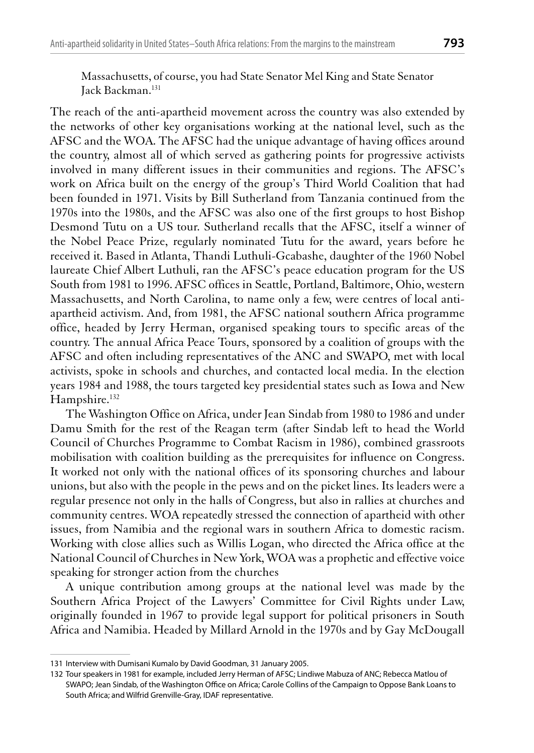Massachusetts, of course, you had State Senator Mel King and State Senator Jack Backman.<sup>131</sup>

The reach of the anti-apartheid movement across the country was also extended by the networks of other key organisations working at the national level, such as the AFSC and the WOA. The AFSC had the unique advantage of having offices around the country, almost all of which served as gathering points for progressive activists involved in many different issues in their communities and regions. The AFSC's work on Africa built on the energy of the group's Third World Coalition that had been founded in 1971. Visits by Bill Sutherland from Tanzania continued from the 1970s into the 1980s, and the AFSC was also one of the first groups to host Bishop Desmond Tutu on a US tour. Sutherland recalls that the AFSC, itself a winner of the Nobel Peace Prize, regularly nominated Tutu for the award, years before he received it. Based in Atlanta, Thandi Luthuli-Gcabashe, daughter of the 1960 Nobel laureate Chief Albert Luthuli, ran the AFSC's peace education program for the US South from 1981 to 1996. AFSC offices in Seattle, Portland, Baltimore, Ohio, western Massachusetts, and North Carolina, to name only a few, were centres of local antiapartheid activism. And, from 1981, the AFSC national southern Africa programme office, headed by Jerry Herman, organised speaking tours to specific areas of the country. The annual Africa Peace Tours, sponsored by a coalition of groups with the AFSC and often including representatives of the ANC and SWAPO, met with local activists, spoke in schools and churches, and contacted local media. In the election years 1984 and 1988, the tours targeted key presidential states such as Iowa and New Hampshire.<sup>132</sup>

The Washington Office on Africa, under Jean Sindab from 1980 to 1986 and under Damu Smith for the rest of the Reagan term (after Sindab left to head the World Council of Churches Programme to Combat Racism in 1986), combined grassroots mobilisation with coalition building as the prerequisites for influence on Congress. It worked not only with the national offices of its sponsoring churches and labour unions, but also with the people in the pews and on the picket lines. Its leaders were a regular presence not only in the halls of Congress, but also in rallies at churches and community centres. WOA repeatedly stressed the connection of apartheid with other issues, from Namibia and the regional wars in southern Africa to domestic racism. Working with close allies such as Willis Logan, who directed the Africa office at the National Council of Churches in New York, WOA was a prophetic and effective voice speaking for stronger action from the churches

A unique contribution among groups at the national level was made by the Southern Africa Project of the Lawyers' Committee for Civil Rights under Law, originally founded in 1967 to provide legal support for political prisoners in South Africa and Namibia. Headed by Millard Arnold in the 1970s and by Gay McDougall

<sup>131</sup> Interview with Dumisani Kumalo by David Goodman, 31 January 2005.

<sup>132</sup> Tour speakers in 1981 for example, included Jerry Herman of AFSC; Lindiwe Mabuza of ANC; Rebecca Matlou of SWAPO; Jean Sindab, of the Washington Office on Africa; Carole Collins of the Campaign to Oppose Bank Loans to South Africa; and Wilfrid Grenville-Gray, IDAF representative.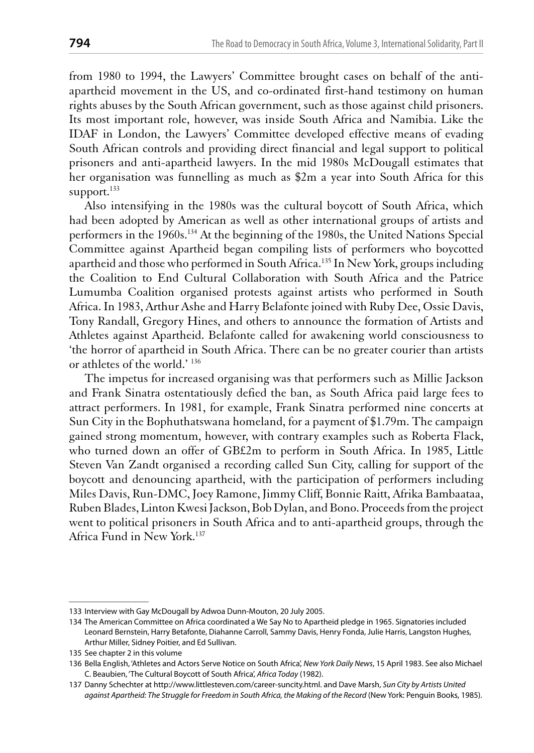from 1980 to 1994, the Lawyers' Committee brought cases on behalf of the antiapartheid movement in the US, and co-ordinated first-hand testimony on human rights abuses by the South African government, such as those against child prisoners. Its most important role, however, was inside South Africa and Namibia. Like the IDAF in London, the Lawyers' Committee developed effective means of evading South African controls and providing direct financial and legal support to political prisoners and anti-apartheid lawyers. In the mid 1980s McDougall estimates that her organisation was funnelling as much as \$2m a year into South Africa for this support. $^{133}$ 

Also intensifying in the 1980s was the cultural boycott of South Africa, which had been adopted by American as well as other international groups of artists and performers in the 1960s.<sup>134</sup> At the beginning of the 1980s, the United Nations Special Committee against Apartheid began compiling lists of performers who boycotted apartheid and those who performed in South Africa.<sup>135</sup> In New York, groups including the Coalition to End Cultural Collaboration with South Africa and the Patrice Lumumba Coalition organised protests against artists who performed in South Africa. In 1983, Arthur Ashe and Harry Belafonte joined with Ruby Dee, Ossie Davis, Tony Randall, Gregory Hines, and others to announce the formation of Artists and Athletes against Apartheid. Belafonte called for awakening world consciousness to the horror of apartheid in South Africa. There can be no greater courier than artists or athletes of the world.' 136

The impetus for increased organising was that performers such as Millie Jackson and Frank Sinatra ostentatiously defied the ban, as South Africa paid large fees to attract performers. In 1981, for example, Frank Sinatra performed nine concerts at Sun City in the Bophuthatswana homeland, for a payment of \$1.79m. The campaign gained strong momentum, however, with contrary examples such as Roberta Flack, who turned down an offer of GB£2m to perform in South Africa. In 1985, Little Steven Van Zandt organised a recording called Sun City, calling for support of the boycott and denouncing apartheid, with the participation of performers including Miles Davis, Run-DMC, Joey Ramone, Jimmy Cliff, Bonnie Raitt, Afrika Bambaataa, Ruben Blades, Linton Kwesi Jackson, Bob Dylan, and Bono. Proceeds from the project went to political prisoners in South Africa and to anti-apartheid groups, through the Africa Fund in New York.<sup>137</sup>

<sup>133</sup> Interview with Gay McDougall by Adwoa Dunn-Mouton, 20 July 2005.

<sup>134</sup> The American Committee on Africa coordinated a We Say No to Apartheid pledge in 1965. Signatories included Leonard Bernstein, Harry Betafonte, Diahanne Carroll, Sammy Davis, Henry Fonda, Julie Harris, Langston Hughes, Arthur Miller, Sidney Poitier, and Ed Sullivan.

<sup>135</sup> See chapter 2 in this volume

<sup>136</sup> Bella English, 'Athletes and Actors Serve Notice on South Africa', New York Daily News, 15 April 1983. See also Michael C. Beaubien, 'The Cultural Boycott of South Africa', Africa Today (1982).

<sup>137</sup> Danny Schechter at http://www.littlesteven.com/career-suncity.html. and Dave Marsh, Sun City by Artists United against Apartheid: The Struggle for Freedom in South Africa, the Making of the Record (New York: Penguin Books, 1985).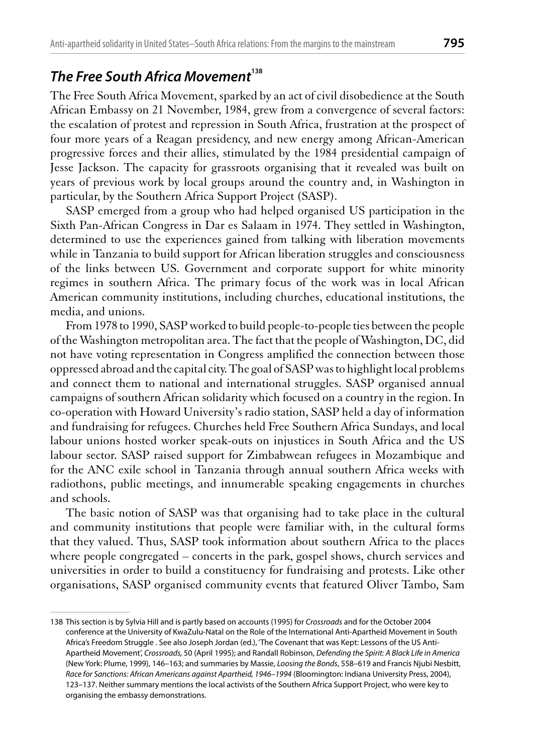# The Free South Africa Movement<sup>138</sup>

The Free South Africa Movement, sparked by an act of civil disobedience at the South African Embassy on 21 November, 1984, grew from a convergence of several factors: the escalation of protest and repression in South Africa, frustration at the prospect of four more years of a Reagan presidency, and new energy among African-American progressive forces and their allies, stimulated by the 1984 presidential campaign of Jesse Jackson. The capacity for grassroots organising that it revealed was built on years of previous work by local groups around the country and, in Washington in particular, by the Southern Africa Support Project (SASP).

SASP emerged from a group who had helped organised US participation in the Sixth Pan-African Congress in Dar es Salaam in 1974. They settled in Washington, determined to use the experiences gained from talking with liberation movements while in Tanzania to build support for African liberation struggles and consciousness of the links between US. Government and corporate support for white minority regimes in southern Africa. The primary focus of the work was in local African American community institutions, including churches, educational institutions, the media, and unions.

From 1978 to 1990, SASP worked to build people-to-people ties between the people of the Washington metropolitan area. The fact that the people of Washington, DC, did not have voting representation in Congress amplified the connection between those oppressed abroad and the capital city. The goal of SASP was to highlight local problems and connect them to national and international struggles. SASP organised annual campaigns of southern African solidarity which focused on a country in the region. In co-operation with Howard University's radio station, SASP held a day of information and fundraising for refugees. Churches held Free Southern Africa Sundays, and local labour unions hosted worker speak-outs on injustices in South Africa and the US labour sector. SASP raised support for Zimbabwean refugees in Mozambique and for the ANC exile school in Tanzania through annual southern Africa weeks with radiothons, public meetings, and innumerable speaking engagements in churches and schools.

The basic notion of SASP was that organising had to take place in the cultural and community institutions that people were familiar with, in the cultural forms that they valued. Thus, SASP took information about southern Africa to the places where people congregated  $-$  concerts in the park, gospel shows, church services and universities in order to build a constituency for fundraising and protests. Like other organisations, SASP organised community events that featured Oliver Tambo, Sam

<sup>138</sup> This section is by Sylvia Hill and is partly based on accounts (1995) for Crossroads and for the October 2004 conference at the University of KwaZulu-Natal on the Role of the International Anti-Apartheid Movement in South Africa's Freedom Struggle . See also Joseph Jordan (ed.), 'The Covenant that was Kept: Lessons of the US Anti-Apartheid Movement', Crossroads, 50 (April 1995); and Randall Robinson, Defending the Spirit: A Black Life in America (New York: Plume, 1999), 146-163; and summaries by Massie, Loosing the Bonds, 558-619 and Francis Njubi Nesbitt, Race for Sanctions: African Americans against Apartheid, 1946-1994 (Bloomington: Indiana University Press, 2004), 123-137. Neither summary mentions the local activists of the Southern Africa Support Project, who were key to organising the embassy demonstrations.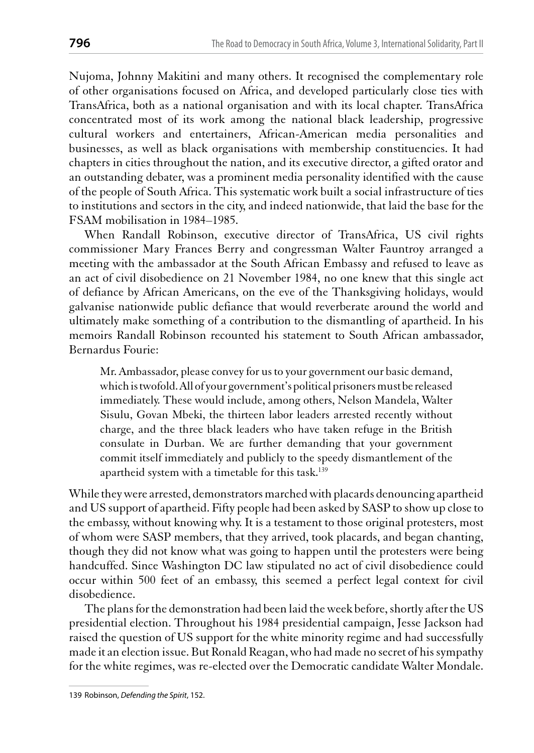Nujoma, Johnny Makitini and many others. It recognised the complementary role of other organisations focused on Africa, and developed particularly close ties with TransAfrica, both as a national organisation and with its local chapter. TransAfrica concentrated most of its work among the national black leadership, progressive cultural workers and entertainers, African-American media personalities and businesses, as well as black organisations with membership constituencies. It had chapters in cities throughout the nation, and its executive director, a gifted orator and an outstanding debater, was a prominent media personality identified with the cause of the people of South Africa. This systematic work built a social infrastructure of ties to institutions and sectors in the city, and indeed nationwide, that laid the base for the FSAM mobilisation in 1984–1985.

When Randall Robinson, executive director of TransAfrica, US civil rights commissioner Mary Frances Berry and congressman Walter Fauntroy arranged a meeting with the ambassador at the South African Embassy and refused to leave as an act of civil disobedience on 21 November 1984, no one knew that this single act of defiance by African Americans, on the eve of the Thanksgiving holidays, would galvanise nationwide public defiance that would reverberate around the world and ultimately make something of a contribution to the dismantling of apartheid. In his memoirs Randall Robinson recounted his statement to South African ambassador, Bernardus Fourie:

Mr. Ambassador, please convey for us to your government our basic demand, which is twofold. All of your government's political prisoners must be released immediately. These would include, among others, Nelson Mandela, Walter Sisulu, Govan Mbeki, the thirteen labor leaders arrested recently without charge, and the three black leaders who have taken refuge in the British consulate in Durban. We are further demanding that your government commit itself immediately and publicly to the speedy dismantlement of the apartheid system with a timetable for this task.<sup>139</sup>

While they were arrested, demonstrators marched with placards denouncing apartheid and US support of apartheid. Fifty people had been asked by SASP to show up close to the embassy, without knowing why. It is a testament to those original protesters, most of whom were SASP members, that they arrived, took placards, and began chanting, though they did not know what was going to happen until the protesters were being handcuffed. Since Washington DC law stipulated no act of civil disobedience could occur within 500 feet of an embassy, this seemed a perfect legal context for civil disobedience.

The plans for the demonstration had been laid the week before, shortly after the US presidential election. Throughout his 1984 presidential campaign, Jesse Jackson had raised the question of US support for the white minority regime and had successfully made it an election issue. But Ronald Reagan, who had made no secret of his sympathy for the white regimes, was re-elected over the Democratic candidate Walter Mondale.

<sup>139</sup> Robinson, Defending the Spirit, 152.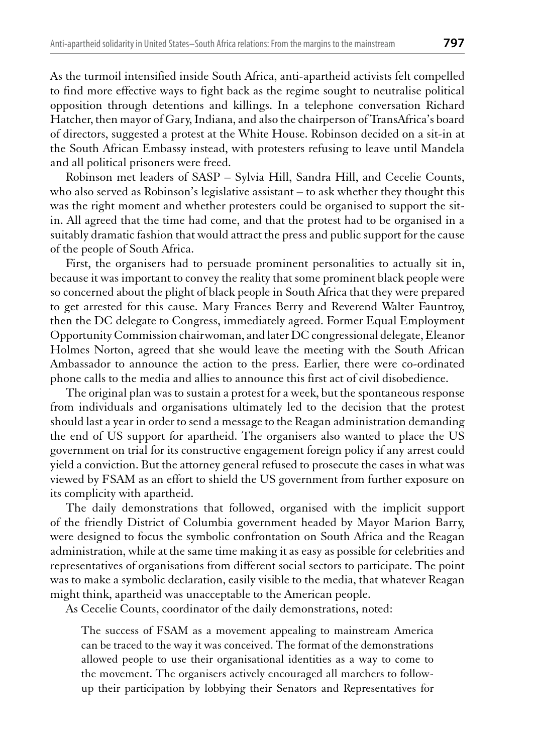As the turmoil intensified inside South Africa, anti-apartheid activists felt compelled to find more effective ways to fight back as the regime sought to neutralise political opposition through detentions and killings. In a telephone conversation Richard Hatcher, then mayor of Gary, Indiana, and also the chairperson of TransAfrica's board of directors, suggested a protest at the White House. Robinson decided on a sit-in at the South African Embassy instead, with protesters refusing to leave until Mandela and all political prisoners were freed.

Robinson met leaders of SASP - Sylvia Hill, Sandra Hill, and Cecelie Counts, who also served as Robinson's legislative assistant - to ask whether they thought this was the right moment and whether protesters could be organised to support the sitin. All agreed that the time had come, and that the protest had to be organised in a suitably dramatic fashion that would attract the press and public support for the cause of the people of South Africa.

First, the organisers had to persuade prominent personalities to actually sit in, because it was important to convey the reality that some prominent black people were so concerned about the plight of black people in South Africa that they were prepared to get arrested for this cause. Mary Frances Berry and Reverend Walter Fauntroy, then the DC delegate to Congress, immediately agreed. Former Equal Employment Opportunity Commission chairwoman, and later DC congressional delegate, Eleanor Holmes Norton, agreed that she would leave the meeting with the South African Ambassador to announce the action to the press. Earlier, there were co-ordinated phone calls to the media and allies to announce this first act of civil disobedience.

The original plan was to sustain a protest for a week, but the spontaneous response from individuals and organisations ultimately led to the decision that the protest should last a year in order to send a message to the Reagan administration demanding the end of US support for apartheid. The organisers also wanted to place the US government on trial for its constructive engagement foreign policy if any arrest could yield a conviction. But the attorney general refused to prosecute the cases in what was viewed by FSAM as an effort to shield the US government from further exposure on its complicity with apartheid.

The daily demonstrations that followed, organised with the implicit support of the friendly District of Columbia government headed by Mayor Marion Barry, were designed to focus the symbolic confrontation on South Africa and the Reagan administration, while at the same time making it as easy as possible for celebrities and representatives of organisations from different social sectors to participate. The point was to make a symbolic declaration, easily visible to the media, that whatever Reagan might think, apartheid was unacceptable to the American people.

As Cecelie Counts, coordinator of the daily demonstrations, noted:

The success of FSAM as a movement appealing to mainstream America can be traced to the way it was conceived. The format of the demonstrations allowed people to use their organisational identities as a way to come to the movement. The organisers actively encouraged all marchers to followup their participation by lobbying their Senators and Representatives for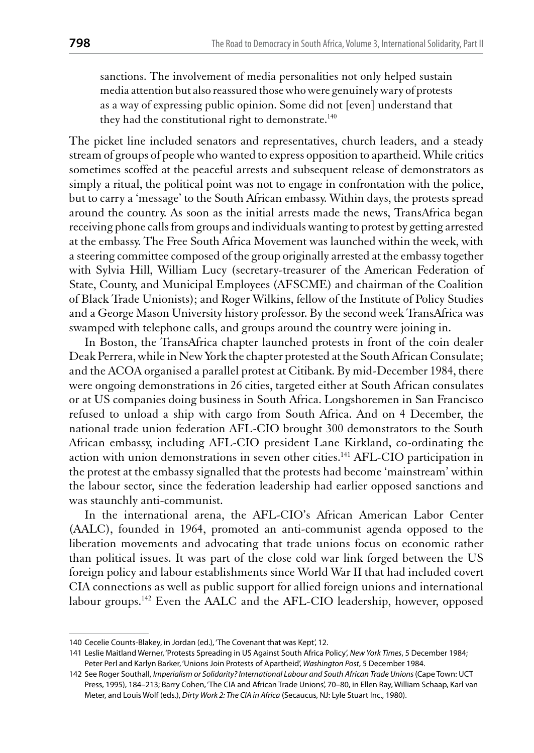sanctions. The involvement of media personalities not only helped sustain media attention but also reassured those who were genuinely wary of protests as a way of expressing public opinion. Some did not [even] understand that they had the constitutional right to demonstrate.<sup>140</sup>

The picket line included senators and representatives, church leaders, and a steady stream of groups of people who wanted to express opposition to apartheid. While critics sometimes scoffed at the peaceful arrests and subsequent release of demonstrators as simply a ritual, the political point was not to engage in confrontation with the police, but to carry a 'message' to the South African embassy. Within days, the protests spread around the country. As soon as the initial arrests made the news, TransAfrica began receiving phone calls from groups and individuals wanting to protest by getting arrested at the embassy. The Free South Africa Movement was launched within the week, with a steering committee composed of the group originally arrested at the embassy together with Sylvia Hill, William Lucy (secretary-treasurer of the American Federation of State, County, and Municipal Employees (AFSCME) and chairman of the Coalition of Black Trade Unionists); and Roger Wilkins, fellow of the Institute of Policy Studies and a George Mason University history professor. By the second week TransAfrica was swamped with telephone calls, and groups around the country were joining in.

In Boston, the TransAfrica chapter launched protests in front of the coin dealer Deak Perrera, while in New York the chapter protested at the South African Consulate; and the ACOA organised a parallel protest at Citibank. By mid-December 1984, there were ongoing demonstrations in 26 cities, targeted either at South African consulates or at US companies doing business in South Africa. Longshoremen in San Francisco refused to unload a ship with cargo from South Africa. And on 4 December, the national trade union federation AFL-CIO brought 300 demonstrators to the South African embassy, including AFL-CIO president Lane Kirkland, co-ordinating the action with union demonstrations in seven other cities.<sup>141</sup> AFL-CIO participation in the protest at the embassy signalled that the protests had become 'mainstream' within the labour sector, since the federation leadership had earlier opposed sanctions and was staunchly anti-communist.

In the international arena, the AFL-CIO's African American Labor Center (AALC), founded in 1964, promoted an anti-communist agenda opposed to the liberation movements and advocating that trade unions focus on economic rather than political issues. It was part of the close cold war link forged between the US foreign policy and labour establishments since World War II that had included covert CIA connections as well as public support for allied foreign unions and international labour groups.<sup>142</sup> Even the AALC and the AFL-CIO leadership, however, opposed

<sup>140</sup> Cecelie Counts-Blakey, in Jordan (ed.), 'The Covenant that was Kept', 12.

<sup>141</sup> Leslie Maitland Werner, 'Protests Spreading in US Against South Africa Policy', New York Times, 5 December 1984; Peter Perl and Karlyn Barker, 'Unions Join Protests of Apartheid', Washington Post, 5 December 1984.

<sup>142</sup> See Roger Southall, Imperialism or Solidarity? International Labour and South African Trade Unions (Cape Town: UCT Press, 1995), 184-213; Barry Cohen, 'The CIA and African Trade Unions', 70-80, in Ellen Ray, William Schaap, Karl van Meter, and Louis Wolf (eds.), Dirty Work 2: The CIA in Africa (Secaucus, NJ: Lyle Stuart Inc., 1980).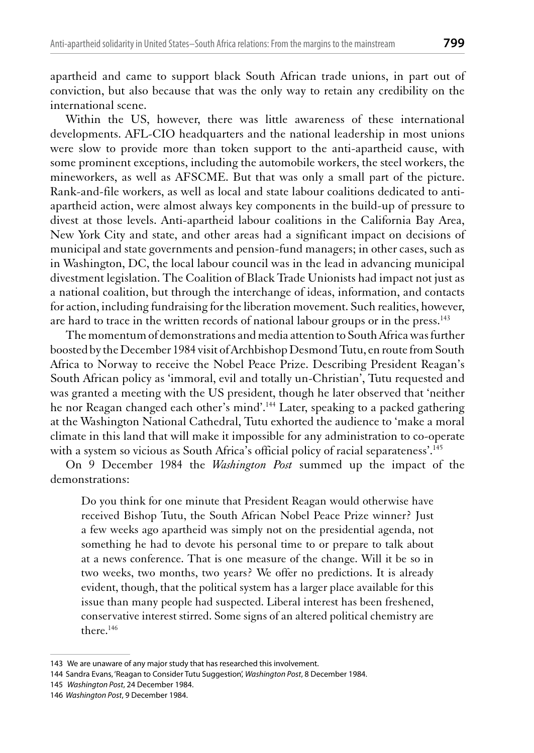apartheid and came to support black South African trade unions, in part out of conviction, but also because that was the only way to retain any credibility on the international scene.

Within the US, however, there was little awareness of these international developments. AFL-CIO headquarters and the national leadership in most unions were slow to provide more than token support to the anti-apartheid cause, with some prominent exceptions, including the automobile workers, the steel workers, the mineworkers, as well as AFSCME. But that was only a small part of the picture. Rank-and-file workers, as well as local and state labour coalitions dedicated to antiapartheid action, were almost always key components in the build-up of pressure to divest at those levels. Anti-apartheid labour coalitions in the California Bay Area, New York City and state, and other areas had a significant impact on decisions of municipal and state governments and pension-fund managers; in other cases, such as in Washington, DC, the local labour council was in the lead in advancing municipal divestment legislation. The Coalition of Black Trade Unionists had impact not just as a national coalition, but through the interchange of ideas, information, and contacts for action, including fundraising for the liberation movement. Such realities, however, are hard to trace in the written records of national labour groups or in the press.<sup>143</sup>

The momentum of demonstrations and media attention to South Africa was further boosted by the December 1984 visit of Archbishop Desmond Tutu, en route from South Africa to Norway to receive the Nobel Peace Prize. Describing President Reagan's South African policy as 'immoral, evil and totally un-Christian', Tutu requested and was granted a meeting with the US president, though he later observed that 'neither he nor Reagan changed each other's mind'.<sup>144</sup> Later, speaking to a packed gathering at the Washington National Cathedral, Tutu exhorted the audience to 'make a moral climate in this land that will make it impossible for any administration to co-operate with a system so vicious as South Africa's official policy of racial separateness'.<sup>145</sup>

On 9 December 1984 the *Washington Post* summed up the impact of the demonstrations:

Do you think for one minute that President Reagan would otherwise have received Bishop Tutu, the South African Nobel Peace Prize winner? Just a few weeks ago apartheid was simply not on the presidential agenda, not something he had to devote his personal time to or prepare to talk about at a news conference. That is one measure of the change. Will it be so in two weeks, two months, two years? We offer no predictions. It is already evident, though, that the political system has a larger place available for this issue than many people had suspected. Liberal interest has been freshened, conservative interest stirred. Some signs of an altered political chemistry are there.<sup>146</sup>

<sup>143</sup> We are unaware of any major study that has researched this involvement.

<sup>144</sup> Sandra Evans, 'Reagan to Consider Tutu Suggestion', Washington Post, 8 December 1984.

<sup>145</sup> Washington Post, 24 December 1984.

<sup>146</sup> Washinaton Post, 9 December 1984.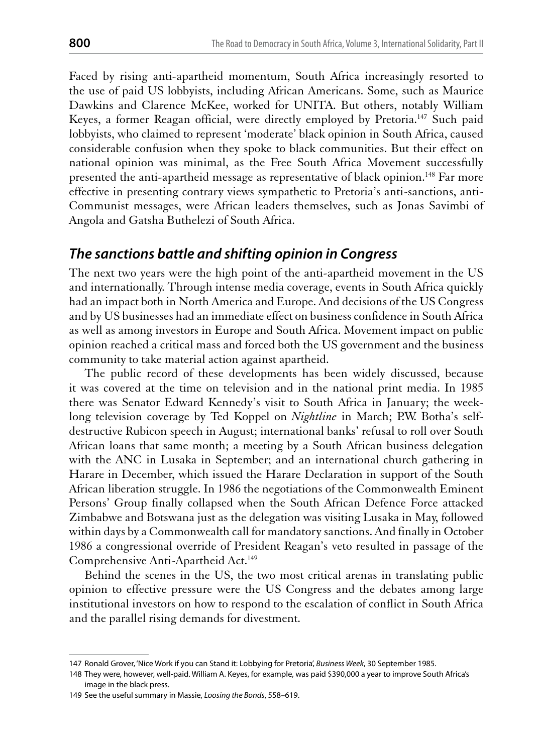Faced by rising anti-apartheid momentum, South Africa increasingly resorted to the use of paid US lobbyists, including African Americans. Some, such as Maurice Dawkins and Clarence McKee, worked for UNITA. But others, notably William Keyes, a former Reagan official, were directly employed by Pretoria.<sup>147</sup> Such paid lobbyists, who claimed to represent 'moderate' black opinion in South Africa, caused considerable confusion when they spoke to black communities. But their effect on national opinion was minimal, as the Free South Africa Movement successfully presented the anti-apartheid message as representative of black opinion.<sup>148</sup> Far more effective in presenting contrary views sympathetic to Pretoria's anti-sanctions, anti-Communist messages, were African leaders themselves, such as Jonas Savimbi of Angola and Gatsha Buthelezi of South Africa.

#### The sanctions battle and shifting opinion in Congress

The next two years were the high point of the anti-apartheid movement in the US and internationally. Through intense media coverage, events in South Africa quickly had an impact both in North America and Europe. And decisions of the US Congress and by US businesses had an immediate effect on business confidence in South Africa as well as among investors in Europe and South Africa. Movement impact on public opinion reached a critical mass and forced both the US government and the business community to take material action against apartheid.

The public record of these developments has been widely discussed, because it was covered at the time on television and in the national print media. In 1985 there was Senator Edward Kennedy's visit to South Africa in January; the weeklong television coverage by Ted Koppel on *Nightline* in March; P.W. Botha's selfdestructive Rubicon speech in August; international banks' refusal to roll over South African loans that same month; a meeting by a South African business delegation with the ANC in Lusaka in September; and an international church gathering in Harare in December, which issued the Harare Declaration in support of the South African liberation struggle. In 1986 the negotiations of the Commonwealth Eminent Persons' Group finally collapsed when the South African Defence Force attacked Zimbabwe and Botswana just as the delegation was visiting Lusaka in May, followed within days by a Commonwealth call for mandatory sanctions. And finally in October 1986 a congressional override of President Reagan's veto resulted in passage of the Comprehensive Anti-Apartheid Act.<sup>149</sup>

Behind the scenes in the US, the two most critical arenas in translating public opinion to effective pressure were the US Congress and the debates among large institutional investors on how to respond to the escalation of conflict in South Africa and the parallel rising demands for divestment.

<sup>147</sup> Ronald Grover, 'Nice Work if you can Stand it: Lobbying for Pretoria', Business Week, 30 September 1985.

<sup>148</sup> They were, however, well-paid. William A. Keyes, for example, was paid \$390,000 a year to improve South Africa's image in the black press.

<sup>149</sup> See the useful summary in Massie, Loosing the Bonds, 558-619.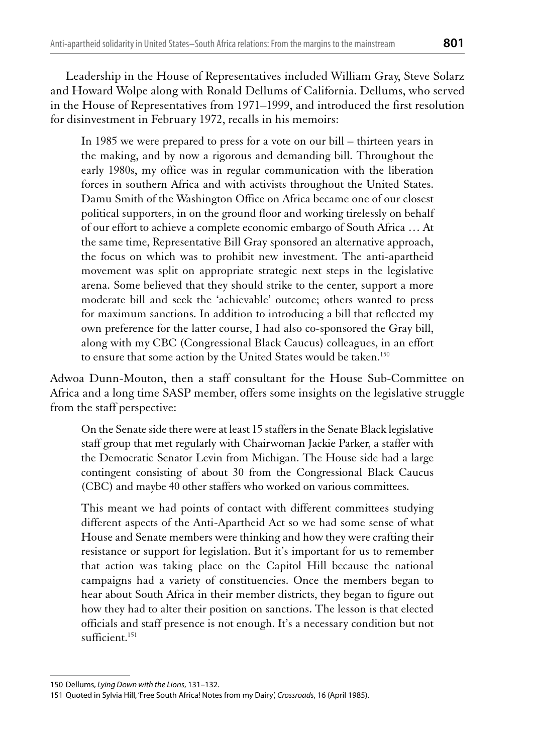Leadership in the House of Representatives included William Gray, Steve Solarz and Howard Wolpe along with Ronald Dellums of California. Dellums, who served in the House of Representatives from 1971–1999, and introduced the first resolution for disinvestment in February 1972, recalls in his memoirs:

In 1985 we were prepared to press for a vote on our bill – thirteen years in the making, and by now a rigorous and demanding bill. Throughout the early 1980s, my office was in regular communication with the liberation forces in southern Africa and with activists throughout the United States. Damu Smith of the Washington Office on Africa became one of our closest political supporters, in on the ground floor and working tirelessly on behalf of our effort to achieve a complete economic embargo of South Africa ... At the same time, Representative Bill Gray sponsored an alternative approach, the focus on which was to prohibit new investment. The anti-apartheid movement was split on appropriate strategic next steps in the legislative arena. Some believed that they should strike to the center, support a more moderate bill and seek the 'achievable' outcome; others wanted to press for maximum sanctions. In addition to introducing a bill that reflected my own preference for the latter course, I had also co-sponsored the Gray bill, along with my CBC (Congressional Black Caucus) colleagues, in an effort to ensure that some action by the United States would be taken.<sup>150</sup>

Adwoa Dunn-Mouton, then a staff consultant for the House Sub-Committee on Africa and a long time SASP member, offers some insights on the legislative struggle from the staff perspective:

On the Senate side there were at least 15 staffers in the Senate Black legislative staff group that met regularly with Chairwoman Jackie Parker, a staffer with the Democratic Senator Levin from Michigan. The House side had a large contingent consisting of about 30 from the Congressional Black Caucus (CBC) and maybe 40 other staffers who worked on various committees.

This meant we had points of contact with different committees studying different aspects of the Anti-Apartheid Act so we had some sense of what House and Senate members were thinking and how they were crafting their resistance or support for legislation. But it's important for us to remember that action was taking place on the Capitol Hill because the national campaigns had a variety of constituencies. Once the members began to hear about South Africa in their member districts, they began to figure out how they had to alter their position on sanctions. The lesson is that elected officials and staff presence is not enough. It's a necessary condition but not sufficient.<sup>151</sup>

<sup>150</sup> Dellums, Lying Down with the Lions, 131-132.

<sup>151</sup> Quoted in Sylvia Hill, 'Free South Africa! Notes from my Dairy', Crossroads, 16 (April 1985).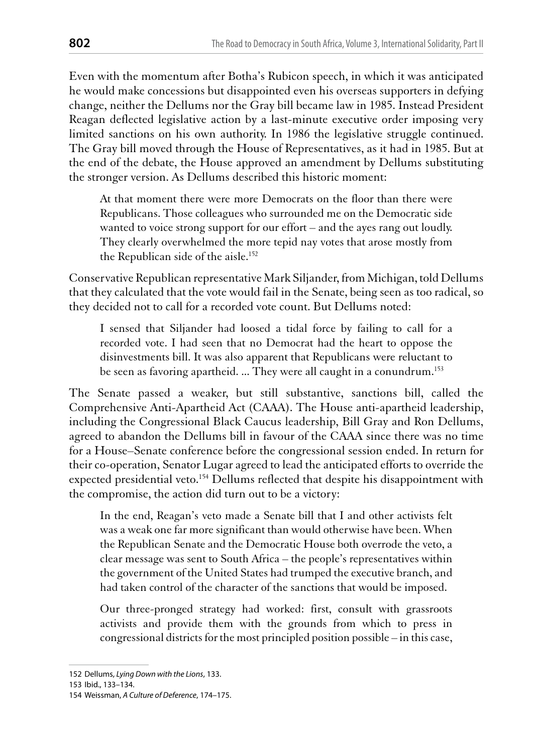Even with the momentum after Botha's Rubicon speech, in which it was anticipated he would make concessions but disappointed even his overseas supporters in defying change, neither the Dellums nor the Gray bill became law in 1985. Instead President Reagan deflected legislative action by a last-minute executive order imposing very limited sanctions on his own authority. In 1986 the legislative struggle continued. The Gray bill moved through the House of Representatives, as it had in 1985. But at the end of the debate, the House approved an amendment by Dellums substituting the stronger version. As Dellums described this historic moment:

At that moment there were more Democrats on the floor than there were Republicans. Those colleagues who surrounded me on the Democratic side wanted to voice strong support for our effort - and the ayes rang out loudly. They clearly overwhelmed the more tepid nay votes that arose mostly from the Republican side of the aisle.<sup>152</sup>

Conservative Republican representative Mark Siljander, from Michigan, told Dellums that they calculated that the vote would fail in the Senate, being seen as too radical, so they decided not to call for a recorded vote count. But Dellums noted:

I sensed that Siljander had loosed a tidal force by failing to call for a recorded vote. I had seen that no Democrat had the heart to oppose the disinvestments bill. It was also apparent that Republicans were reluctant to be seen as favoring apartheid. ... They were all caught in a conundrum.<sup>153</sup>

The Senate passed a weaker, but still substantive, sanctions bill, called the Comprehensive Anti-Apartheid Act (CAAA). The House anti-apartheid leadership, including the Congressional Black Caucus leadership, Bill Gray and Ron Dellums, agreed to abandon the Dellums bill in favour of the CAAA since there was no time for a House–Senate conference before the congressional session ended. In return for their co-operation, Senator Lugar agreed to lead the anticipated efforts to override the expected presidential veto.<sup>154</sup> Dellums reflected that despite his disappointment with the compromise, the action did turn out to be a victory:

In the end, Reagan's veto made a Senate bill that I and other activists felt was a weak one far more significant than would otherwise have been. When the Republican Senate and the Democratic House both overrode the veto, a clear message was sent to South Africa - the people's representatives within the government of the United States had trumped the executive branch, and had taken control of the character of the sanctions that would be imposed.

Our three-pronged strategy had worked: first, consult with grassroots activists and provide them with the grounds from which to press in congressional districts for the most principled position possible – in this case,

153 Ibid., 133-134.

<sup>152</sup> Dellums, Lying Down with the Lions, 133.

<sup>154</sup> Weissman, A Culture of Deference, 174-175.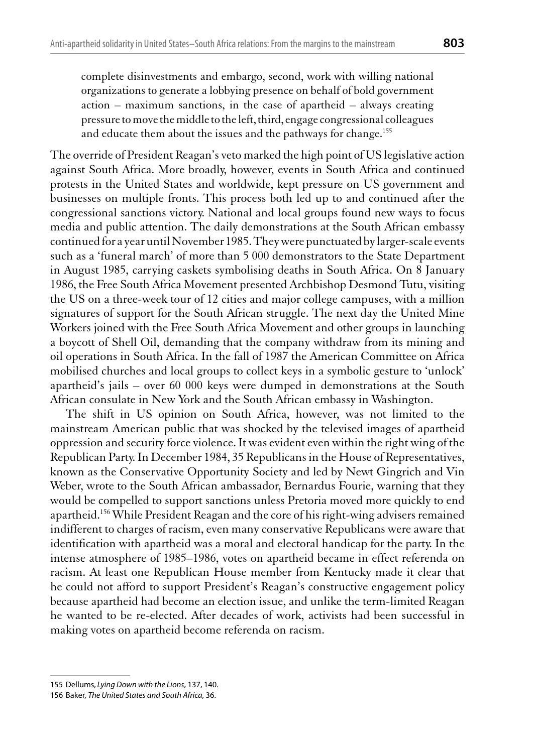complete disinvestments and embargo, second, work with willing national organizations to generate a lobbying presence on behalf of bold government  $action$  – maximum sanctions, in the case of apartheid – always creating pressure to move the middle to the left, third, engage congressional colleagues and educate them about the issues and the pathways for change.<sup>155</sup>

The override of President Reagan's veto marked the high point of US legislative action against South Africa. More broadly, however, events in South Africa and continued protests in the United States and worldwide, kept pressure on US government and businesses on multiple fronts. This process both led up to and continued after the congressional sanctions victory. National and local groups found new ways to focus media and public attention. The daily demonstrations at the South African embassy continued for a year until November 1985. They were punctuated by larger-scale events such as a 'funeral march' of more than 5 000 demonstrators to the State Department in August 1985, carrying caskets symbolising deaths in South Africa. On 8 January 1986, the Free South Africa Movement presented Archbishop Desmond Tutu, visiting the US on a three-week tour of 12 cities and major college campuses, with a million signatures of support for the South African struggle. The next day the United Mine Workers joined with the Free South Africa Movement and other groups in launching a boycott of Shell Oil, demanding that the company withdraw from its mining and oil operations in South Africa. In the fall of 1987 the American Committee on Africa mobilised churches and local groups to collect keys in a symbolic gesture to 'unlock' apartheid's jails – over 60 000 keys were dumped in demonstrations at the South African consulate in New York and the South African embassy in Washington.

The shift in US opinion on South Africa, however, was not limited to the mainstream American public that was shocked by the televised images of apartheid oppression and security force violence. It was evident even within the right wing of the Republican Party. In December 1984, 35 Republicans in the House of Representatives, known as the Conservative Opportunity Society and led by Newt Gingrich and Vin Weber, wrote to the South African ambassador, Bernardus Fourie, warning that they would be compelled to support sanctions unless Pretoria moved more quickly to end apartheid.<sup>156</sup> While President Reagan and the core of his right-wing advisers remained indifferent to charges of racism, even many conservative Republicans were aware that identification with apartheid was a moral and electoral handicap for the party. In the intense atmosphere of 1985–1986, votes on apartheid became in effect referenda on racism. At least one Republican House member from Kentucky made it clear that he could not afford to support President's Reagan's constructive engagement policy because apartheid had become an election issue, and unlike the term-limited Reagan he wanted to be re-elected. After decades of work, activists had been successful in making votes on apartheid become referenda on racism.

<sup>155</sup> Dellums, Lying Down with the Lions, 137, 140.

<sup>156</sup> Baker, The United States and South Africa, 36.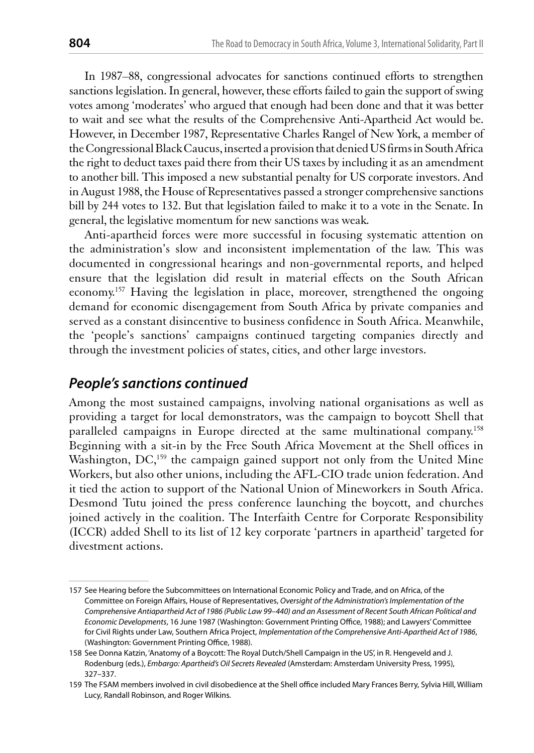In 1987–88, congressional advocates for sanctions continued efforts to strengthen sanctions legislation. In general, however, these efforts failed to gain the support of swing votes among 'moderates' who argued that enough had been done and that it was better to wait and see what the results of the Comprehensive Anti-Apartheid Act would be. However, in December 1987, Representative Charles Rangel of New York, a member of the Congressional Black Caucus, inserted a provision that denied US firms in South Africa the right to deduct taxes paid there from their US taxes by including it as an amendment to another bill. This imposed a new substantial penalty for US corporate investors. And in August 1988, the House of Representatives passed a stronger comprehensive sanctions bill by 244 votes to 132. But that legislation failed to make it to a vote in the Senate. In general, the legislative momentum for new sanctions was weak.

Anti-apartheid forces were more successful in focusing systematic attention on the administration's slow and inconsistent implementation of the law. This was documented in congressional hearings and non-governmental reports, and helped ensure that the legislation did result in material effects on the South African economy.<sup>157</sup> Having the legislation in place, moreover, strengthened the ongoing demand for economic disengagement from South Africa by private companies and served as a constant disincentive to business confidence in South Africa. Meanwhile, the 'people's sanctions' campaigns continued targeting companies directly and through the investment policies of states, cities, and other large investors.

## **People's sanctions continued**

Among the most sustained campaigns, involving national organisations as well as providing a target for local demonstrators, was the campaign to boycott Shell that paralleled campaigns in Europe directed at the same multinational company.<sup>158</sup> Beginning with a sit-in by the Free South Africa Movement at the Shell offices in Washington, DC,<sup>159</sup> the campaign gained support not only from the United Mine Workers, but also other unions, including the AFL-CIO trade union federation. And it tied the action to support of the National Union of Mineworkers in South Africa. Desmond Tutu joined the press conference launching the boycott, and churches joined actively in the coalition. The Interfaith Centre for Corporate Responsibility (ICCR) added Shell to its list of 12 key corporate 'partners in apartheid' targeted for divestment actions.

<sup>157</sup> See Hearing before the Subcommittees on International Economic Policy and Trade, and on Africa, of the Committee on Foreign Affairs, House of Representatives, Oversight of the Administration's Implementation of the Comprehensive Antiapartheid Act of 1986 (Public Law 99-440) and an Assessment of Recent South African Political and Economic Developments, 16 June 1987 (Washington: Government Printing Office, 1988); and Lawyers' Committee for Civil Rights under Law, Southern Africa Project, Implementation of the Comprehensive Anti-Apartheid Act of 1986, (Washington: Government Printing Office, 1988).

<sup>158</sup> See Donna Katzin, 'Anatomy of a Boycott: The Royal Dutch/Shell Campaign in the US', in R. Hengeveld and J. Rodenburg (eds.), Embargo: Apartheid's Oil Secrets Revealed (Amsterdam: Amsterdam University Press, 1995), 327-337.

<sup>159</sup> The FSAM members involved in civil disobedience at the Shell office included Mary Frances Berry, Sylvia Hill, William Lucy, Randall Robinson, and Roger Wilkins.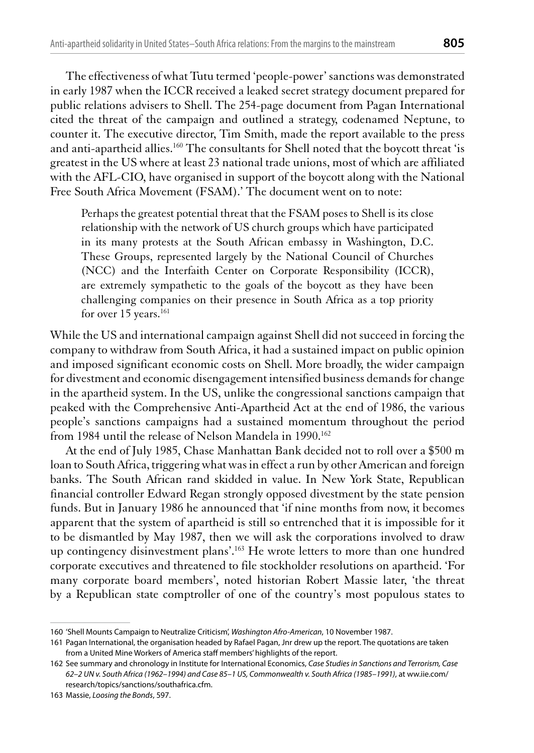The effectiveness of what Tutu termed 'people-power' sanctions was demonstrated in early 1987 when the ICCR received a leaked secret strategy document prepared for public relations advisers to Shell. The 254-page document from Pagan International cited the threat of the campaign and outlined a strategy, codenamed Neptune, to counter it. The executive director, Tim Smith, made the report available to the press and anti-apartheid allies.<sup>160</sup> The consultants for Shell noted that the boycott threat 'is greatest in the US where at least 23 national trade unions, most of which are affiliated with the AFL-CIO, have organised in support of the boycott along with the National Free South Africa Movement (FSAM).' The document went on to note:

Perhaps the greatest potential threat that the FSAM poses to Shell is its close relationship with the network of US church groups which have participated in its many protests at the South African embassy in Washington, D.C. These Groups, represented largely by the National Council of Churches (NCC) and the Interfaith Center on Corporate Responsibility (ICCR), are extremely sympathetic to the goals of the boycott as they have been challenging companies on their presence in South Africa as a top priority for over 15 years.<sup>161</sup>

While the US and international campaign against Shell did not succeed in forcing the company to withdraw from South Africa, it had a sustained impact on public opinion and imposed significant economic costs on Shell. More broadly, the wider campaign for divestment and economic disengagement intensified business demands for change in the apartheid system. In the US, unlike the congressional sanctions campaign that peaked with the Comprehensive Anti-Apartheid Act at the end of 1986, the various people's sanctions campaigns had a sustained momentum throughout the period from 1984 until the release of Nelson Mandela in 1990.<sup>162</sup>

At the end of July 1985, Chase Manhattan Bank decided not to roll over a \$500 m loan to South Africa, triggering what was in effect a run by other American and foreign banks. The South African rand skidded in value. In New York State, Republican financial controller Edward Regan strongly opposed divestment by the state pension funds. But in January 1986 he announced that 'if nine months from now, it becomes apparent that the system of apartheid is still so entrenched that it is impossible for it to be dismantled by May 1987, then we will ask the corporations involved to draw up contingency disinvestment plans'.<sup>163</sup> He wrote letters to more than one hundred corporate executives and threatened to file stockholder resolutions on apartheid. 'For many corporate board members', noted historian Robert Massie later, 'the threat by a Republican state comptroller of one of the country's most populous states to

<sup>160 &#</sup>x27;Shell Mounts Campaign to Neutralize Criticism', Washington Afro-American, 10 November 1987.

<sup>161</sup> Pagan International, the organisation headed by Rafael Pagan, Jnr drew up the report. The quotations are taken from a United Mine Workers of America staff members' highlights of the report.

<sup>162</sup> See summary and chronology in Institute for International Economics, Case Studies in Sanctions and Terrorism, Case 62-2 UN v. South Africa (1962-1994) and Case 85-1 US, Commonwealth v. South Africa (1985-1991), at ww.iie.com/ research/topics/sanctions/southafrica.cfm.

<sup>163</sup> Massie, Loosing the Bonds, 597.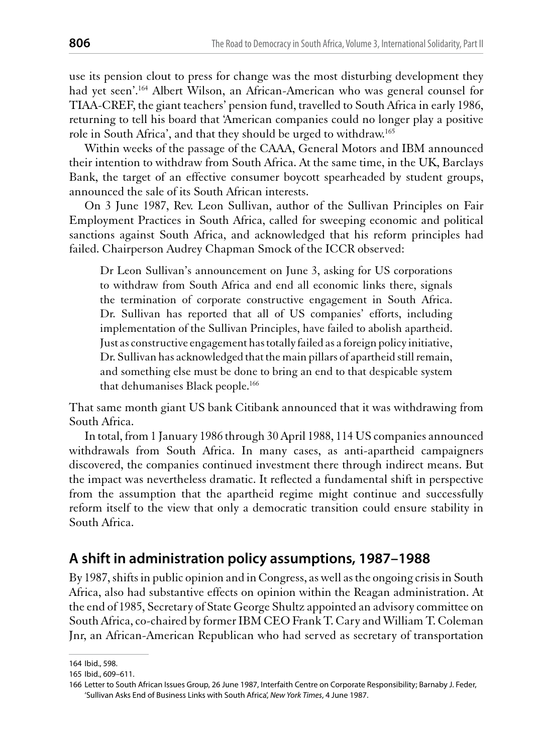use its pension clout to press for change was the most disturbing development they had vet seen'.<sup>164</sup> Albert Wilson, an African-American who was general counsel for TIAA-CREF, the giant teachers' pension fund, travelled to South Africa in early 1986, returning to tell his board that 'American companies could no longer play a positive role in South Africa', and that they should be urged to withdraw.<sup>165</sup>

Within weeks of the passage of the CAAA, General Motors and IBM announced their intention to withdraw from South Africa. At the same time, in the UK, Barclays Bank, the target of an effective consumer boycott spearheaded by student groups, announced the sale of its South African interests.

On 3 June 1987, Rev. Leon Sullivan, author of the Sullivan Principles on Fair Employment Practices in South Africa, called for sweeping economic and political sanctions against South Africa, and acknowledged that his reform principles had failed. Chairperson Audrey Chapman Smock of the ICCR observed:

Dr Leon Sullivan's announcement on June 3, asking for US corporations to withdraw from South Africa and end all economic links there, signals the termination of corporate constructive engagement in South Africa. Dr. Sullivan has reported that all of US companies' efforts, including implementation of the Sullivan Principles, have failed to abolish apartheid. Just as constructive engagement has totally failed as a foreign policy initiative, Dr. Sullivan has acknowledged that the main pillars of apartheid still remain, and something else must be done to bring an end to that despicable system that dehumanises Black people.<sup>166</sup>

That same month giant US bank Citibank announced that it was withdrawing from South Africa.

In total, from 1 January 1986 through 30 April 1988, 114 US companies announced withdrawals from South Africa. In many cases, as anti-apartheid campaigners discovered, the companies continued investment there through indirect means. But the impact was nevertheless dramatic. It reflected a fundamental shift in perspective from the assumption that the apartheid regime might continue and successfully reform itself to the view that only a democratic transition could ensure stability in South Africa.

## A shift in administration policy assumptions, 1987-1988

By 1987, shifts in public opinion and in Congress, as well as the ongoing crisis in South Africa, also had substantive effects on opinion within the Reagan administration. At the end of 1985, Secretary of State George Shultz appointed an advisory committee on South Africa, co-chaired by former IBM CEO Frank T. Cary and William T. Coleman Jnr, an African-American Republican who had served as secretary of transportation

<sup>164</sup> Ibid., 598.

<sup>165</sup> Ibid., 609-611.

<sup>166</sup> Letter to South African Issues Group, 26 June 1987, Interfaith Centre on Corporate Responsibility; Barnaby J. Feder, 'Sullivan Asks End of Business Links with South Africa', New York Times, 4 June 1987.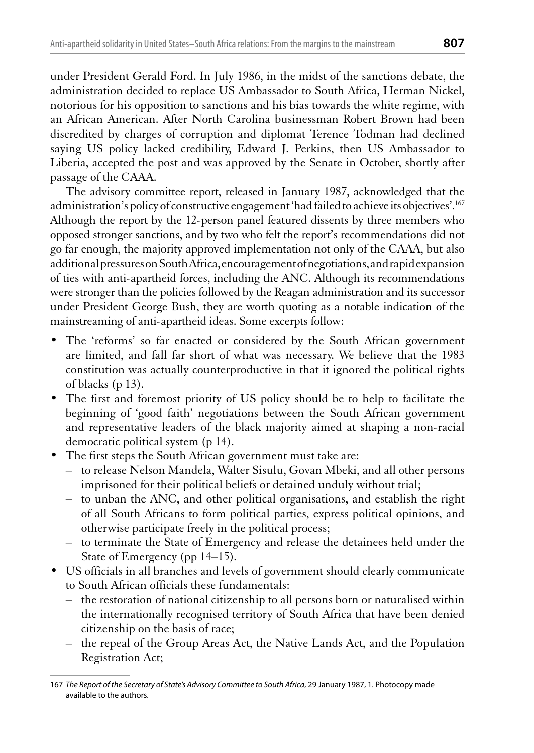under President Gerald Ford. In July 1986, in the midst of the sanctions debate, the administration decided to replace US Ambassador to South Africa, Herman Nickel, notorious for his opposition to sanctions and his bias towards the white regime, with an African American. After North Carolina businessman Robert Brown had been discredited by charges of corruption and diplomat Terence Todman had declined saying US policy lacked credibility, Edward J. Perkins, then US Ambassador to Liberia, accepted the post and was approved by the Senate in October, shortly after passage of the CAAA.

The advisory committee report, released in January 1987, acknowledged that the administration's policy of constructive engagement 'had failed to achieve its objectives'.<sup>167</sup> Although the report by the 12-person panel featured dissents by three members who opposed stronger sanctions, and by two who felt the report's recommendations did not go far enough, the majority approved implementation not only of the CAAA, but also additional pressures on South Africa, encouragement of negotiations, and rapid expansion of ties with anti-apartheid forces, including the ANC. Although its recommendations were stronger than the policies followed by the Reagan administration and its successor under President George Bush, they are worth quoting as a notable indication of the mainstreaming of anti-apartheid ideas. Some excerpts follow:

- The 'reforms' so far enacted or considered by the South African government are limited, and fall far short of what was necessary. We believe that the 1983 constitution was actually counterproductive in that it ignored the political rights of blacks (p 13).
- The first and foremost priority of US policy should be to help to facilitate the beginning of 'good faith' negotiations between the South African government and representative leaders of the black majority aimed at shaping a non-racial democratic political system (p 14).
- The first steps the South African government must take are:
	- to release Nelson Mandela, Walter Sisulu, Govan Mbeki, and all other persons imprisoned for their political beliefs or detained unduly without trial;
	- to unban the ANC, and other political organisations, and establish the right of all South Africans to form political parties, express political opinions, and otherwise participate freely in the political process;
	- to terminate the State of Emergency and release the detainees held under the State of Emergency (pp 14–15).
- US officials in all branches and levels of government should clearly communicate to South African officials these fundamentals:
	- the restoration of national citizenship to all persons born or naturalised within the internationally recognised territory of South Africa that have been denied citizenship on the basis of race;
	- the repeal of the Group Areas Act, the Native Lands Act, and the Population Registration Act;

<sup>167</sup> The Report of the Secretary of State's Advisory Committee to South Africa, 29 January 1987, 1. Photocopy made available to the authors.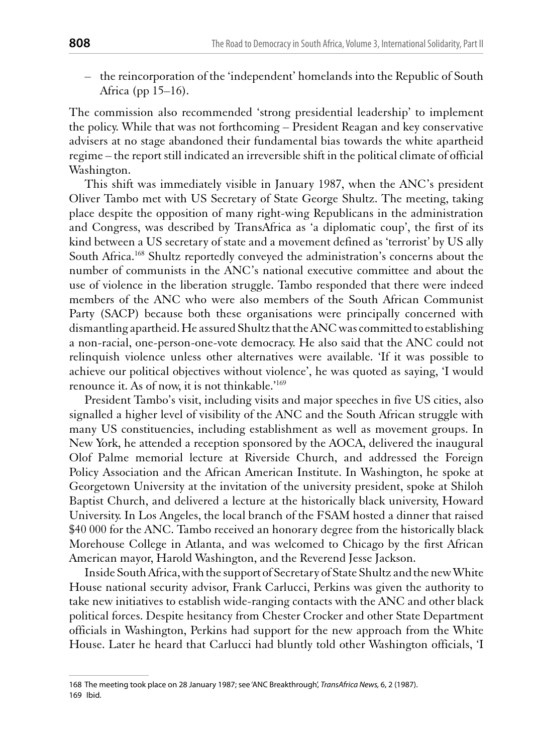- the reincorporation of the 'independent' homelands into the Republic of South Africa (pp  $15-16$ ).

The commission also recommended 'strong presidential leadership' to implement the policy. While that was not forthcoming – President Reagan and key conservative advisers at no stage abandoned their fundamental bias towards the white apartheid regime – the report still indicated an irreversible shift in the political climate of official Washington.

This shift was immediately visible in January 1987, when the ANC's president Oliver Tambo met with US Secretary of State George Shultz. The meeting, taking place despite the opposition of many right-wing Republicans in the administration and Congress, was described by TransAfrica as 'a diplomatic coup', the first of its kind between a US secretary of state and a movement defined as 'terrorist' by US ally South Africa.<sup>168</sup> Shultz reportedly conveyed the administration's concerns about the number of communists in the ANC's national executive committee and about the use of violence in the liberation struggle. Tambo responded that there were indeed members of the ANC who were also members of the South African Communist Party (SACP) because both these organisations were principally concerned with dismantling apartheid. He assured Shultz that the ANC was committed to establishing a non-racial, one-person-one-vote democracy. He also said that the ANC could not relinquish violence unless other alternatives were available. The it was possible to achieve our political objectives without violence', he was quoted as saying, 'I would renounce it. As of now, it is not thinkable.<sup>'169</sup>

President Tambo's visit, including visits and major speeches in five US cities, also signalled a higher level of visibility of the ANC and the South African struggle with many US constituencies, including establishment as well as movement groups. In New York, he attended a reception sponsored by the AOCA, delivered the inaugural Olof Palme memorial lecture at Riverside Church, and addressed the Foreign Policy Association and the African American Institute. In Washington, he spoke at Georgetown University at the invitation of the university president, spoke at Shiloh Baptist Church, and delivered a lecture at the historically black university, Howard University. In Los Angeles, the local branch of the FSAM hosted a dinner that raised \$40,000 for the ANC. Tambo received an honorary degree from the historically black Morehouse College in Atlanta, and was welcomed to Chicago by the first African American mayor, Harold Washington, and the Reverend Jesse Jackson.

Inside South Africa, with the support of Secretary of State Shultz and the new White House national security advisor, Frank Carlucci, Perkins was given the authority to take new initiatives to establish wide-ranging contacts with the ANC and other black political forces. Despite hesitancy from Chester Crocker and other State Department officials in Washington, Perkins had support for the new approach from the White House. Later he heard that Carlucci had bluntly told other Washington officials, 'I

<sup>168</sup> The meeting took place on 28 January 1987; see 'ANC Breakthrough', TransAfrica News, 6, 2 (1987). 169 Ibid.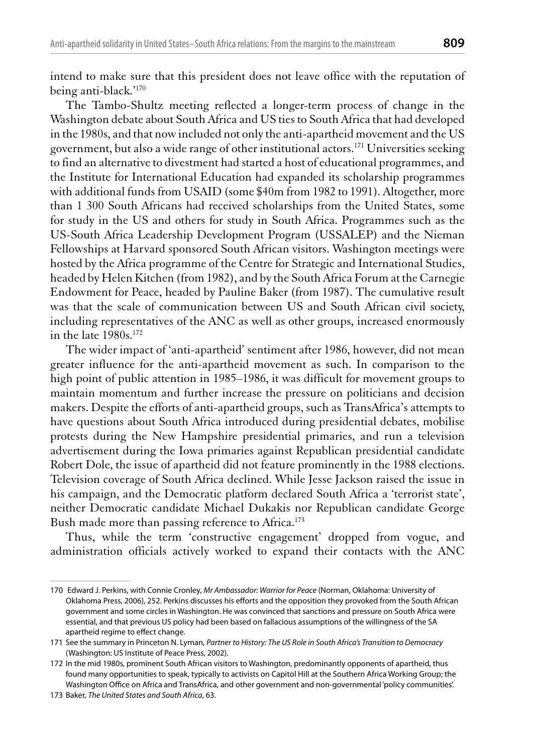intend to make sure that this president does not leave office with the reputation of being anti-black.'170

The Tambo-Shultz meeting reflected a longer-term process of change in the Washington debate about South Africa and US ties to South Africa that had developed in the 1980s, and that now included not only the anti-apartheid movement and the US government, but also a wide range of other institutional actors.<sup>171</sup> Universities seeking to find an alternative to divestment had started a host of educational programmes, and the Institute for International Education had expanded its scholarship programmes with additional funds from USAID (some \$40m from 1982 to 1991). Altogether, more than 1 300 South Africans had received scholarships from the United States, some for study in the US and others for study in South Africa. Programmes such as the US-South Africa Leadership Development Program (USSALEP) and the Nieman Fellowships at Harvard sponsored South African visitors. Washington meetings were hosted by the Africa programme of the Centre for Strategic and International Studies, headed by Helen Kitchen (from 1982), and by the South Africa Forum at the Carnegie Endowment for Peace, headed by Pauline Baker (from 1987). The cumulative result was that the scale of communication between US and South African civil society, including representatives of the ANC as well as other groups, increased enormously in the late 1980s.<sup>172</sup>

The wider impact of 'anti-apartheid' sentiment after 1986, however, did not mean greater influence for the anti-apartheid movement as such. In comparison to the high point of public attention in 1985–1986, it was difficult for movement groups to maintain momentum and further increase the pressure on politicians and decision makers. Despite the efforts of anti-apartheid groups, such as TransAfrica's attempts to have questions about South Africa introduced during presidential debates, mobilise protests during the New Hampshire presidential primaries, and run a television advertisement during the Iowa primaries against Republican presidential candidate Robert Dole, the issue of apartheid did not feature prominently in the 1988 elections. Television coverage of South Africa declined. While Jesse Jackson raised the issue in his campaign, and the Democratic platform declared South Africa a 'terrorist state', neither Democratic candidate Michael Dukakis nor Republican candidate George Bush made more than passing reference to Africa.<sup>173</sup>

Thus, while the term 'constructive engagement' dropped from vogue, and administration officials actively worked to expand their contacts with the ANC

<sup>170</sup> Edward J. Perkins, with Connie Cronley, Mr Ambassador: Warrior for Peace (Norman, Oklahoma: University of Oklahoma Press, 2006), 252. Perkins discusses his efforts and the opposition they provoked from the South African government and some circles in Washington. He was convinced that sanctions and pressure on South Africa were essential, and that previous US policy had been based on fallacious assumptions of the willingness of the SA apartheid regime to effect change.

<sup>171</sup> See the summary in Princeton N. Lyman, Partner to History: The US Role in South Africa's Transition to Democracy (Washington: US Institute of Peace Press, 2002).

<sup>172</sup> In the mid 1980s, prominent South African visitors to Washington, predominantly opponents of apartheid, thus found many opportunities to speak, typically to activists on Capitol Hill at the Southern Africa Working Group; the Washington Office on Africa and TransAfrica, and other government and non-governmental 'policy communities'.

<sup>173</sup> Baker, The United States and South Africa, 63.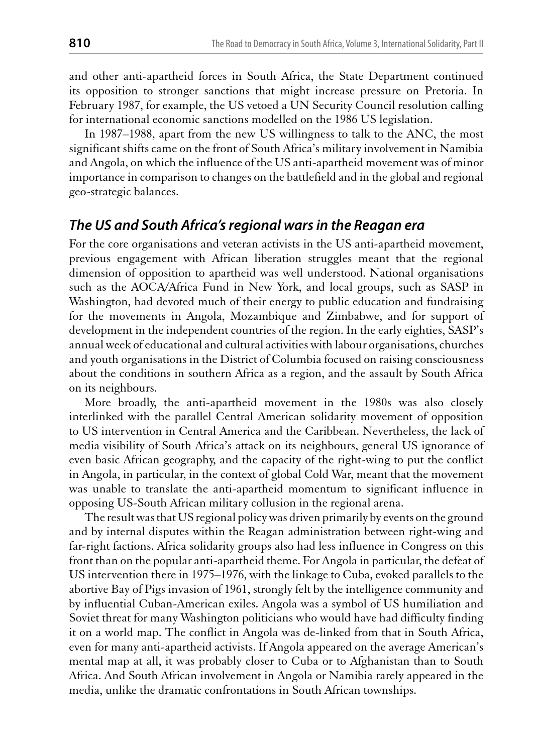and other anti-apartheid forces in South Africa, the State Department continued its opposition to stronger sanctions that might increase pressure on Pretoria. In February 1987, for example, the US vetoed a UN Security Council resolution calling for international economic sanctions modelled on the 1986 US legislation.

In 1987–1988, apart from the new US willingness to talk to the ANC, the most significant shifts came on the front of South Africa's military involvement in Namibia and Angola, on which the influence of the US anti-apartheid movement was of minor importance in comparison to changes on the battlefield and in the global and regional geo-strategic balances.

#### The US and South Africa's regional wars in the Reagan era

For the core organisations and veteran activists in the US anti-apartheid movement, previous engagement with African liberation struggles meant that the regional dimension of opposition to apartheid was well understood. National organisations such as the AOCA/Africa Fund in New York, and local groups, such as SASP in Washington, had devoted much of their energy to public education and fundraising for the movements in Angola, Mozambique and Zimbabwe, and for support of development in the independent countries of the region. In the early eighties, SASP's annual week of educational and cultural activities with labour organisations, churches and youth organisations in the District of Columbia focused on raising consciousness about the conditions in southern Africa as a region, and the assault by South Africa on its neighbours.

More broadly, the anti-apartheid movement in the 1980s was also closely interlinked with the parallel Central American solidarity movement of opposition to US intervention in Central America and the Caribbean. Nevertheless, the lack of media visibility of South Africa's attack on its neighbours, general US ignorance of even basic African geography, and the capacity of the right-wing to put the conflict in Angola, in particular, in the context of global Cold War, meant that the movement was unable to translate the anti-apartheid momentum to significant influence in opposing US-South African military collusion in the regional arena.

The result was that US regional policy was driven primarily by events on the ground and by internal disputes within the Reagan administration between right-wing and far-right factions. Africa solidarity groups also had less influence in Congress on this front than on the popular anti-apartheid theme. For Angola in particular, the defeat of US intervention there in 1975–1976, with the linkage to Cuba, evoked parallels to the abortive Bay of Pigs invasion of 1961, strongly felt by the intelligence community and by influential Cuban-American exiles. Angola was a symbol of US humiliation and Soviet threat for many Washington politicians who would have had difficulty finding it on a world map. The conflict in Angola was de-linked from that in South Africa, even for many anti-apartheid activists. If Angola appeared on the average American's mental map at all, it was probably closer to Cuba or to Afghanistan than to South Africa. And South African involvement in Angola or Namibia rarely appeared in the media, unlike the dramatic confrontations in South African townships.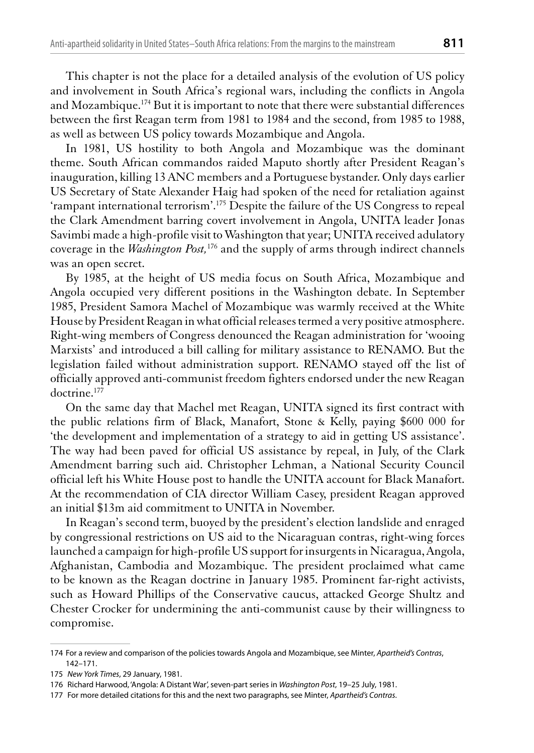This chapter is not the place for a detailed analysis of the evolution of US policy and involvement in South Africa's regional wars, including the conflicts in Angola and Mozambique.<sup>174</sup> But it is important to note that there were substantial differences between the first Reagan term from 1981 to 1984 and the second, from 1985 to 1988, as well as between US policy towards Mozambique and Angola.

In 1981, US hostility to both Angola and Mozambique was the dominant theme. South African commandos raided Maputo shortly after President Reagan's inauguration, killing 13 ANC members and a Portuguese bystander. Only days earlier US Secretary of State Alexander Haig had spoken of the need for retaliation against 'rampant international terrorism'.<sup>175</sup> Despite the failure of the US Congress to repeal the Clark Amendment barring covert involvement in Angola, UNITA leader Jonas Savimbi made a high-profile visit to Washington that year; UNITA received adulatory coverage in the *Washington Post*,<sup>176</sup> and the supply of arms through indirect channels was an open secret.

By 1985, at the height of US media focus on South Africa, Mozambique and Angola occupied very different positions in the Washington debate. In September 1985, President Samora Machel of Mozambique was warmly received at the White House by President Reagan in what official releases termed a very positive atmosphere. Right-wing members of Congress denounced the Reagan administration for 'wooing Marxists' and introduced a bill calling for military assistance to RENAMO. But the legislation failed without administration support. RENAMO stayed off the list of officially approved anti-communist freedom fighters endorsed under the new Reagan doctrine.<sup>177</sup>

On the same day that Machel met Reagan, UNITA signed its first contract with the public relations firm of Black, Manafort, Stone & Kelly, paying \$600 000 for 'the development and implementation of a strategy to aid in getting US assistance'. The way had been paved for official US assistance by repeal, in July, of the Clark Amendment barring such aid. Christopher Lehman, a National Security Council official left his White House post to handle the UNITA account for Black Manafort. At the recommendation of CIA director William Casey, president Reagan approved an initial \$13m aid commitment to UNITA in November.

In Reagan's second term, buoyed by the president's election landslide and enraged by congressional restrictions on US aid to the Nicaraguan contras, right-wing forces launched a campaign for high-profile US support for insurgents in Nicaragua, Angola, Afghanistan, Cambodia and Mozambique. The president proclaimed what came to be known as the Reagan doctrine in January 1985. Prominent far-right activists, such as Howard Phillips of the Conservative caucus, attacked George Shultz and Chester Crocker for undermining the anti-communist cause by their willingness to compromise.

<sup>174</sup> For a review and comparison of the policies towards Angola and Mozambique, see Minter, Apartheid's Contras,  $142 - 171$ 

<sup>175</sup> New York Times, 29 January, 1981.

<sup>176</sup> Richard Harwood, 'Angola: A Distant War', seven-part series in Washington Post, 19-25 July, 1981.

<sup>177</sup> For more detailed citations for this and the next two paragraphs, see Minter, Apartheid's Contras.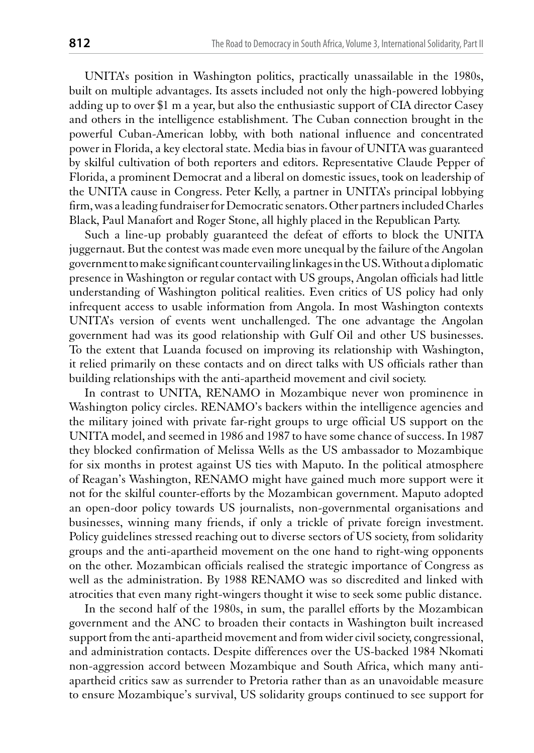UNITA's position in Washington politics, practically unassailable in the 1980s, built on multiple advantages. Its assets included not only the high-powered lobbying adding up to over \$1 m a year, but also the enthusiastic support of CIA director Casey and others in the intelligence establishment. The Cuban connection brought in the powerful Cuban-American lobby, with both national influence and concentrated power in Florida, a key electoral state. Media bias in favour of UNITA was guaranteed by skilful cultivation of both reporters and editors. Representative Claude Pepper of Florida, a prominent Democrat and a liberal on domestic issues, took on leadership of the UNITA cause in Congress. Peter Kelly, a partner in UNITA's principal lobbying firm, was a leading fundraiser for Democratic senators. Other partners included Charles Black, Paul Manafort and Roger Stone, all highly placed in the Republican Party.

Such a line-up probably guaranteed the defeat of efforts to block the UNITA juggernaut. But the contest was made even more unequal by the failure of the Angolan government to make significant countervailing linkages in the US. Without a diplomatic presence in Washington or regular contact with US groups, Angolan officials had little understanding of Washington political realities. Even critics of US policy had only infrequent access to usable information from Angola. In most Washington contexts UNITA's version of events went unchallenged. The one advantage the Angolan government had was its good relationship with Gulf Oil and other US businesses. To the extent that Luanda focused on improving its relationship with Washington, it relied primarily on these contacts and on direct talks with US officials rather than building relationships with the anti-apartheid movement and civil society.

In contrast to UNITA, RENAMO in Mozambique never won prominence in Washington policy circles. RENAMO's backers within the intelligence agencies and the military joined with private far-right groups to urge official US support on the UNITA model, and seemed in 1986 and 1987 to have some chance of success. In 1987 they blocked confirmation of Melissa Wells as the US ambassador to Mozambique for six months in protest against US ties with Maputo. In the political atmosphere of Reagan's Washington, RENAMO might have gained much more support were it not for the skilful counter-efforts by the Mozambican government. Maputo adopted an open-door policy towards US journalists, non-governmental organisations and businesses, winning many friends, if only a trickle of private foreign investment. Policy guidelines stressed reaching out to diverse sectors of US society, from solidarity groups and the anti-apartheid movement on the one hand to right-wing opponents on the other. Mozambican officials realised the strategic importance of Congress as well as the administration. By 1988 RENAMO was so discredited and linked with atrocities that even many right-wingers thought it wise to seek some public distance.

In the second half of the 1980s, in sum, the parallel efforts by the Mozambican government and the ANC to broaden their contacts in Washington built increased support from the anti-apartheid movement and from wider civil society, congressional, and administration contacts. Despite differences over the US-backed 1984 Nkomati non-aggression accord between Mozambique and South Africa, which many antiapartheid critics saw as surrender to Pretoria rather than as an unavoidable measure to ensure Mozambique's survival, US solidarity groups continued to see support for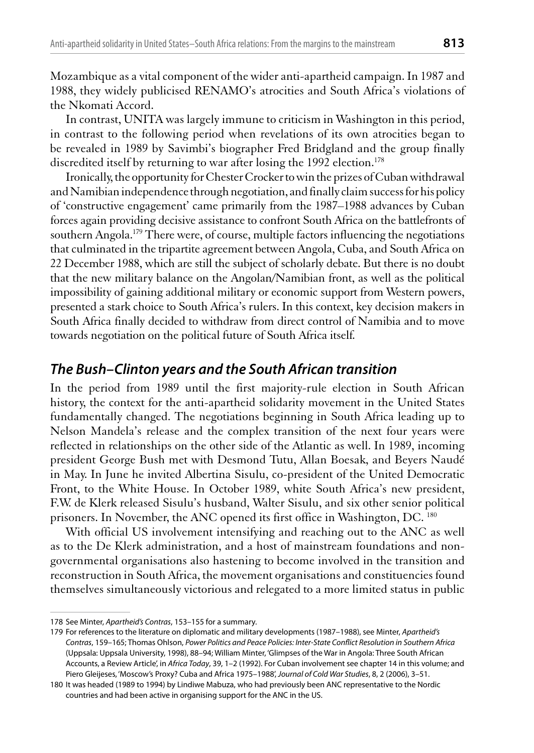Mozambique as a vital component of the wider anti-apartheid campaign. In 1987 and 1988, they widely publicised RENAMO's atrocities and South Africa's violations of the Nkomati Accord.

In contrast, UNITA was largely immune to criticism in Washington in this period, in contrast to the following period when revelations of its own atrocities began to be revealed in 1989 by Savimbi's biographer Fred Bridgland and the group finally discredited itself by returning to war after losing the 1992 election.<sup>178</sup>

Ironically, the opportunity for Chester Crocker to win the prizes of Cuban withdrawal and Namibian independence through negotiation, and finally claim success for his policy of 'constructive engagement' came primarily from the 1987–1988 advances by Cuban forces again providing decisive assistance to confront South Africa on the battlefronts of southern Angola.<sup>179</sup> There were, of course, multiple factors influencing the negotiations that culminated in the tripartite agreement between Angola, Cuba, and South Africa on 22 December 1988, which are still the subject of scholarly debate. But there is no doubt that the new military balance on the Angolan/Namibian front, as well as the political impossibility of gaining additional military or economic support from Western powers, presented a stark choice to South Africa's rulers. In this context, key decision makers in South Africa finally decided to withdraw from direct control of Namibia and to move towards negotiation on the political future of South Africa itself.

#### The Bush-Clinton years and the South African transition

In the period from 1989 until the first majority-rule election in South African history, the context for the anti-apartheid solidarity movement in the United States fundamentally changed. The negotiations beginning in South Africa leading up to Nelson Mandela's release and the complex transition of the next four years were reflected in relationships on the other side of the Atlantic as well. In 1989, incoming president George Bush met with Desmond Tutu, Allan Boesak, and Beyers Naudé in May. In June he invited Albertina Sisulu, co-president of the United Democratic Front, to the White House. In October 1989, white South Africa's new president, F.W. de Klerk released Sisulu's husband, Walter Sisulu, and six other senior political prisoners. In November, the ANC opened its first office in Washington, DC. 180

With official US involvement intensifying and reaching out to the ANC as well as to the De Klerk administration, and a host of mainstream foundations and nongovernmental organisations also hastening to become involved in the transition and reconstruction in South Africa, the movement organisations and constituencies found themselves simultaneously victorious and relegated to a more limited status in public

<sup>178</sup> See Minter, Apartheid's Contras, 153-155 for a summary.

<sup>179</sup> For references to the literature on diplomatic and military developments (1987-1988), see Minter, Apartheid's Contras, 159-165; Thomas Ohlson, Power Politics and Peace Policies: Inter-State Conflict Resolution in Southern Africa (Uppsala: Uppsala University, 1998), 88-94; William Minter, 'Glimpses of the War in Angola: Three South African Accounts, a Review Article', in Africa Today, 39, 1-2 (1992). For Cuban involvement see chapter 14 in this volume; and Piero Gleijeses, 'Moscow's Proxy? Cuba and Africa 1975-1988', Journal of Cold War Studies, 8, 2 (2006), 3-51.

<sup>180</sup> It was headed (1989 to 1994) by Lindiwe Mabuza, who had previously been ANC representative to the Nordic countries and had been active in organising support for the ANC in the US.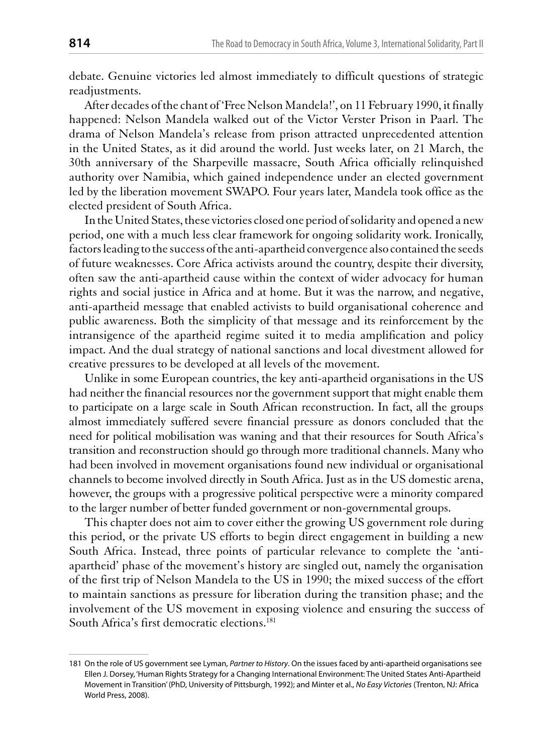debate. Genuine victories led almost immediately to difficult questions of strategic readjustments.

After decades of the chant of 'Free Nelson Mandela!', on 11 February 1990, it finally happened: Nelson Mandela walked out of the Victor Verster Prison in Paarl. The drama of Nelson Mandela's release from prison attracted unprecedented attention in the United States, as it did around the world. Just weeks later, on 21 March, the 30th anniversary of the Sharpeville massacre, South Africa officially relinquished authority over Namibia, which gained independence under an elected government led by the liberation movement SWAPO. Four years later, Mandela took office as the elected president of South Africa.

In the United States, these victories closed one period of solidarity and opened a new period, one with a much less clear framework for ongoing solidarity work. Ironically, factors leading to the success of the anti-apartheid convergence also contained the seeds of future weaknesses. Core Africa activists around the country, despite their diversity, often saw the anti-apartheid cause within the context of wider advocacy for human rights and social justice in Africa and at home. But it was the narrow, and negative, anti-apartheid message that enabled activists to build organisational coherence and public awareness. Both the simplicity of that message and its reinforcement by the intransigence of the apartheid regime suited it to media amplification and policy impact. And the dual strategy of national sanctions and local divestment allowed for creative pressures to be developed at all levels of the movement.

Unlike in some European countries, the key anti-apartheid organisations in the US had neither the financial resources nor the government support that might enable them to participate on a large scale in South African reconstruction. In fact, all the groups almost immediately suffered severe financial pressure as donors concluded that the need for political mobilisation was waning and that their resources for South Africa's transition and reconstruction should go through more traditional channels. Many who had been involved in movement organisations found new individual or organisational channels to become involved directly in South Africa. Just as in the US domestic arena, however, the groups with a progressive political perspective were a minority compared to the larger number of better funded government or non-governmental groups.

This chapter does not aim to cover either the growing US government role during this period, or the private US efforts to begin direct engagement in building a new South Africa. Instead, three points of particular relevance to complete the 'antiapartheid' phase of the movement's history are singled out, namely the organisation of the first trip of Nelson Mandela to the US in 1990; the mixed success of the effort to maintain sanctions as pressure for liberation during the transition phase; and the involvement of the US movement in exposing violence and ensuring the success of South Africa's first democratic elections.<sup>181</sup>

<sup>181</sup> On the role of US government see Lyman, Partner to History. On the issues faced by anti-apartheid organisations see Ellen J. Dorsey, 'Human Rights Strategy for a Changing International Environment: The United States Anti-Apartheid Movement in Transition' (PhD, University of Pittsburgh, 1992); and Minter et al., No Easy Victories (Trenton, NJ: Africa World Press, 2008).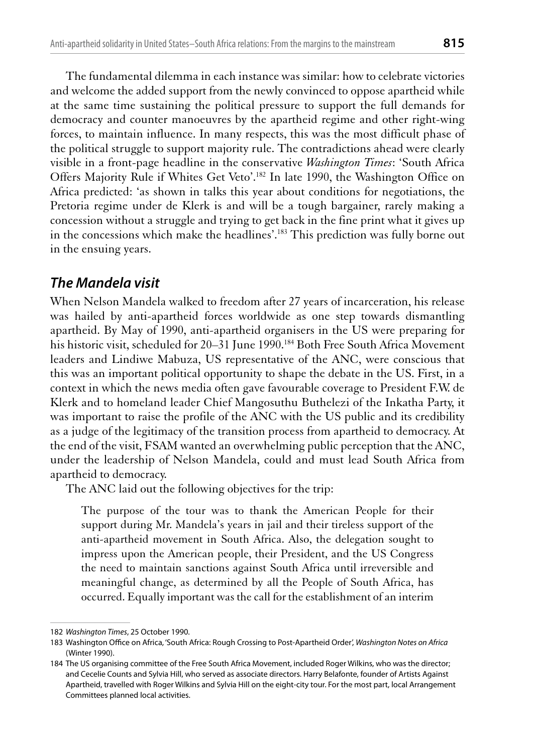The fundamental dilemma in each instance was similar: how to celebrate victories and welcome the added support from the newly convinced to oppose apartheid while at the same time sustaining the political pressure to support the full demands for democracy and counter manoeuvres by the apartheid regime and other right-wing forces, to maintain influence. In many respects, this was the most difficult phase of the political struggle to support majority rule. The contradictions ahead were clearly visible in a front-page headline in the conservative Washington Times: 'South Africa Offers Majority Rule if Whites Get Veto'.<sup>182</sup> In late 1990, the Washington Office on Africa predicted: 'as shown in talks this year about conditions for negotiations, the Pretoria regime under de Klerk is and will be a tough bargainer, rarely making a concession without a struggle and trying to get back in the fine print what it gives up in the concessions which make the headlines'.<sup>183</sup> This prediction was fully borne out in the ensuing years.

# The Mandela visit

When Nelson Mandela walked to freedom after 27 years of incarceration, his release was hailed by anti-apartheid forces worldwide as one step towards dismantling apartheid. By May of 1990, anti-apartheid organisers in the US were preparing for his historic visit, scheduled for 20-31 June 1990.<sup>184</sup> Both Free South Africa Movement leaders and Lindiwe Mabuza, US representative of the ANC, were conscious that this was an important political opportunity to shape the debate in the US. First, in a context in which the news media often gave favourable coverage to President F.W. de Klerk and to homeland leader Chief Mangosuthu Buthelezi of the Inkatha Party, it was important to raise the profile of the ANC with the US public and its credibility as a judge of the legitimacy of the transition process from apartheid to democracy. At the end of the visit, FSAM wanted an overwhelming public perception that the ANC, under the leadership of Nelson Mandela, could and must lead South Africa from apartheid to democracy.

The ANC laid out the following objectives for the trip:

The purpose of the tour was to thank the American People for their support during Mr. Mandela's years in jail and their tireless support of the anti-apartheid movement in South Africa. Also, the delegation sought to impress upon the American people, their President, and the US Congress the need to maintain sanctions against South Africa until irreversible and meaningful change, as determined by all the People of South Africa, has occurred. Equally important was the call for the establishment of an interim

<sup>182</sup> Washington Times, 25 October 1990.

<sup>183</sup> Washington Office on Africa, 'South Africa: Rough Crossing to Post-Apartheid Order', Washington Notes on Africa (Winter 1990).

<sup>184</sup> The US organising committee of the Free South Africa Movement, included Roger Wilkins, who was the director; and Cecelie Counts and Sylvia Hill, who served as associate directors. Harry Belafonte, founder of Artists Against Apartheid, travelled with Roger Wilkins and Sylvia Hill on the eight-city tour. For the most part, local Arrangement Committees planned local activities.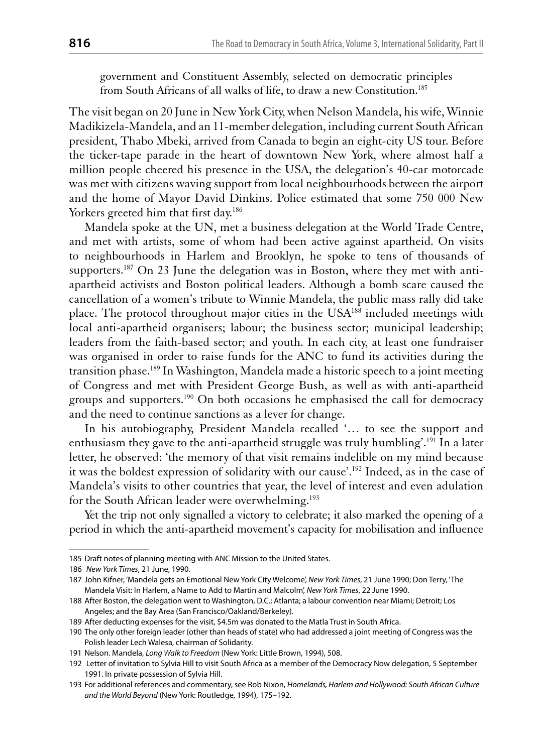government and Constituent Assembly, selected on democratic principles from South Africans of all walks of life, to draw a new Constitution.<sup>185</sup>

The visit began on 20 June in New York City, when Nelson Mandela, his wife, Winnie Madikizela-Mandela, and an 11-member delegation, including current South African president, Thabo Mbeki, arrived from Canada to begin an eight-city US tour. Before the ticker-tape parade in the heart of downtown New York, where almost half a million people cheered his presence in the USA, the delegation's 40-car motorcade was met with citizens waving support from local neighbourhoods between the airport and the home of Mayor David Dinkins. Police estimated that some 750 000 New Yorkers greeted him that first day.<sup>186</sup>

Mandela spoke at the UN, met a business delegation at the World Trade Centre, and met with artists, some of whom had been active against apartheid. On visits to neighbourhoods in Harlem and Brooklyn, he spoke to tens of thousands of supporters.<sup>187</sup> On 23 June the delegation was in Boston, where they met with antiapartheid activists and Boston political leaders. Although a bomb scare caused the cancellation of a women's tribute to Winnie Mandela, the public mass rally did take place. The protocol throughout major cities in the USA<sup>188</sup> included meetings with local anti-apartheid organisers; labour; the business sector; municipal leadership; leaders from the faith-based sector; and youth. In each city, at least one fundraiser was organised in order to raise funds for the ANC to fund its activities during the transition phase.<sup>189</sup> In Washington, Mandela made a historic speech to a joint meeting of Congress and met with President George Bush, as well as with anti-apartheid groups and supporters.<sup>190</sup> On both occasions he emphasised the call for democracy and the need to continue sanctions as a lever for change.

In his autobiography, President Mandela recalled '... to see the support and enthusiasm they gave to the anti-apartheid struggle was truly humbling'.<sup>191</sup> In a later letter, he observed: 'the memory of that visit remains indelible on my mind because it was the boldest expression of solidarity with our cause'.<sup>192</sup> Indeed, as in the case of Mandela's visits to other countries that year, the level of interest and even adulation for the South African leader were overwhelming.<sup>193</sup>

Yet the trip not only signalled a victory to celebrate; it also marked the opening of a period in which the anti-apartheid movement's capacity for mobilisation and influence

<sup>185</sup> Draft notes of planning meeting with ANC Mission to the United States.

<sup>186</sup> New York Times, 21 June, 1990.

<sup>187</sup> John Kifner, 'Mandela gets an Emotional New York City Welcome', New York Times, 21 June 1990; Don Terry, 'The Mandela Visit: In Harlem, a Name to Add to Martin and Malcolm', New York Times, 22 June 1990.

<sup>188</sup> After Boston, the delegation went to Washington, D.C.; Atlanta; a labour convention near Miami; Detroit; Los Angeles; and the Bay Area (San Francisco/Oakland/Berkeley).

<sup>189</sup> After deducting expenses for the visit, \$4.5m was donated to the Matla Trust in South Africa.

<sup>190</sup> The only other foreign leader (other than heads of state) who had addressed a joint meeting of Congress was the Polish leader Lech Walesa, chairman of Solidarity.

<sup>191</sup> Nelson. Mandela, Long Walk to Freedom (New York: Little Brown, 1994), 508.

<sup>192</sup> Letter of invitation to Sylvia Hill to visit South Africa as a member of the Democracy Now delegation, 5 September 1991. In private possession of Sylvia Hill.

<sup>193</sup> For additional references and commentary, see Rob Nixon, Homelands, Harlem and Hollywood: South African Culture and the World Beyond (New York: Routledge, 1994), 175-192.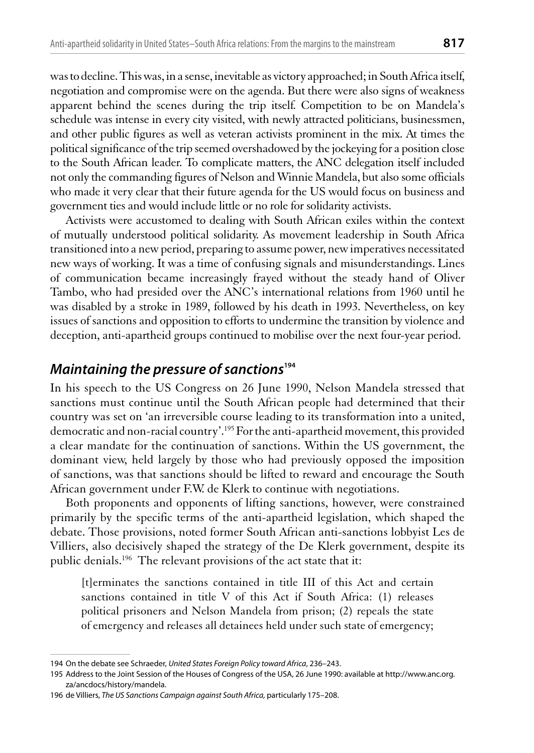was to decline. This was, in a sense, inevitable as victory approached; in South Africa itself, negotiation and compromise were on the agenda. But there were also signs of weakness apparent behind the scenes during the trip itself. Competition to be on Mandela's schedule was intense in every city visited, with newly attracted politicians, businessmen, and other public figures as well as veteran activists prominent in the mix. At times the political significance of the trip seemed overshadowed by the jockeying for a position close to the South African leader. To complicate matters, the ANC delegation itself included not only the commanding figures of Nelson and Winnie Mandela, but also some officials who made it very clear that their future agenda for the US would focus on business and government ties and would include little or no role for solidarity activists.

Activists were accustomed to dealing with South African exiles within the context of mutually understood political solidarity. As movement leadership in South Africa transitioned into a new period, preparing to assume power, new imperatives necessitated new ways of working. It was a time of confusing signals and misunderstandings. Lines of communication became increasingly frayed without the steady hand of Oliver Tambo, who had presided over the ANC's international relations from 1960 until he was disabled by a stroke in 1989, followed by his death in 1993. Nevertheless, on key issues of sanctions and opposition to efforts to undermine the transition by violence and deception, anti-apartheid groups continued to mobilise over the next four-year period.

## Maintaining the pressure of sanctions<sup>194</sup>

In his speech to the US Congress on 26 June 1990, Nelson Mandela stressed that sanctions must continue until the South African people had determined that their country was set on 'an irreversible course leading to its transformation into a united, democratic and non-racial country'.<sup>195</sup> For the anti-apartheid movement, this provided a clear mandate for the continuation of sanctions. Within the US government, the dominant view, held largely by those who had previously opposed the imposition of sanctions, was that sanctions should be lifted to reward and encourage the South African government under F.W. de Klerk to continue with negotiations.

Both proponents and opponents of lifting sanctions, however, were constrained primarily by the specific terms of the anti-apartheid legislation, which shaped the debate. Those provisions, noted former South African anti-sanctions lobbyist Les de Villiers, also decisively shaped the strategy of the De Klerk government, despite its public denials.<sup>196</sup> The relevant provisions of the act state that it:

[t]erminates the sanctions contained in title III of this Act and certain sanctions contained in title V of this Act if South Africa: (1) releases political prisoners and Nelson Mandela from prison; (2) repeals the state of emergency and releases all detainees held under such state of emergency;

<sup>194</sup> On the debate see Schraeder, United States Foreign Policy toward Africa, 236-243.

<sup>195</sup> Address to the Joint Session of the Houses of Congress of the USA, 26 June 1990: available at http://www.anc.org. za/ancdocs/history/mandela.

<sup>196</sup> de Villiers, The US Sanctions Campaign against South Africa, particularly 175-208.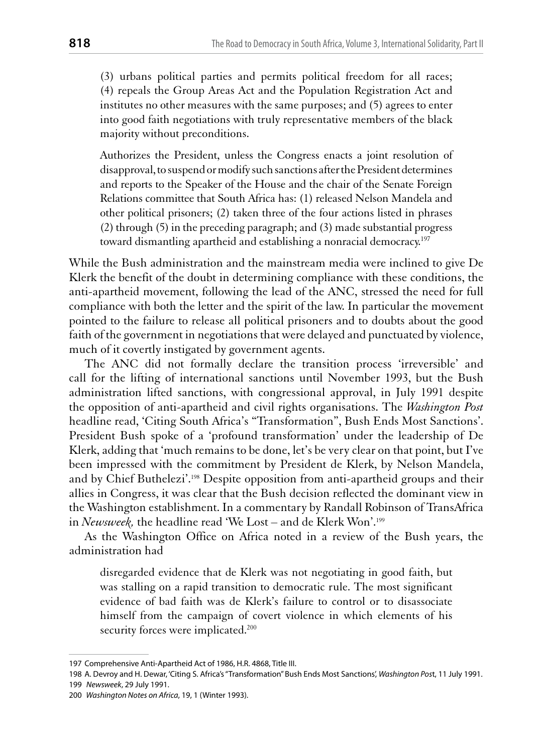(3) urbans political parties and permits political freedom for all races; (4) repeals the Group Areas Act and the Population Registration Act and institutes no other measures with the same purposes; and (5) agrees to enter into good faith negotiations with truly representative members of the black majority without preconditions.

Authorizes the President, unless the Congress enacts a joint resolution of disapproval, to suspend or modify such sanctions after the President determines and reports to the Speaker of the House and the chair of the Senate Foreign Relations committee that South Africa has: (1) released Nelson Mandela and other political prisoners; (2) taken three of the four actions listed in phrases  $(2)$  through  $(5)$  in the preceding paragraph; and  $(3)$  made substantial progress toward dismantling apartheid and establishing a nonracial democracy.<sup>197</sup>

While the Bush administration and the mainstream media were inclined to give De Klerk the benefit of the doubt in determining compliance with these conditions, the anti-apartheid movement, following the lead of the ANC, stressed the need for full compliance with both the letter and the spirit of the law. In particular the movement pointed to the failure to release all political prisoners and to doubts about the good faith of the government in negotiations that were delayed and punctuated by violence, much of it covertly instigated by government agents.

The ANC did not formally declare the transition process 'irreversible' and call for the lifting of international sanctions until November 1993, but the Bush administration lifted sanctions, with congressional approval, in July 1991 despite the opposition of anti-apartheid and civil rights organisations. The *Washington Post* headline read, 'Citing South Africa's "Transformation", Bush Ends Most Sanctions'. President Bush spoke of a 'profound transformation' under the leadership of De Klerk, adding that 'much remains to be done, let's be very clear on that point, but I've been impressed with the commitment by President de Klerk, by Nelson Mandela, and by Chief Buthelezi'.<sup>198</sup> Despite opposition from anti-apartheid groups and their allies in Congress, it was clear that the Bush decision reflected the dominant view in the Washington establishment. In a commentary by Randall Robinson of TransAfrica in Newsweek, the headline read 'We Lost – and de Klerk Won'.<sup>199</sup>

As the Washington Office on Africa noted in a review of the Bush years, the administration had

disregarded evidence that de Klerk was not negotiating in good faith, but was stalling on a rapid transition to democratic rule. The most significant evidence of bad faith was de Klerk's failure to control or to disassociate himself from the campaign of covert violence in which elements of his security forces were implicated.<sup>200</sup>

<sup>197</sup> Comprehensive Anti-Apartheid Act of 1986, H.R. 4868, Title III.

<sup>198</sup> A. Devroy and H. Dewar, 'Citing S. Africa's "Transformation" Bush Ends Most Sanctions', Washington Post, 11 July 1991. 199 Newsweek, 29 July 1991.

<sup>200</sup> Washington Notes on Africa, 19, 1 (Winter 1993).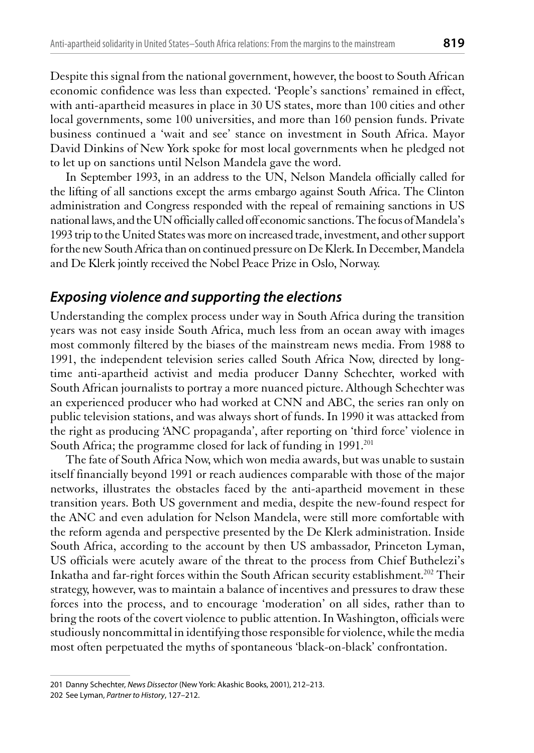Despite this signal from the national government, however, the boost to South African economic confidence was less than expected. 'People's sanctions' remained in effect, with anti-apartheid measures in place in 30 US states, more than 100 cities and other local governments, some 100 universities, and more than 160 pension funds. Private business continued a 'wait and see' stance on investment in South Africa. Mayor David Dinkins of New York spoke for most local governments when he pledged not to let up on sanctions until Nelson Mandela gave the word.

In September 1993, in an address to the UN, Nelson Mandela officially called for the lifting of all sanctions except the arms embargo against South Africa. The Clinton administration and Congress responded with the repeal of remaining sanctions in US national laws, and the UN officially called off economic sanctions. The focus of Mandela's 1993 trip to the United States was more on increased trade, investment, and other support for the new South Africa than on continued pressure on De Klerk. In December, Mandela and De Klerk jointly received the Nobel Peace Prize in Oslo, Norway.

## Exposing violence and supporting the elections

Understanding the complex process under way in South Africa during the transition years was not easy inside South Africa, much less from an ocean away with images most commonly filtered by the biases of the mainstream news media. From 1988 to 1991, the independent television series called South Africa Now, directed by longtime anti-apartheid activist and media producer Danny Schechter, worked with South African journalists to portray a more nuanced picture. Although Schechter was an experienced producer who had worked at CNN and ABC, the series ran only on public television stations, and was always short of funds. In 1990 it was attacked from the right as producing 'ANC propaganda', after reporting on 'third force' violence in South Africa; the programme closed for lack of funding in 1991.<sup>201</sup>

The fate of South Africa Now, which won media awards, but was unable to sustain itself financially beyond 1991 or reach audiences comparable with those of the major networks, illustrates the obstacles faced by the anti-apartheid movement in these transition years. Both US government and media, despite the new-found respect for the ANC and even adulation for Nelson Mandela, were still more comfortable with the reform agenda and perspective presented by the De Klerk administration. Inside South Africa, according to the account by then US ambassador, Princeton Lyman, US officials were acutely aware of the threat to the process from Chief Buthelezi's Inkatha and far-right forces within the South African security establishment.<sup>202</sup> Their strategy, however, was to maintain a balance of incentives and pressures to draw these forces into the process, and to encourage 'moderation' on all sides, rather than to bring the roots of the covert violence to public attention. In Washington, officials were studiously noncommittal in identifying those responsible for violence, while the media most often perpetuated the myths of spontaneous 'black-on-black' confrontation.

<sup>201</sup> Danny Schechter, News Dissector (New York: Akashic Books, 2001), 212-213.

<sup>202</sup> See Lyman, Partner to History, 127-212.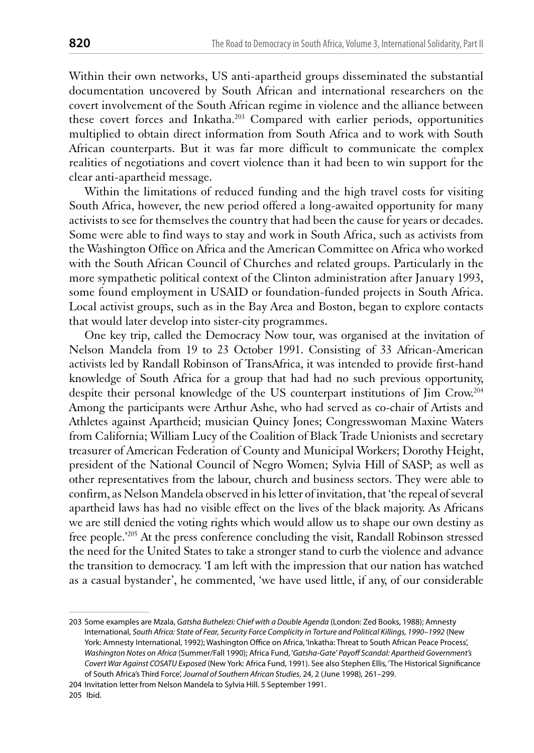Within their own networks, US anti-apartheid groups disseminated the substantial documentation uncovered by South African and international researchers on the covert involvement of the South African regime in violence and the alliance between these covert forces and Inkatha.<sup>203</sup> Compared with earlier periods, opportunities multiplied to obtain direct information from South Africa and to work with South African counterparts. But it was far more difficult to communicate the complex realities of negotiations and covert violence than it had been to win support for the clear anti-apartheid message.

Within the limitations of reduced funding and the high travel costs for visiting South Africa, however, the new period offered a long-awaited opportunity for many activists to see for themselves the country that had been the cause for years or decades. Some were able to find ways to stay and work in South Africa, such as activists from the Washington Office on Africa and the American Committee on Africa who worked with the South African Council of Churches and related groups. Particularly in the more sympathetic political context of the Clinton administration after January 1993, some found employment in USAID or foundation-funded projects in South Africa. Local activist groups, such as in the Bay Area and Boston, began to explore contacts that would later develop into sister-city programmes.

One key trip, called the Democracy Now tour, was organised at the invitation of Nelson Mandela from 19 to 23 October 1991. Consisting of 33 African-American activists led by Randall Robinson of TransAfrica, it was intended to provide first-hand knowledge of South Africa for a group that had had no such previous opportunity, despite their personal knowledge of the US counterpart institutions of Jim Crow.<sup>204</sup> Among the participants were Arthur Ashe, who had served as co-chair of Artists and Athletes against Apartheid; musician Quincy Jones; Congresswoman Maxine Waters from California; William Lucy of the Coalition of Black Trade Unionists and secretary treasurer of American Federation of County and Municipal Workers; Dorothy Height, president of the National Council of Negro Women; Sylvia Hill of SASP; as well as other representatives from the labour, church and business sectors. They were able to confirm, as Nelson Mandela observed in his letter of invitation, that 'the repeal of several apartheid laws has had no visible effect on the lives of the black majority. As Africans we are still denied the voting rights which would allow us to shape our own destiny as free people.<sup>205</sup> At the press conference concluding the visit, Randall Robinson stressed the need for the United States to take a stronger stand to curb the violence and advance the transition to democracy. 'I am left with the impression that our nation has watched as a casual bystander', he commented, 'we have used little, if any, of our considerable

<sup>203</sup> Some examples are Mzala, Gatsha Buthelezi: Chief with a Double Agenda (London: Zed Books, 1988); Amnesty International, South Africa: State of Fear, Security Force Complicity in Torture and Political Killings, 1990-1992 (New York: Amnesty International, 1992); Washington Office on Africa, 'Inkatha: Threat to South African Peace Process', Washington Notes on Africa (Summer/Fall 1990); Africa Fund, 'Gatsha-Gate' Payoff Scandal: Apartheid Government's Covert War Against COSATU Exposed (New York: Africa Fund, 1991). See also Stephen Ellis, 'The Historical Significance of South Africa's Third Force', Journal of Southern African Studies, 24, 2 (June 1998), 261-299.

<sup>204</sup> Invitation letter from Nelson Mandela to Sylvia Hill. 5 September 1991.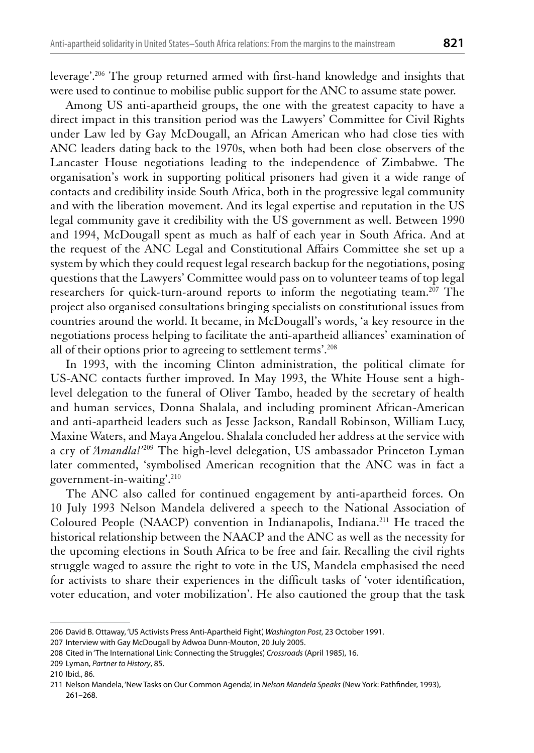leverage'.<sup>206</sup> The group returned armed with first-hand knowledge and insights that were used to continue to mobilise public support for the ANC to assume state power.

Among US anti-apartheid groups, the one with the greatest capacity to have a direct impact in this transition period was the Lawyers' Committee for Civil Rights under Law led by Gay McDougall, an African American who had close ties with ANC leaders dating back to the 1970s, when both had been close observers of the Lancaster House negotiations leading to the independence of Zimbabwe. The organisation's work in supporting political prisoners had given it a wide range of contacts and credibility inside South Africa, both in the progressive legal community and with the liberation movement. And its legal expertise and reputation in the US legal community gave it credibility with the US government as well. Between 1990 and 1994, McDougall spent as much as half of each year in South Africa. And at the request of the ANC Legal and Constitutional Affairs Committee she set up a system by which they could request legal research backup for the negotiations, posing questions that the Lawyers' Committee would pass on to volunteer teams of top legal researchers for quick-turn-around reports to inform the negotiating team.<sup>207</sup> The project also organised consultations bringing specialists on constitutional issues from countries around the world. It became, in McDougall's words, 'a key resource in the negotiations process helping to facilitate the anti-apartheid alliances' examination of all of their options prior to agreeing to settlement terms'.<sup>208</sup>

In 1993, with the incoming Clinton administration, the political climate for US-ANC contacts further improved. In May 1993, the White House sent a highlevel delegation to the funeral of Oliver Tambo, headed by the secretary of health and human services, Donna Shalala, and including prominent African-American and anti-apartheid leaders such as Jesse Jackson, Randall Robinson, William Lucy, Maxine Waters, and Maya Angelou. Shalala concluded her address at the service with a cry of Amandla!'209 The high-level delegation, US ambassador Princeton Lyman later commented, 'symbolised American recognition that the ANC was in fact a government-in-waiting'. $210$ 

The ANC also called for continued engagement by anti-apartheid forces. On 10 July 1993 Nelson Mandela delivered a speech to the National Association of Coloured People (NAACP) convention in Indianapolis, Indiana.<sup>211</sup> He traced the historical relationship between the NAACP and the ANC as well as the necessity for the upcoming elections in South Africa to be free and fair. Recalling the civil rights struggle waged to assure the right to vote in the US, Mandela emphasised the need for activists to share their experiences in the difficult tasks of 'voter identification, voter education, and voter mobilization'. He also cautioned the group that the task

<sup>206</sup> David B. Ottaway, 'US Activists Press Anti-Apartheid Fight', Washington Post, 23 October 1991.

<sup>207</sup> Interview with Gay McDougall by Adwoa Dunn-Mouton, 20 July 2005.

<sup>208</sup> Cited in 'The International Link: Connecting the Struggles', Crossroads (April 1985), 16.

<sup>209</sup> Lyman, Partner to History, 85.

<sup>210</sup> Ibid., 86.

<sup>211</sup> Nelson Mandela, 'New Tasks on Our Common Agenda', in Nelson Mandela Speaks (New York: Pathfinder, 1993),  $261 - 268$